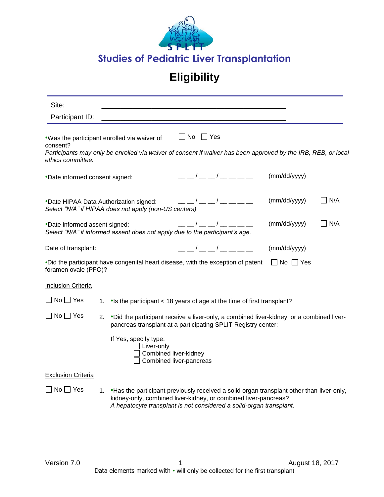

## **Eligibility**

| Site:                          |    |                                                                                                                                                                                                                                                                                                                                                                 |                      |                                                                                                                                 |                      |               |
|--------------------------------|----|-----------------------------------------------------------------------------------------------------------------------------------------------------------------------------------------------------------------------------------------------------------------------------------------------------------------------------------------------------------------|----------------------|---------------------------------------------------------------------------------------------------------------------------------|----------------------|---------------|
| Participant ID:                |    |                                                                                                                                                                                                                                                                                                                                                                 |                      |                                                                                                                                 |                      |               |
| consent?<br>ethics committee.  |    | .Was the participant enrolled via waiver of<br>Participants may only be enrolled via waiver of consent if waiver has been approved by the IRB, REB, or local                                                                                                                                                                                                    | $\Box$ No $\Box$ Yes |                                                                                                                                 |                      |               |
| *Date informed consent signed: |    |                                                                                                                                                                                                                                                                                                                                                                 |                      | $\frac{\alpha}{\alpha}$                                                                                                         | (mm/dd/yyyy)         |               |
|                                |    | •Date HIPAA Data Authorization signed: $\frac{1}{2}$ $\frac{1}{2}$ $\frac{1}{2}$ $\frac{1}{2}$ $\frac{1}{2}$ $\frac{1}{2}$ $\frac{1}{2}$ $\frac{1}{2}$ $\frac{1}{2}$ $\frac{1}{2}$ $\frac{1}{2}$ $\frac{1}{2}$ $\frac{1}{2}$ $\frac{1}{2}$ $\frac{1}{2}$ $\frac{1}{2}$ $\frac{1}{2}$ $\frac{1}{2}$ $\$<br>Select "N/A" if HIPAA does not apply (non-US centers) |                      |                                                                                                                                 | (mm/dd/yyyy)         | I N/A         |
| *Date informed assent signed:  |    | Select "N/A" if informed assent does not apply due to the participant's age.                                                                                                                                                                                                                                                                                    |                      | $\frac{\frac{1}{2}}{2}$ / $\frac{\frac{1}{2}}{2}$ / $\frac{\frac{1}{2}}{2}$ / $\frac{\frac{1}{2}}{2}$ / $\frac{\frac{1}{2}}{2}$ | (mm/dd/yyyy)         | $\exists$ N/A |
| Date of transplant:            |    |                                                                                                                                                                                                                                                                                                                                                                 |                      | — — / — — / — — — — —                                                                                                           | (mm/dd/yyyy)         |               |
| foramen ovale (PFO)?           |    | . Did the participant have congenital heart disease, with the exception of patent                                                                                                                                                                                                                                                                               |                      |                                                                                                                                 | $\Box$ No $\Box$ Yes |               |
| <b>Inclusion Criteria</b>      |    |                                                                                                                                                                                                                                                                                                                                                                 |                      |                                                                                                                                 |                      |               |
| $\Box$ No $\Box$ Yes           | 1. | •Is the participant < 18 years of age at the time of first transplant?                                                                                                                                                                                                                                                                                          |                      |                                                                                                                                 |                      |               |
| $\Box$ No $\Box$ Yes           | 2. | •Did the participant receive a liver-only, a combined liver-kidney, or a combined liver-<br>pancreas transplant at a participating SPLIT Registry center:                                                                                                                                                                                                       |                      |                                                                                                                                 |                      |               |
|                                |    | If Yes, specify type:<br>$\Box$ Liver-only<br>Combined liver-kidney<br>Combined liver-pancreas                                                                                                                                                                                                                                                                  |                      |                                                                                                                                 |                      |               |
| <b>Exclusion Criteria</b>      |    |                                                                                                                                                                                                                                                                                                                                                                 |                      |                                                                                                                                 |                      |               |
| $\Box$ No $\Box$ Yes           |    | 1. • Has the participant previously received a solid organ transplant other than liver-only,<br>kidney-only, combined liver-kidney, or combined liver-pancreas?<br>A hepatocyte transplant is not considered a solid-organ transplant.                                                                                                                          |                      |                                                                                                                                 |                      |               |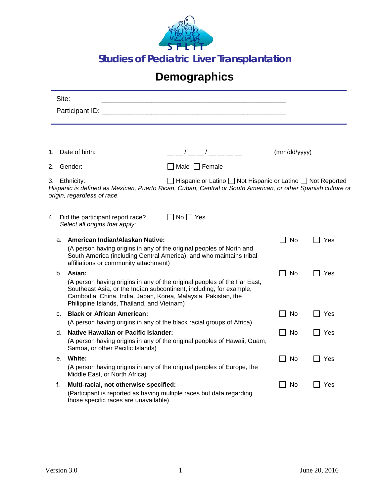

## **Demographics**

|         | Site:                                                                           |                                                                                                                                                                                                                  |              |     |  |  |
|---------|---------------------------------------------------------------------------------|------------------------------------------------------------------------------------------------------------------------------------------------------------------------------------------------------------------|--------------|-----|--|--|
|         |                                                                                 |                                                                                                                                                                                                                  |              |     |  |  |
|         |                                                                                 |                                                                                                                                                                                                                  |              |     |  |  |
| 1.      | Date of birth:                                                                  | $--/--/----$                                                                                                                                                                                                     | (mm/dd/yyyy) |     |  |  |
| 2.      | Gender:                                                                         | $\Box$ Male $\Box$ Female                                                                                                                                                                                        |              |     |  |  |
| 3.      | Ethnicity:<br>origin, regardless of race.                                       | □ Hispanic or Latino ■ Not Hispanic or Latino ■ Not Reported<br>Hispanic is defined as Mexican, Puerto Rican, Cuban, Central or South American, or other Spanish culture or                                      |              |     |  |  |
| 4.      | Did the participant report race?<br>Select all origins that apply.              | ]No □ Yes                                                                                                                                                                                                        |              |     |  |  |
| a.      | American Indian/Alaskan Native:<br>affiliations or community attachment)        | (A person having origins in any of the original peoples of North and<br>South America (including Central America), and who maintains tribal                                                                      | No.          | Yes |  |  |
| b.      | Asian:<br>Philippine Islands, Thailand, and Vietnam)                            | (A person having origins in any of the original peoples of the Far East,<br>Southeast Asia, or the Indian subcontinent, including, for example,<br>Cambodia, China, India, Japan, Korea, Malaysia, Pakistan, the | <b>No</b>    | Yes |  |  |
| c.      | <b>Black or African American:</b>                                               | (A person having origins in any of the black racial groups of Africa)                                                                                                                                            | No           | Yes |  |  |
| d.      | <b>Native Hawaiian or Pacific Islander:</b><br>Samoa, or other Pacific Islands) | (A person having origins in any of the original peoples of Hawaii, Guam,                                                                                                                                         | No           | Yes |  |  |
| $e_{1}$ | White:<br>Middle East, or North Africa)                                         | (A person having origins in any of the original peoples of Europe, the                                                                                                                                           | No           | Yes |  |  |
| f.      | Multi-racial, not otherwise specified:<br>those specific races are unavailable) | (Participant is reported as having multiple races but data regarding                                                                                                                                             | No           | Yes |  |  |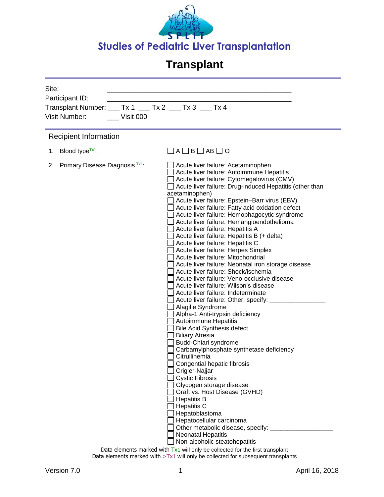

| Site:<br>Participant ID:<br><b>Visit Number:</b><br>Visit 000 | Transplant Number: ___ Tx 1 ___ Tx 2 ___ Tx 3 ___ Tx 4                                                                                                                                                                                                                                                                                                                                                                                                                                                                                                                                                                                                                                                                                                                                                                                                                                                                                                                                                                                                                                                                                                                                                                                                                                                                                                                                                                                                         |
|---------------------------------------------------------------|----------------------------------------------------------------------------------------------------------------------------------------------------------------------------------------------------------------------------------------------------------------------------------------------------------------------------------------------------------------------------------------------------------------------------------------------------------------------------------------------------------------------------------------------------------------------------------------------------------------------------------------------------------------------------------------------------------------------------------------------------------------------------------------------------------------------------------------------------------------------------------------------------------------------------------------------------------------------------------------------------------------------------------------------------------------------------------------------------------------------------------------------------------------------------------------------------------------------------------------------------------------------------------------------------------------------------------------------------------------------------------------------------------------------------------------------------------------|
| <b>Recipient Information</b>                                  |                                                                                                                                                                                                                                                                                                                                                                                                                                                                                                                                                                                                                                                                                                                                                                                                                                                                                                                                                                                                                                                                                                                                                                                                                                                                                                                                                                                                                                                                |
| 1. Blood type <sup><math>Tx1</math></sup> :                   | □ A □ B □ AB □ O                                                                                                                                                                                                                                                                                                                                                                                                                                                                                                                                                                                                                                                                                                                                                                                                                                                                                                                                                                                                                                                                                                                                                                                                                                                                                                                                                                                                                                               |
| 2. Primary Disease Diagnosis Tx1:                             | Acute liver failure: Acetaminophen<br>Acute liver failure: Autoimmune Hepatitis<br>Acute liver failure: Cytomegalovirus (CMV)<br>Acute liver failure: Drug-induced Hepatitis (other than<br>acetaminophen)<br>Acute liver failure: Epstein-Barr virus (EBV)<br>Acute liver failure: Fatty acid oxidation defect<br>Acute liver failure: Hemophagocytic syndrome<br>Acute liver failure: Hemangioendothelioma<br>Acute liver failure: Hepatitis A<br>Acute liver failure: Hepatitis B (+ delta)<br>Acute liver failure: Hepatitis C<br>Acute liver failure: Herpes Simplex<br>Acute liver failure: Mitochondrial<br>Acute liver failure: Neonatal iron storage disease<br>Acute liver failure: Shock/ischemia<br>Acute liver failure: Veno-occlusive disease<br>Acute liver failure: Wilson's disease<br>Acute liver failure: Indeterminate<br>Acute liver failure: Other, specify: ___<br>Alagille Syndrome<br>Alpha-1 Anti-trypsin deficiency<br>Autoimmune Hepatitis<br><b>Bile Acid Synthesis defect</b><br><b>Biliary Atresia</b><br>Budd-Chiari syndrome<br>Carbamylphosphate synthetase deficiency<br>Citrullinemia<br>Congential hepatic fibrosis<br>Crigler-Najjar<br><b>Cystic Fibrosis</b><br>Glycogen storage disease<br>Graft vs. Host Disease (GVHD)<br><b>Hepatitis B</b><br><b>Hepatitis C</b><br>Hepatoblastoma<br>Hepatocellular carcinoma<br>Other metabolic disease, specify:<br><b>Neonatal Hepatitis</b><br>Non-alcoholic steatohepatitis |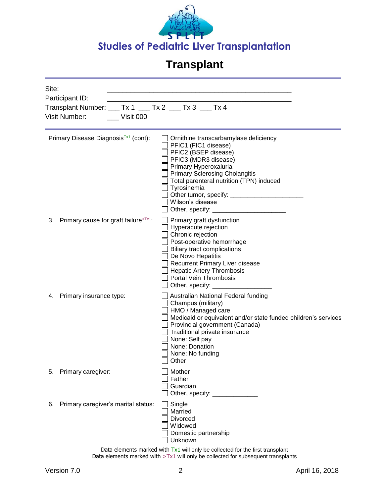

| Site: | Participant ID:<br>Transplant Number: ___ Tx 1 ___ Tx 2 ___ Tx 3 ___ Tx 4<br>Visit Number:<br>Visit 000 |                                                                                                                                                                                                                                                                                                  |
|-------|---------------------------------------------------------------------------------------------------------|--------------------------------------------------------------------------------------------------------------------------------------------------------------------------------------------------------------------------------------------------------------------------------------------------|
|       | Primary Disease Diagnosis <sup>Tx1</sup> (cont):                                                        | Ornithine transcarbamylase deficiency<br>PFIC1 (FIC1 disease)<br>PFIC2 (BSEP disease)<br>PFIC3 (MDR3 disease)<br>Primary Hyperoxaluria<br><b>Primary Sclerosing Cholangitis</b><br>Total parenteral nutrition (TPN) induced<br>Tyrosinemia<br>Wilson's disease                                   |
|       | 3. Primary cause for graft failure> $Tx1$ :                                                             | Primary graft dysfunction<br>Hyperacute rejection<br>Chronic rejection<br>Post-operative hemorrhage<br><b>Biliary tract complications</b><br>De Novo Hepatitis<br>Recurrent Primary Liver disease<br><b>Hepatic Artery Thrombosis</b><br>Portal Vein Thrombosis<br>Other, specify: _____________ |
|       | 4. Primary insurance type:                                                                              | Australian National Federal funding<br>Champus (military)<br>HMO / Managed care<br>Medicaid or equivalent and/or state funded children's services<br>Provincial government (Canada)<br>Traditional private insurance<br>None: Self pay<br>None: Donation<br>None: No funding<br>$\Box$ Other     |
| 5.    | Primary caregiver:                                                                                      | Mother<br>Father<br>Guardian                                                                                                                                                                                                                                                                     |
| 6.    | Primary caregiver's marital status:                                                                     | Single<br>Married<br>Divorced<br>Widowed<br>Domestic partnership<br>Unknown                                                                                                                                                                                                                      |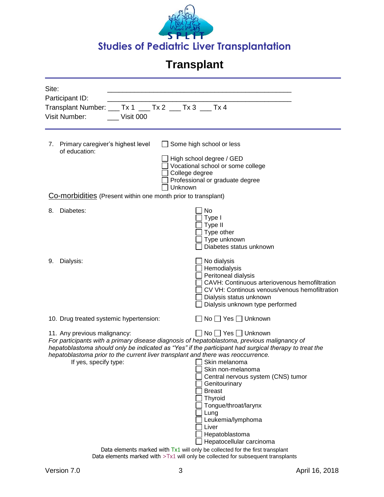

| Site:                                                                                                 |                                                                                 |  |  |  |
|-------------------------------------------------------------------------------------------------------|---------------------------------------------------------------------------------|--|--|--|
| Participant ID:                                                                                       |                                                                                 |  |  |  |
| Transplant Number: ___ Tx 1 ___ Tx 2 ___ Tx 3 ___ Tx 4                                                |                                                                                 |  |  |  |
| Visit Number:<br>Visit 000                                                                            |                                                                                 |  |  |  |
|                                                                                                       |                                                                                 |  |  |  |
|                                                                                                       |                                                                                 |  |  |  |
| 7. Primary caregiver's highest level<br>of education:                                                 | Some high school or less                                                        |  |  |  |
|                                                                                                       | High school degree / GED                                                        |  |  |  |
|                                                                                                       | Vocational school or some college                                               |  |  |  |
| College degree                                                                                        |                                                                                 |  |  |  |
| Unknown                                                                                               | Professional or graduate degree                                                 |  |  |  |
| <b>Co-morbidities</b> (Present within one month prior to transplant)                                  |                                                                                 |  |  |  |
|                                                                                                       |                                                                                 |  |  |  |
| Diabetes:<br>8.                                                                                       | No                                                                              |  |  |  |
|                                                                                                       | Type I                                                                          |  |  |  |
|                                                                                                       | Type II<br>Type other                                                           |  |  |  |
|                                                                                                       | Type unknown                                                                    |  |  |  |
|                                                                                                       | Diabetes status unknown                                                         |  |  |  |
|                                                                                                       |                                                                                 |  |  |  |
| Dialysis:<br>9.                                                                                       | No dialysis                                                                     |  |  |  |
|                                                                                                       | Hemodialysis                                                                    |  |  |  |
|                                                                                                       | Peritoneal dialysis<br>CAVH: Continuous arteriovenous hemofiltration            |  |  |  |
|                                                                                                       | CV VH: Continous venous/venous hemofiltration                                   |  |  |  |
|                                                                                                       | Dialysis status unknown                                                         |  |  |  |
|                                                                                                       | Dialysis unknown type performed                                                 |  |  |  |
| 10. Drug treated systemic hypertension:                                                               | ◯ No ◯ Yes ◯ Unknown                                                            |  |  |  |
| 11. Any previous malignancy:                                                                          | $\Box$ No $\Box$ Yes $\Box$ Unknown                                             |  |  |  |
| For participants with a primary disease diagnosis of hepatoblastoma, previous malignancy of           |                                                                                 |  |  |  |
| hepatoblastoma should only be indicated as "Yes" if the participant had surgical therapy to treat the |                                                                                 |  |  |  |
| hepatoblastoma prior to the current liver transplant and there was reoccurrence.                      |                                                                                 |  |  |  |
| If yes, specify type:                                                                                 | Skin melanoma<br>Skin non-melanoma                                              |  |  |  |
|                                                                                                       | Central nervous system (CNS) tumor                                              |  |  |  |
|                                                                                                       | Genitourinary                                                                   |  |  |  |
|                                                                                                       | <b>Breast</b>                                                                   |  |  |  |
|                                                                                                       | Thyroid                                                                         |  |  |  |
|                                                                                                       | Tongue/throat/larynx                                                            |  |  |  |
|                                                                                                       | Lung<br>Leukemia/lymphoma                                                       |  |  |  |
|                                                                                                       | Liver                                                                           |  |  |  |
|                                                                                                       | Hepatoblastoma                                                                  |  |  |  |
|                                                                                                       | Hepatocellular carcinoma                                                        |  |  |  |
|                                                                                                       | Data elements marked with $Tx1$ will only be collected for the first transplant |  |  |  |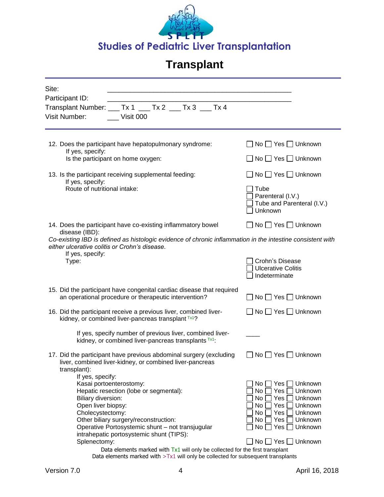

| Site:<br>Participant ID:                                                                                                                                                        |                                                                    |
|---------------------------------------------------------------------------------------------------------------------------------------------------------------------------------|--------------------------------------------------------------------|
| Transplant Number: ___ Tx 1 ___ Tx 2 ___ Tx 3 ___ Tx 4<br><b>Visit Number:</b><br>Visit 000                                                                                     |                                                                    |
| 12. Does the participant have hepatopulmonary syndrome:<br>If yes, specify:                                                                                                     | No ◯ Yes ◯ Unknown                                                 |
| Is the participant on home oxygen:                                                                                                                                              | $\Box$ No $\Box$ Yes $\Box$ Unknown                                |
| 13. Is the participant receiving supplemental feeding:<br>If yes, specify:                                                                                                      | $No \square Yes \square$ Unknown                                   |
| Route of nutritional intake:                                                                                                                                                    | Tube<br>Parenteral (I.V.)<br>Tube and Parenteral (I.V.)<br>Unknown |
| 14. Does the participant have co-existing inflammatory bowel<br>disease (IBD):                                                                                                  | No Yes Unknown                                                     |
| Co-existing IBD is defined as histologic evidence of chronic inflammation in the intestine consistent with<br>either ulcerative colitis or Crohn's disease.<br>If yes, specify: |                                                                    |
| Type:                                                                                                                                                                           | Crohn's Disease<br><b>Ulcerative Colitis</b><br>Indeterminate      |
| 15. Did the participant have congenital cardiac disease that required<br>an operational procedure or therapeutic intervention?                                                  | No │ Yes │ Unknown                                                 |
| 16. Did the participant receive a previous liver, combined liver-<br>kidney, or combined liver-pancreas transplant Tx1?                                                         | $No \square Yes \square$ Unknown                                   |
| If yes, specify number of previous liver, combined liver-<br>kidney, or combined liver-pancreas transplants Tx1:                                                                |                                                                    |
| 17. Did the participant have previous abdominal surgery (excluding<br>liver, combined liver-kidney, or combined liver-pancreas<br>transplant):                                  | No $\Box$ Yes $\Box$ Unknown                                       |
| If yes, specify:<br>Kasai portoenterostomy:                                                                                                                                     | Yes  <br>Unknown<br>No                                             |
| Hepatic resection (lobe or segmental):                                                                                                                                          | No<br>Yes<br>Unknown                                               |
| <b>Biliary diversion:</b><br>Open liver biopsy:                                                                                                                                 | No<br>Yes<br>Unknown<br>No<br>Yes<br>Unknown                       |
| Cholecystectomy:                                                                                                                                                                | No<br>Yes<br>Unknown                                               |
| Other biliary surgery/reconstruction:                                                                                                                                           | No<br>Yes<br>Unknown                                               |
| Operative Portosystemic shunt - not transjugular<br>intrahepatic portosystemic shunt (TIPS):                                                                                    | No<br>Yes  <br>Unknown                                             |
| Splenectomy:                                                                                                                                                                    | No □ Yes □ Unknown                                                 |
| Data elements marked with $Tx1$ will only be collected for the first transplant                                                                                                 |                                                                    |

Data elements marked with  $>$ Tx1 will only be collected for subsequent transplants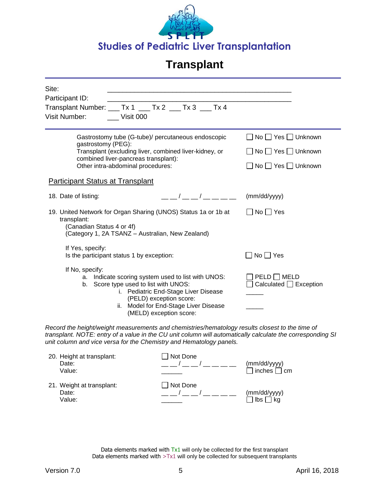

| Site:<br>Participant ID:<br>Visit Number:    | Visit 000                                                                 | Transplant Number: ___ Tx 1 ___ Tx 2 ___ Tx 3 ___ Tx 4                                                                                                                 |                                                                                                            |
|----------------------------------------------|---------------------------------------------------------------------------|------------------------------------------------------------------------------------------------------------------------------------------------------------------------|------------------------------------------------------------------------------------------------------------|
| gastrostomy (PEG):                           | combined liver-pancreas transplant):<br>Other intra-abdominal procedures: | Gastrostomy tube (G-tube)/ percutaneous endoscopic<br>Transplant (excluding liver, combined liver-kidney, or                                                           | $\Box$ No $\Box$ Yes $\Box$ Unknown<br>□ No □ Yes □ Unknown<br>$\Box$ No $\Box$ Yes $\Box$ Unknown         |
| <b>Participant Status at Transplant</b>      |                                                                           |                                                                                                                                                                        |                                                                                                            |
| 18. Date of listing:                         |                                                                           | $\sqrt{2}$                                                                                                                                                             | (mm/dd/yyyy)                                                                                               |
| transplant:<br>(Canadian Status 4 or 4f)     | (Category 1, 2A TSANZ - Australian, New Zealand)                          | 19. United Network for Organ Sharing (UNOS) Status 1a or 1b at                                                                                                         | $\Box$ No $\Box$ Yes                                                                                       |
| If Yes, specify:                             | Is the participant status 1 by exception:                                 |                                                                                                                                                                        | $\Box$ No $\Box$ Yes                                                                                       |
| If No, specify:<br>b.                        | Score type used to list with UNOS:<br>(PELD) exception score:             | a. Indicate scoring system used to list with UNOS:<br>i. Pediatric End-Stage Liver Disease<br>ii. Model for End-Stage Liver Disease<br>(MELD) exception score:         | $PELD$ MELD<br>$\Box$ Calculated $\Box$ Exception                                                          |
|                                              |                                                                           | Record the height/weight measurements and chemistries/hematology results closest to the time of<br>unit column and vice versa for the Chemistry and Hematology panels. | transplant. NOTE: entry of a value in the CU unit column will automatically calculate the corresponding SI |
| 20. Height at transplant:<br>Date:<br>Value: |                                                                           | $\Box$ Not Done<br>__/__/____                                                                                                                                          | (mm/dd/yyyy)<br>$\Box$ inches $\Box$ cm                                                                    |
| 21. Weight at transplant:<br>Date:<br>Value: |                                                                           | □ Not Done<br>__/__/____                                                                                                                                               | (mm/dd/yyyy)<br>$\mathsf{libs} \ \Box \ \mathsf{kg}$                                                       |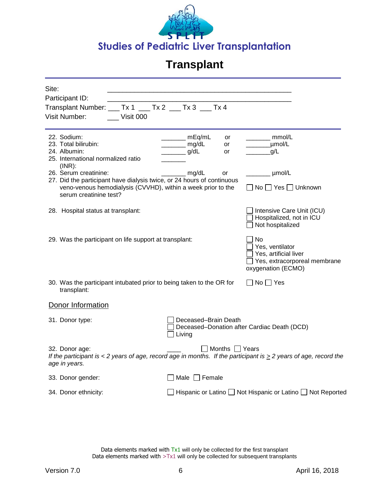

| Site:<br>Participant ID:                                                                                                                                                                  |                                                                                         |                                                                                                      |
|-------------------------------------------------------------------------------------------------------------------------------------------------------------------------------------------|-----------------------------------------------------------------------------------------|------------------------------------------------------------------------------------------------------|
| Transplant Number: ___ Tx 1 ___ Tx 2 ___ Tx 3 ___ Tx 4<br>Visit Number:<br>Visit 000                                                                                                      |                                                                                         |                                                                                                      |
| 22. Sodium:<br>23. Total bilirubin:<br>24. Albumin:<br>25. International normalized ratio<br>$(INR)$ :                                                                                    | _____ mEq/mL<br>or<br>$\frac{1}{\text{mg/dL}}$<br>or<br>$\rule{1em}{0.15mm}$ g/dL<br>or | $\frac{1}{\sqrt{2}}$ mmol/L<br>_umol/L<br>g/L                                                        |
| 26. Serum creatinine:<br>27. Did the participant have dialysis twice, or 24 hours of continuous<br>veno-venous hemodialysis (CVVHD), within a week prior to the<br>serum creatinine test? | mg/dL<br>or                                                                             | $\frac{1}{\text{mmol/L}}$<br>□ No □ Yes □ Unknown                                                    |
| 28. Hospital status at transplant:                                                                                                                                                        |                                                                                         | Intensive Care Unit (ICU)<br>Hospitalized, not in ICU<br>Not hospitalized                            |
| 29. Was the participant on life support at transplant:                                                                                                                                    |                                                                                         | No<br>Yes, ventilator<br>Yes, artificial liver<br>Yes, extracorporeal membrane<br>oxygenation (ECMO) |
| 30. Was the participant intubated prior to being taken to the OR for<br>transplant:                                                                                                       |                                                                                         | $\Box$ No $\Box$ Yes                                                                                 |
| Donor Information                                                                                                                                                                         |                                                                                         |                                                                                                      |
| 31. Donor type:                                                                                                                                                                           | Deceased-Brain Death<br>Living                                                          | Deceased-Donation after Cardiac Death (DCD)                                                          |
| 32. Donor age:<br>If the participant is < 2 years of age, record age in months. If the participant is $\geq$ 2 years of age, record the<br>age in years.                                  | Months Years                                                                            |                                                                                                      |
| 33. Donor gender:                                                                                                                                                                         | Male $\Box$ Female                                                                      |                                                                                                      |
| 34. Donor ethnicity:                                                                                                                                                                      |                                                                                         | ] Hispanic or Latino $\square$ Not Hispanic or Latino $\square$ Not Reported                         |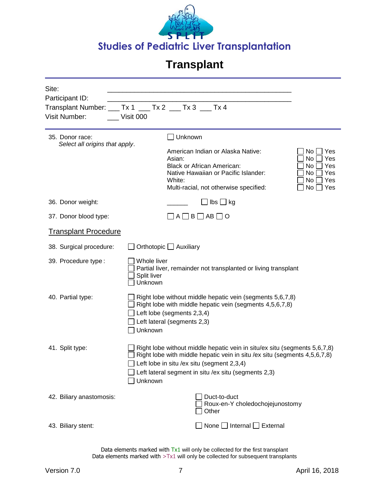

| Site:<br>Participant ID:<br>Visit Number: | Transplant Number: ___ Tx 1 ___ Tx 2 ___ Tx 3 Tx 4<br>Visit 000                                                                                                                                                                                                         |
|-------------------------------------------|-------------------------------------------------------------------------------------------------------------------------------------------------------------------------------------------------------------------------------------------------------------------------|
| 35. Donor race:                           | Unknown                                                                                                                                                                                                                                                                 |
| Select all origins that apply.            | American Indian or Alaska Native:<br>No.<br>Yes<br>Asian:<br>No<br>Yes<br>No<br>Yes<br><b>Black or African American:</b><br>Native Hawaiian or Pacific Islander:<br>No<br>Yes<br>White:<br>No<br>Yes<br>No<br>Multi-racial, not otherwise specified:<br>Yes             |
| 36. Donor weight:                         | $\mathsf{lbs} \bigsqcup \mathsf{kg}$                                                                                                                                                                                                                                    |
| 37. Donor blood type:                     | $A \square B \square AB \square O$                                                                                                                                                                                                                                      |
| <b>Transplant Procedure</b>               |                                                                                                                                                                                                                                                                         |
| 38. Surgical procedure:                   | Orthotopic □ Auxiliary                                                                                                                                                                                                                                                  |
| 39. Procedure type:                       | Whole liver<br>Partial liver, remainder not transplanted or living transplant<br>Split liver<br>Unknown                                                                                                                                                                 |
| 40. Partial type:                         | Right lobe without middle hepatic vein (segments 5,6,7,8)<br>Right lobe with middle hepatic vein (segments 4,5,6,7,8)<br>Left lobe (segments 2,3,4)<br>Left lateral (segments 2,3)<br>Unknown                                                                           |
| 41. Split type:                           | Right lobe without middle hepatic vein in situ/ex situ (segments 5,6,7,8)<br>Right lobe with middle hepatic vein in situ /ex situ (segments 4,5,6,7,8)<br>Left lobe in situ /ex situ (segment 2,3,4)<br>Left lateral segment in situ /ex situ (segments 2,3)<br>Unknown |
| 42. Biliary anastomosis:                  | Duct-to-duct<br>Roux-en-Y choledochojejunostomy<br>Other                                                                                                                                                                                                                |
| 43. Biliary stent:                        | None $\Box$ Internal $\Box$ External                                                                                                                                                                                                                                    |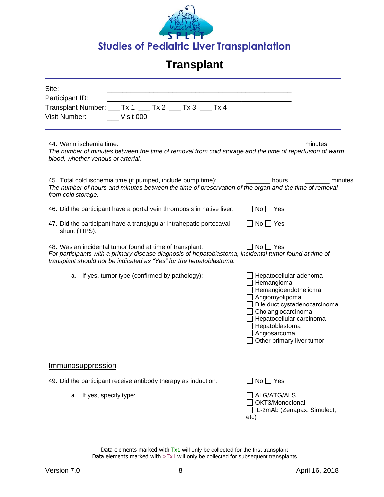

| Site:<br>Participant ID:<br>Visit Number:                     | Transplant Number: ___ Tx 1 ___ Tx 2 ___ Tx 3 ___ Tx 4<br>Visit 000                                                                                                                                                                       |                                                                                                                                                                                                                                 |
|---------------------------------------------------------------|-------------------------------------------------------------------------------------------------------------------------------------------------------------------------------------------------------------------------------------------|---------------------------------------------------------------------------------------------------------------------------------------------------------------------------------------------------------------------------------|
| 44. Warm ischemia time:<br>blood, whether venous or arterial. |                                                                                                                                                                                                                                           | minutes<br>The number of minutes between the time of removal from cold storage and the time of reperfusion of warm                                                                                                              |
| from cold storage.                                            | 45. Total cold ischemia time (if pumped, include pump time):                                                                                                                                                                              | hours<br>minutes<br>The number of hours and minutes between the time of preservation of the organ and the time of removal                                                                                                       |
|                                                               | 46. Did the participant have a portal vein thrombosis in native liver:                                                                                                                                                                    | $No \bigsqcup Yes$                                                                                                                                                                                                              |
| shunt (TIPS):                                                 | 47. Did the participant have a transjugular intrahepatic portocaval                                                                                                                                                                       | $No$   $Yes$                                                                                                                                                                                                                    |
|                                                               | 48. Was an incidental tumor found at time of transplant:<br>For participants with a primary disease diagnosis of hepatoblastoma, incidental tumor found at time of<br>transplant should not be indicated as "Yes" for the hepatoblastoma. | No     Yes                                                                                                                                                                                                                      |
| а.                                                            | If yes, tumor type (confirmed by pathology):                                                                                                                                                                                              | Hepatocellular adenoma<br>Hemangioma<br>Hemangioendothelioma<br>Angiomyolipoma<br>Bile duct cystadenocarcinoma<br>Cholangiocarcinoma<br>Hepatocellular carcinoma<br>Hepatoblastoma<br>Angiosarcoma<br>Other primary liver tumor |
| <u>Immunosuppression</u>                                      |                                                                                                                                                                                                                                           |                                                                                                                                                                                                                                 |
|                                                               | 49. Did the participant receive antibody therapy as induction:                                                                                                                                                                            | $No \Box Yes$                                                                                                                                                                                                                   |
| a.                                                            | If yes, specify type:                                                                                                                                                                                                                     | ALG/ATG/ALS<br>OKT3/Monoclonal<br>IL-2mAb (Zenapax, Simulect,<br>etc)                                                                                                                                                           |
|                                                               |                                                                                                                                                                                                                                           |                                                                                                                                                                                                                                 |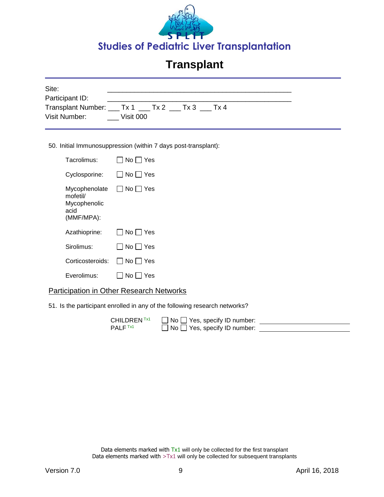

| Site:<br>Participant ID:<br>Visit Number:                       | Transplant Number: ___ Tx 1 ___ Tx 2 ___ Tx 3 ___ Tx 4<br>Visit 000 |  |
|-----------------------------------------------------------------|---------------------------------------------------------------------|--|
|                                                                 | 50. Initial Immunosuppression (within 7 days post-transplant):      |  |
| Tacrolimus:                                                     | No     Yes                                                          |  |
| Cyclosporine:                                                   | No     Yes                                                          |  |
| Mycophenolate<br>mofetil/<br>Mycophenolic<br>acid<br>(MMF/MPA): | $\Box$ No $\Box$ Yes                                                |  |
| Azathioprine:                                                   | Yes<br>No.                                                          |  |

| Azathioprine:                         | $\Box$ No $\Box$ Yes |
|---------------------------------------|----------------------|
| Sirolimus:                            | $\Box$ No $\Box$ Yes |
| Corticosteroids: $\Box$ No $\Box$ Yes |                      |
| Everolimus:                           | $\Box$ No $\Box$ Yes |

#### Participation in Other Research Networks

51. Is the participant enrolled in any of the following research networks?

| CHILDREN <sup>Tx1</sup> | $\Box$ No $\Box$ Yes, specify ID number: |  |
|-------------------------|------------------------------------------|--|
| $\mathsf{PALF}$ Tx1.    | $\Box$ No $\Box$ Yes, specify ID number: |  |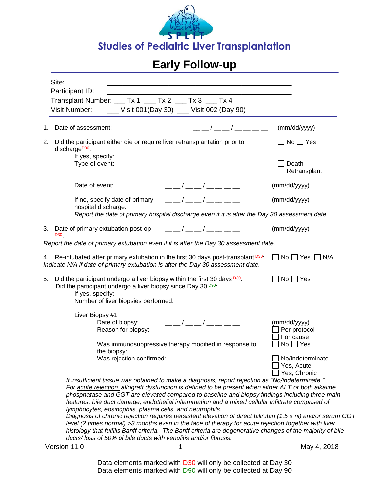

|    | Site:<br><u> 1989 - Johann Barn, mars an t-Amerikaansk politiker (* 1908)</u><br>Participant ID:                                                                                                                                                                                                                                                                                                                                                                                                                                                                                                                                                                                                                                                                                                                                                                                       |                                                |
|----|----------------------------------------------------------------------------------------------------------------------------------------------------------------------------------------------------------------------------------------------------------------------------------------------------------------------------------------------------------------------------------------------------------------------------------------------------------------------------------------------------------------------------------------------------------------------------------------------------------------------------------------------------------------------------------------------------------------------------------------------------------------------------------------------------------------------------------------------------------------------------------------|------------------------------------------------|
|    | Transplant Number: ___ Tx 1 ___ Tx 2 ___ Tx 3 ___ Tx 4<br>Visit Number: _____ Visit 001(Day 30) ___ Visit 002 (Day 90)                                                                                                                                                                                                                                                                                                                                                                                                                                                                                                                                                                                                                                                                                                                                                                 |                                                |
| 1. | — — / — — / — — — —<br>Date of assessment:                                                                                                                                                                                                                                                                                                                                                                                                                                                                                                                                                                                                                                                                                                                                                                                                                                             | (mm/dd/yyyy)                                   |
| 2. | Did the participant either die or require liver retransplantation prior to<br>discharge <sup>D30</sup>                                                                                                                                                                                                                                                                                                                                                                                                                                                                                                                                                                                                                                                                                                                                                                                 | $\Box$ No $\Box$ Yes                           |
|    | If yes, specify:<br>Type of event:                                                                                                                                                                                                                                                                                                                                                                                                                                                                                                                                                                                                                                                                                                                                                                                                                                                     | Death<br>Retransplant                          |
|    | Date of event:<br>— — / — — / — — — — —                                                                                                                                                                                                                                                                                                                                                                                                                                                                                                                                                                                                                                                                                                                                                                                                                                                | (mm/dd/yyyy)                                   |
|    | $\frac{1}{2}$ $\frac{1}{2}$ $\frac{1}{2}$ $\frac{1}{2}$ $\frac{1}{2}$ $\frac{1}{2}$ $\frac{1}{2}$ $\frac{1}{2}$ $\frac{1}{2}$ $\frac{1}{2}$ $\frac{1}{2}$ $\frac{1}{2}$ $\frac{1}{2}$ $\frac{1}{2}$ $\frac{1}{2}$ $\frac{1}{2}$ $\frac{1}{2}$ $\frac{1}{2}$ $\frac{1}{2}$ $\frac{1}{2}$ $\frac{1}{2}$ $\frac{1}{2}$<br>If no, specify date of primary<br>hospital discharge:                                                                                                                                                                                                                                                                                                                                                                                                                                                                                                           | (mm/dd/yyyy)                                   |
|    | Report the date of primary hospital discharge even if it is after the Day 30 assessment date.                                                                                                                                                                                                                                                                                                                                                                                                                                                                                                                                                                                                                                                                                                                                                                                          |                                                |
|    | 3. Date of primary extubation post-op $\qquad \qquad \underline{\qquad}$ $\qquad \qquad$ $\qquad \underline{\qquad}$ $\qquad \qquad$ $\qquad \qquad$ $\qquad \qquad$<br>D30-                                                                                                                                                                                                                                                                                                                                                                                                                                                                                                                                                                                                                                                                                                           | (mm/dd/yyyy)                                   |
|    | Report the date of primary extubation even if it is after the Day 30 assessment date.                                                                                                                                                                                                                                                                                                                                                                                                                                                                                                                                                                                                                                                                                                                                                                                                  |                                                |
|    | 4. Re-intubated after primary extubation in the first 30 days post-transplant <sup>D30</sup> :<br>Indicate N/A if date of primary extubation is after the Day 30 assessment date.                                                                                                                                                                                                                                                                                                                                                                                                                                                                                                                                                                                                                                                                                                      | $\Box$ No $\Box$ Yes $\Box$ N/A                |
| 5. | Did the participant undergo a liver biopsy within the first 30 days D30.<br>Did the participant undergo a liver biopsy since Day 30 D90:<br>If yes, specify:<br>Number of liver biopsies performed:                                                                                                                                                                                                                                                                                                                                                                                                                                                                                                                                                                                                                                                                                    | $No \square Yes$                               |
|    | Liver Biopsy #1                                                                                                                                                                                                                                                                                                                                                                                                                                                                                                                                                                                                                                                                                                                                                                                                                                                                        |                                                |
|    | — — / — — / — — — — —<br>Date of biopsy:<br>Reason for biopsy:                                                                                                                                                                                                                                                                                                                                                                                                                                                                                                                                                                                                                                                                                                                                                                                                                         | (mm/dd/yyyy)<br>Per protocol<br>For cause      |
|    | Was immunosuppressive therapy modified in response to<br>the biopsy:                                                                                                                                                                                                                                                                                                                                                                                                                                                                                                                                                                                                                                                                                                                                                                                                                   | $No \square Yes$                               |
|    | Was rejection confirmed:                                                                                                                                                                                                                                                                                                                                                                                                                                                                                                                                                                                                                                                                                                                                                                                                                                                               | No/indeterminate<br>Yes, Acute<br>Yes, Chronic |
|    | If insufficient tissue was obtained to make a diagnosis, report rejection as "No/indeterminate."<br>For acute rejection. allograft dysfunction is defined to be present when either ALT or both alkaline<br>phosphatase and GGT are elevated compared to baseline and biopsy findings including three main<br>features, bile duct damage, endothelial inflammation and a mixed cellular infiltrate comprised of<br>lymphocytes, eosinophils, plasma cells, and neutrophils.<br>Diagnosis of chronic rejection requires persistent elevation of direct bilirubin (1.5 x nl) and/or serum GGT<br>level (2 times normal) >3 months even in the face of therapy for acute rejection together with liver<br>histology that fulfills Banff criteria. The Banff criteria are degenerative changes of the majority of bile<br>ducts/ loss of 50% of bile ducts with venulitis and/or fibrosis. |                                                |

Version 11.0 1 1 May 4, 2018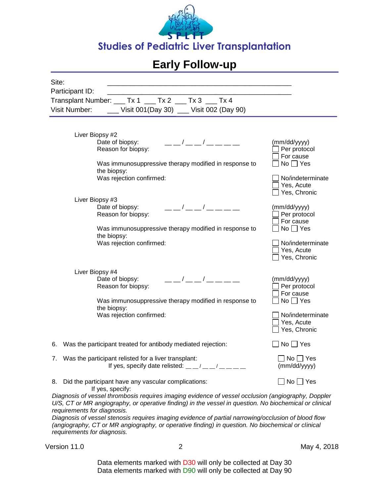

| Site:                                                                                                                                                                                                                                                                                                                                                                                                                                                   |                                                                                   |  |
|---------------------------------------------------------------------------------------------------------------------------------------------------------------------------------------------------------------------------------------------------------------------------------------------------------------------------------------------------------------------------------------------------------------------------------------------------------|-----------------------------------------------------------------------------------|--|
| Participant ID:                                                                                                                                                                                                                                                                                                                                                                                                                                         |                                                                                   |  |
| Transplant Number: ___ Tx 1 ___ Tx 2 ___ Tx 3 ___ Tx 4                                                                                                                                                                                                                                                                                                                                                                                                  |                                                                                   |  |
| Visit Number:<br>__ Visit 001(Day 30) __ Visit 002 (Day 90)                                                                                                                                                                                                                                                                                                                                                                                             |                                                                                   |  |
|                                                                                                                                                                                                                                                                                                                                                                                                                                                         |                                                                                   |  |
| Liver Biopsy #2<br>— — / — — / — — — — —<br>Date of biopsy:<br>Reason for biopsy:<br>Was immunosuppressive therapy modified in response to<br>the biopsy:<br>Was rejection confirmed:                                                                                                                                                                                                                                                                   | (mm/dd/yyyy)<br>Per protocol<br>For cause<br>$No \square Yes$<br>No/indeterminate |  |
|                                                                                                                                                                                                                                                                                                                                                                                                                                                         | Yes, Acute<br>Yes, Chronic                                                        |  |
| Liver Biopsy #3<br>$-1$ $-1$ $-1$ $-1$ $-$<br>Date of biopsy:<br>Reason for biopsy:                                                                                                                                                                                                                                                                                                                                                                     | (mm/dd/yyyy)<br>Per protocol<br>For cause                                         |  |
| Was immunosuppressive therapy modified in response to<br>the biopsy:                                                                                                                                                                                                                                                                                                                                                                                    | $No \square Yes$                                                                  |  |
| Was rejection confirmed:                                                                                                                                                                                                                                                                                                                                                                                                                                | No/indeterminate<br>Yes, Acute<br>Yes, Chronic                                    |  |
| Liver Biopsy #4<br>— — / — — / — — — —<br>Date of biopsy:<br>Reason for biopsy:                                                                                                                                                                                                                                                                                                                                                                         | (mm/dd/yyyy)<br>Per protocol<br>For cause                                         |  |
| Was immunosuppressive therapy modified in response to<br>the biopsy:                                                                                                                                                                                                                                                                                                                                                                                    | $No \square Yes$                                                                  |  |
| Was rejection confirmed:                                                                                                                                                                                                                                                                                                                                                                                                                                | No/indeterminate<br>Yes, Acute<br>Yes, Chronic                                    |  |
| 6. Was the participant treated for antibody mediated rejection:                                                                                                                                                                                                                                                                                                                                                                                         | $\Box$ No $\Box$ Yes                                                              |  |
| 7. Was the participant relisted for a liver transplant:<br>If yes, specify date relisted: $\frac{m}{m}$ / $\frac{m}{m}$ / $\frac{m}{m}$ / $\frac{m}{m}$ / $\frac{m}{m}$                                                                                                                                                                                                                                                                                 | $\Box$ No $\Box$ Yes<br>(mm/dd/yyyy)                                              |  |
| Did the participant have any vascular complications:<br>8.<br>If yes, specify:                                                                                                                                                                                                                                                                                                                                                                          | ]No □ Yes                                                                         |  |
| Diagnosis of vessel thrombosis requires imaging evidence of vessel occlusion (angiography, Doppler<br>U/S, CT or MR angiography, or operative finding) in the vessel in question. No biochemical or clinical<br>requirements for diagnosis.<br>Diagnosis of vessel stenosis requires imaging evidence of partial narrowing/occlusion of blood flow<br>(angiography, CT or MR angiography, or operative finding) in question. No biochemical or clinical |                                                                                   |  |
| requirements for diagnosis.                                                                                                                                                                                                                                                                                                                                                                                                                             |                                                                                   |  |

Version 11.0 2 May 4, 2018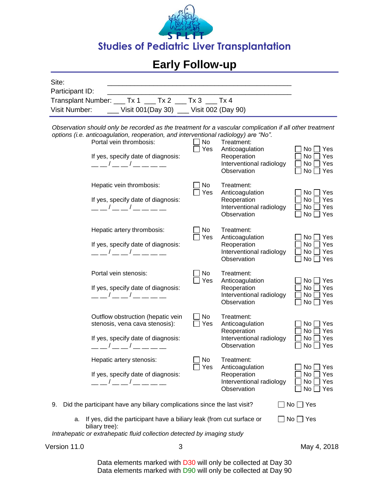

| Participant ID:<br>Transplant Number: ___ Tx 1 ___ Tx 2 ___ Tx 3 ___ Tx 4                                                                                                                                                                                                                                                                                                                                                                                                                                                                                                                                                                                                                                                                                                                                                                                     |
|---------------------------------------------------------------------------------------------------------------------------------------------------------------------------------------------------------------------------------------------------------------------------------------------------------------------------------------------------------------------------------------------------------------------------------------------------------------------------------------------------------------------------------------------------------------------------------------------------------------------------------------------------------------------------------------------------------------------------------------------------------------------------------------------------------------------------------------------------------------|
| Visit Number:<br>__ Visit 001(Day 30) __ Visit 002 (Day 90)                                                                                                                                                                                                                                                                                                                                                                                                                                                                                                                                                                                                                                                                                                                                                                                                   |
| Observation should only be recorded as the treatment for a vascular complication if all other treatment<br>options (i.e. anticoagulation, reoperation, and interventional radiology) are "No".<br>Portal vein thrombosis:<br>No<br>Treatment:<br>$\Box$ Yes<br>Anticoagulation<br>No  <br>$\sqcup$ Yes<br>If yes, specify date of diagnosis:<br>Reoperation<br>No.<br>Yes<br>Interventional radiology<br>$\frac{\frac{1}{2}}{\frac{1}{2}}$ / $\frac{\frac{1}{2}}{\frac{1}{2}}$ / $\frac{\frac{1}{2}}{\frac{1}{2}}$ / $\frac{\frac{1}{2}}{\frac{1}{2}}$ / $\frac{\frac{1}{2}}{\frac{1}{2}}$ / $\frac{\frac{1}{2}}{\frac{1}{2}}$ / $\frac{\frac{1}{2}}{\frac{1}{2}}$ / $\frac{\frac{1}{2}}{\frac{1}{2}}$ / $\frac{\frac{1}{2}}{\frac{1}{2}}$ / $\frac{\frac{1}{2}}{\frac{1}{2}}$ / $\frac{\frac{1}{2}}{\$<br>No<br>Yes<br>Observation<br>No <sub>1</sub><br>Yes |
| No<br>Hepatic vein thrombosis:<br>Treatment:<br>Yes<br>Anticoagulation<br>No  <br>l Yes<br>Reoperation<br>No<br>Yes<br>If yes, specify date of diagnosis:<br>Interventional radiology<br>__ __ / __ __ / __ __ __<br>No<br>Yes<br>Observation<br>No<br>Yes                                                                                                                                                                                                                                                                                                                                                                                                                                                                                                                                                                                                    |
| No<br>Hepatic artery thrombosis:<br>Treatment:<br>Yes<br>Anticoagulation<br>No l<br>Yes<br>If yes, specify date of diagnosis:<br>Reoperation<br>No<br>Yes<br>__ __ / __ __ / __ __ __<br>Interventional radiology<br>No<br>Yes<br>Observation<br>No  <br>Yes                                                                                                                                                                                                                                                                                                                                                                                                                                                                                                                                                                                                  |
| Portal vein stenosis:<br>No<br>Treatment:<br>Yes<br>Anticoagulation<br>No <sub>1</sub><br>Yes<br>Reoperation<br>No<br>Yes<br>If yes, specify date of diagnosis:<br>Interventional radiology<br>No<br>Yes<br>__ __ / __ __ / __ __ __ __<br>Observation<br>No  <br>Yes                                                                                                                                                                                                                                                                                                                                                                                                                                                                                                                                                                                         |
| No<br>Outflow obstruction (hepatic vein<br>Treatment:<br>stenosis, vena cava stenosis):<br>Yes<br>Anticoagulation<br>No l<br>Yes<br>Reoperation<br>No<br>Yes<br>If yes, specify date of diagnosis:<br>Interventional radiology<br>No<br>Yes<br>Observation<br>No<br>Yes                                                                                                                                                                                                                                                                                                                                                                                                                                                                                                                                                                                       |
| No<br>Hepatic artery stenosis:<br>Treatment:<br>Yes<br>Anticoagulation<br>Yes<br>No.<br>If yes, specify date of diagnosis:<br>Reoperation<br>Yes<br>No.<br>Interventional radiology<br>No<br>Yes<br>Observation<br>No<br>Yes                                                                                                                                                                                                                                                                                                                                                                                                                                                                                                                                                                                                                                  |
| Did the participant have any biliary complications since the last visit?<br>$No \square Yes$<br>9.                                                                                                                                                                                                                                                                                                                                                                                                                                                                                                                                                                                                                                                                                                                                                            |
| If yes, did the participant have a biliary leak (from cut surface or<br>$No \Box Yes$<br>а.<br>biliary tree):<br>Intrahepatic or extrahepatic fluid collection detected by imaging study                                                                                                                                                                                                                                                                                                                                                                                                                                                                                                                                                                                                                                                                      |

Version 11.0 3 3 May 4, 2018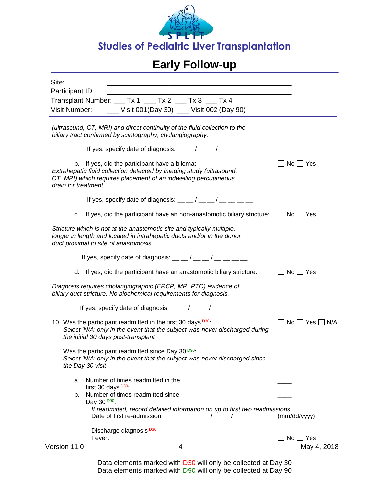

| Site:<br>the control of the control of the control of the control of the control of the control of                                                                                                               |                                 |
|------------------------------------------------------------------------------------------------------------------------------------------------------------------------------------------------------------------|---------------------------------|
| Participant ID:                                                                                                                                                                                                  |                                 |
| Transplant Number: ___ Tx 1 ___ Tx 2 ___ Tx 3 ___ Tx 4                                                                                                                                                           |                                 |
| ___ Visit 001(Day 30) __ Visit 002 (Day 90)<br>Visit Number:                                                                                                                                                     |                                 |
| (ultrasound, CT, MRI) and direct continuity of the fluid collection to the<br>biliary tract confirmed by scintography, cholangiography.                                                                          |                                 |
| If yes, specify date of diagnosis: $\frac{1}{2}$ $\frac{1}{2}$ $\frac{1}{2}$ $\frac{1}{2}$ $\frac{1}{2}$ $\frac{1}{2}$ $\frac{1}{2}$ $\frac{1}{2}$ $\frac{1}{2}$                                                 |                                 |
| b. If yes, did the participant have a biloma:<br>Extrahepatic fluid collection detected by imaging study (ultrasound,<br>CT, MRI) which requires placement of an indwelling percutaneous<br>drain for treatment. | $\Box$ No $\Box$ Yes            |
| If yes, specify date of diagnosis: $\frac{1}{2}$ $\frac{1}{2}$ $\frac{1}{2}$ $\frac{1}{2}$ $\frac{1}{2}$ $\frac{1}{2}$ $\frac{1}{2}$ $\frac{1}{2}$ $\frac{1}{2}$                                                 |                                 |
| If yes, did the participant have an non-anastomotic biliary stricture: $\Box$ No $\Box$ Yes<br>C.                                                                                                                |                                 |
| Stricture which is not at the anastomotic site and typically multiple,<br>longer in length and located in intrahepatic ducts and/or in the donor<br>duct proximal to site of anastomosis.                        |                                 |
| If yes, specify date of diagnosis: $\frac{1}{2}$ $\frac{1}{2}$ $\frac{1}{2}$ $\frac{1}{2}$ $\frac{1}{2}$ $\frac{1}{2}$ $\frac{1}{2}$ $\frac{1}{2}$ $\frac{1}{2}$                                                 |                                 |
| d. If yes, did the participant have an anastomotic biliary stricture:                                                                                                                                            | $\Box$ No $\Box$ Yes            |
| Diagnosis requires cholangiographic (ERCP, MR, PTC) evidence of<br>biliary duct stricture. No biochemical requirements for diagnosis.                                                                            |                                 |
| If yes, specify date of diagnosis: $\frac{1}{2}$ $\frac{1}{2}$ $\frac{1}{2}$ $\frac{1}{2}$ $\frac{1}{2}$ $\frac{1}{2}$ $\frac{1}{2}$ $\frac{1}{2}$ $\frac{1}{2}$                                                 |                                 |
| 10. Was the participant readmitted in the first 30 days <sup>D30</sup> :<br>Select 'N/A' only in the event that the subject was never discharged during<br>the initial 30 days post-transplant                   | $\Box$ No $\Box$ Yes $\Box$ N/A |
| Was the participant readmitted since Day 30 <sup>D90</sup> :<br>Select 'N/A' only in the event that the subject was never discharged since<br>the Day 30 visit                                                   |                                 |
| Number of times readmitted in the<br>a.<br>first 30 days $D30$ :                                                                                                                                                 |                                 |
| b. Number of times readmitted since<br>Day 30 <sup>D90</sup> :                                                                                                                                                   |                                 |
| If readmitted, record detailed information on up to first two readmissions.<br>Date of first re-admission:<br>___/___/____                                                                                       | (mm/dd/yyyy)                    |
| Discharge diagnosis <sup>D30</sup><br>Fever:                                                                                                                                                                     | $No \Box Yes$                   |
| Version 11.0<br>4                                                                                                                                                                                                | May 4, 2018                     |
|                                                                                                                                                                                                                  |                                 |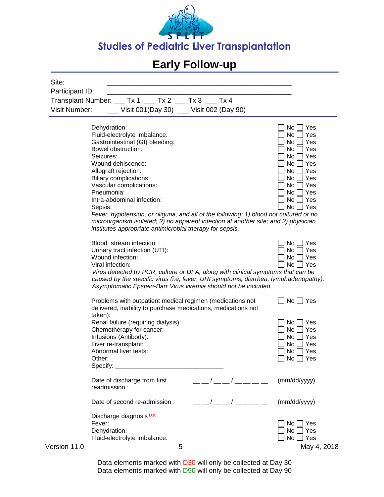

| Site:                |                                                                                                                                                                                                                                                                                                                                                                                                      |                                            |
|----------------------|------------------------------------------------------------------------------------------------------------------------------------------------------------------------------------------------------------------------------------------------------------------------------------------------------------------------------------------------------------------------------------------------------|--------------------------------------------|
| Participant ID:      |                                                                                                                                                                                                                                                                                                                                                                                                      |                                            |
| <b>Visit Number:</b> | Transplant Number: ___ Tx 1 ___ Tx 2 ___ Tx 3 ___ Tx 4<br>Visit 001(Day 30) __ Visit 002 (Day 90)                                                                                                                                                                                                                                                                                                    |                                            |
|                      |                                                                                                                                                                                                                                                                                                                                                                                                      |                                            |
|                      | Dehydration:<br>Fluid-electrolyte imbalance:<br>Gastrointestinal (GI) bleeding:                                                                                                                                                                                                                                                                                                                      | No<br>Yes<br>No<br>Yes<br>No.<br>Yes       |
|                      | Bowel obstruction:<br>Seizures:                                                                                                                                                                                                                                                                                                                                                                      | Yes<br>No<br>No<br>Yes                     |
|                      | Wound dehiscence:<br>Allograft rejection:                                                                                                                                                                                                                                                                                                                                                            | Yes<br>No<br>Yes<br>No                     |
|                      | Biliary complications:<br>Vascular complications:<br>Pneumonia:                                                                                                                                                                                                                                                                                                                                      | Yes<br>No.<br>Yes<br>No.<br>No<br>Yes      |
|                      | Intra-abdominal infection:<br>Sepsis:                                                                                                                                                                                                                                                                                                                                                                | No<br>Yes<br>No<br>Yes                     |
|                      | Fever, hypotension, or oliguria, and all of the following: 1) blood not cultured or no<br>microorganism isolated; 2) no apparent infection at another site; and 3) physician<br>institutes appropriate antimicrobial therapy for sepsis.                                                                                                                                                             |                                            |
|                      | Blood stream infection:<br>Urinary tract infection (UTI):<br>Wound infection:                                                                                                                                                                                                                                                                                                                        | Yes<br>No<br>Yes<br>No<br>Yes<br>No        |
|                      | Viral infection:<br>Virus detected by PCR, culture or DFA, along with clinical symptoms that can be<br>caused by the specific virus (i.e, fever, URI symptoms, diarrhea, lymphadenopathy).<br>Asymptomatic Epstein-Barr Virus viremia should not be included.                                                                                                                                        | No<br>Yes                                  |
|                      | Problems with outpatient medical regimen (medications not<br>delivered, inability to purchase medications, medications not<br>taken):                                                                                                                                                                                                                                                                | $No \bigsqcup Yes$                         |
|                      | Renal failure (requiring dialysis):<br>Chemotherapy for cancer:<br>Infusions (Antibody):                                                                                                                                                                                                                                                                                                             | No<br>Yes<br>No<br>Yes<br>No<br>Yes        |
|                      | Liver re-transplant:<br>Abnormal liver tests:<br>Other:                                                                                                                                                                                                                                                                                                                                              | No<br>Yes<br>No<br>Yes<br>$No \square Yes$ |
|                      | Specify: $_{-}$                                                                                                                                                                                                                                                                                                                                                                                      |                                            |
|                      | $\frac{1}{2}$ $\frac{1}{2}$ $\frac{1}{2}$ $\frac{1}{2}$ $\frac{1}{2}$ $\frac{1}{2}$ $\frac{1}{2}$ $\frac{1}{2}$ $\frac{1}{2}$ $\frac{1}{2}$ $\frac{1}{2}$ $\frac{1}{2}$ $\frac{1}{2}$ $\frac{1}{2}$ $\frac{1}{2}$ $\frac{1}{2}$ $\frac{1}{2}$ $\frac{1}{2}$ $\frac{1}{2}$ $\frac{1}{2}$ $\frac{1}{2}$ $\frac{1}{2}$<br>Date of discharge from first<br>readmission:                                  | (mm/dd/yyyy)                               |
|                      | $\frac{1}{\sqrt{2}}$ $\frac{1}{\sqrt{2}}$ $\frac{1}{\sqrt{2}}$ $\frac{1}{\sqrt{2}}$ $\frac{1}{\sqrt{2}}$ $\frac{1}{\sqrt{2}}$ $\frac{1}{\sqrt{2}}$ $\frac{1}{\sqrt{2}}$ $\frac{1}{\sqrt{2}}$ $\frac{1}{\sqrt{2}}$ $\frac{1}{\sqrt{2}}$ $\frac{1}{\sqrt{2}}$ $\frac{1}{\sqrt{2}}$ $\frac{1}{\sqrt{2}}$ $\frac{1}{\sqrt{2}}$ $\frac{1}{\sqrt{2}}$ $\frac{1}{\sqrt{2}}$<br>Date of second re-admission: | (mm/dd/yyyy)                               |
|                      | Discharge diagnosis <sup>D30</sup><br>Fever:<br>Dehydration:                                                                                                                                                                                                                                                                                                                                         | Yes<br>No<br>No<br>Yes                     |
| Version 11.0         | Fluid-electrolyte imbalance:<br>5                                                                                                                                                                                                                                                                                                                                                                    | No<br>Yes<br>May 4, 2018                   |
|                      |                                                                                                                                                                                                                                                                                                                                                                                                      |                                            |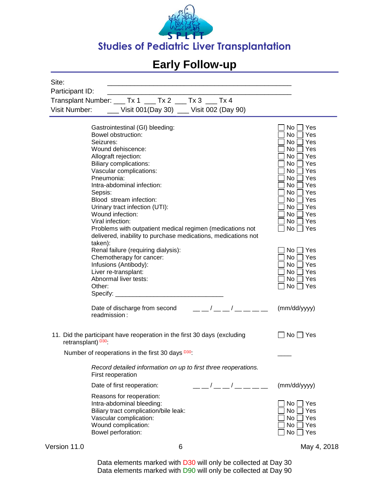

| Site:<br>Participant ID:        |                                                                                                                                                                                                                                                                                                                                                                                                                                               |                                                                                                                                                                                                                |
|---------------------------------|-----------------------------------------------------------------------------------------------------------------------------------------------------------------------------------------------------------------------------------------------------------------------------------------------------------------------------------------------------------------------------------------------------------------------------------------------|----------------------------------------------------------------------------------------------------------------------------------------------------------------------------------------------------------------|
| Visit Number:                   | Transplant Number: ___ Tx 1 ___ Tx 2 ___ Tx 3 ___ Tx 4<br>___ Visit 001(Day 30) __ Visit 002 (Day 90)                                                                                                                                                                                                                                                                                                                                         |                                                                                                                                                                                                                |
| Seizures:<br>Sepsis:<br>taken): | Gastrointestinal (GI) bleeding:<br>Bowel obstruction:<br>Wound dehiscence:<br>Allograft rejection:<br><b>Biliary complications:</b><br>Vascular complications:<br>Pneumonia:<br>Intra-abdominal infection:<br>Blood stream infection:<br>Urinary tract infection (UTI):<br>Wound infection:<br>Viral infection:<br>Problems with outpatient medical regimen (medications not<br>delivered, inability to purchase medications, medications not | No <sub>1</sub><br>Yes<br>No<br>Yes<br>No<br>Yes<br>No<br>Yes<br>No<br>Yes<br>No<br>Yes<br>Yes<br>No<br>No<br>Yes<br>No<br>Yes<br>No<br>Yes<br>No<br>Yes<br>No<br>Yes<br>No<br>Yes<br>No<br>Yes<br>No  <br>Yes |
| Other:                          | Renal failure (requiring dialysis):<br>Chemotherapy for cancer:<br>Infusions (Antibody):<br>Liver re-transplant:<br>Abnormal liver tests:<br>Specify: $\_\_$                                                                                                                                                                                                                                                                                  | No<br>Yes<br>No<br>Yes<br>No<br>Yes<br>No<br>Yes<br>No<br>Yes<br>No<br>Yes                                                                                                                                     |
|                                 | $\overline{1}$<br>Date of discharge from second<br>readmission:                                                                                                                                                                                                                                                                                                                                                                               | (mm/dd/yyyy)                                                                                                                                                                                                   |
| retransplant) <sup>D30</sup>    | 11. Did the participant have reoperation in the first 30 days (excluding                                                                                                                                                                                                                                                                                                                                                                      | $No \bigsqcup Yes$                                                                                                                                                                                             |
|                                 | Number of reoperations in the first 30 days D30.                                                                                                                                                                                                                                                                                                                                                                                              |                                                                                                                                                                                                                |
|                                 | Record detailed information on up to first three reoperations.<br>First reoperation                                                                                                                                                                                                                                                                                                                                                           |                                                                                                                                                                                                                |
|                                 | Date of first reoperation:                                                                                                                                                                                                                                                                                                                                                                                                                    | (mm/dd/yyyy)                                                                                                                                                                                                   |
|                                 | Reasons for reoperation:<br>Intra-abdominal bleeding:<br>Biliary tract complication/bile leak:<br>Vascular complication:<br>Wound complication:<br>Bowel perforation:                                                                                                                                                                                                                                                                         | No.<br>Yes<br>No<br>Yes<br>No<br>Yes<br>No<br>Yes<br>No<br>Yes                                                                                                                                                 |

Version 11.0 6 6 May 4, 2018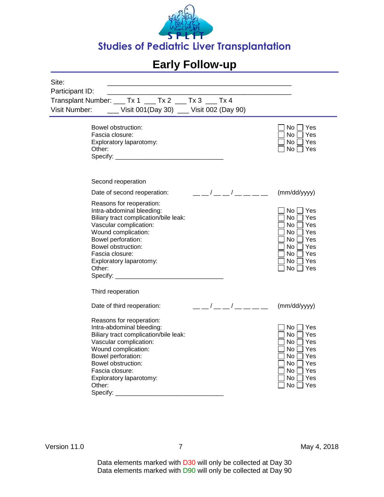

| Site:                                                          |                                                                                                                                                                                                                        |                                                                                                                                                                                                                                                                                                                           |                                                                                                                                               |
|----------------------------------------------------------------|------------------------------------------------------------------------------------------------------------------------------------------------------------------------------------------------------------------------|---------------------------------------------------------------------------------------------------------------------------------------------------------------------------------------------------------------------------------------------------------------------------------------------------------------------------|-----------------------------------------------------------------------------------------------------------------------------------------------|
| Participant ID:                                                |                                                                                                                                                                                                                        |                                                                                                                                                                                                                                                                                                                           |                                                                                                                                               |
| Transplant Number: ___ Tx 1 ___ Tx 2 ___ Tx 3 ___ Tx 4         |                                                                                                                                                                                                                        |                                                                                                                                                                                                                                                                                                                           |                                                                                                                                               |
| Visit Number: ______ Visit 001(Day 30) ____ Visit 002 (Day 90) |                                                                                                                                                                                                                        |                                                                                                                                                                                                                                                                                                                           |                                                                                                                                               |
| Fascia closure:<br>Other:                                      | Bowel obstruction:<br>Exploratory laparotomy:                                                                                                                                                                          |                                                                                                                                                                                                                                                                                                                           | No     Yes<br>No <sub>1</sub><br>Yes<br>No l<br><b>Yes</b><br>No     Yes                                                                      |
|                                                                | Second reoperation                                                                                                                                                                                                     |                                                                                                                                                                                                                                                                                                                           |                                                                                                                                               |
|                                                                | Date of second reoperation:                                                                                                                                                                                            | $\frac{\frac{1}{2}}{2}$ $\frac{\frac{1}{2}}{2}$ $\frac{1}{2}$ $\frac{1}{2}$ $\frac{1}{2}$ $\frac{1}{2}$ $\frac{1}{2}$ $\frac{1}{2}$ $\frac{1}{2}$ $\frac{1}{2}$ $\frac{1}{2}$ $\frac{1}{2}$ $\frac{1}{2}$ $\frac{1}{2}$ $\frac{1}{2}$ $\frac{1}{2}$ $\frac{1}{2}$ $\frac{1}{2}$ $\frac{1}{2}$ $\frac{1}{2}$ $\frac{1}{2}$ | (mm/dd/yyyy)                                                                                                                                  |
| Fascia closure:<br>Other:                                      | Reasons for reoperation:<br>Intra-abdominal bleeding:<br>Biliary tract complication/bile leak:<br>Vascular complication:<br>Wound complication:<br>Bowel perforation:<br>Bowel obstruction:<br>Exploratory laparotomy: |                                                                                                                                                                                                                                                                                                                           | No  <br>$\sqcup$ Yes<br>No<br>Yes<br>No  <br>Yes<br>No II<br>Yes<br>No     Yes<br>No II<br>Yes<br>No     Yes<br>No     Yes<br>$No \Box Yes$   |
| Third reoperation                                              |                                                                                                                                                                                                                        |                                                                                                                                                                                                                                                                                                                           |                                                                                                                                               |
|                                                                | Date of third reoperation:                                                                                                                                                                                             | $\frac{\frac{1}{2}}{2}$ $\frac{\frac{1}{2}}{2}$ $\frac{1}{2}$ $\frac{1}{2}$ $\frac{1}{2}$ $\frac{1}{2}$ $\frac{1}{2}$ $\frac{1}{2}$ $\frac{1}{2}$ $\frac{1}{2}$ $\frac{1}{2}$ $\frac{1}{2}$ $\frac{1}{2}$ $\frac{1}{2}$ $\frac{1}{2}$ $\frac{1}{2}$ $\frac{1}{2}$ $\frac{1}{2}$ $\frac{1}{2}$ $\frac{1}{2}$ $\frac{1}{2}$ | (mm/dd/yyyy)                                                                                                                                  |
| Fascia closure:<br>Other:<br>Specify:                          | Reasons for reoperation:<br>Intra-abdominal bleeding:<br>Biliary tract complication/bile leak:<br>Vascular complication:<br>Wound complication:<br>Bowel perforation:<br>Bowel obstruction:<br>Exploratory laparotomy: |                                                                                                                                                                                                                                                                                                                           | No l<br>l Yes<br>$ Y$ es<br>No l<br>No II<br>Yes<br>No l<br>Yes<br>No l<br>Yes<br>No    <br>Yes<br>No l<br>Yes<br>No     Yes<br>$No \Box Yes$ |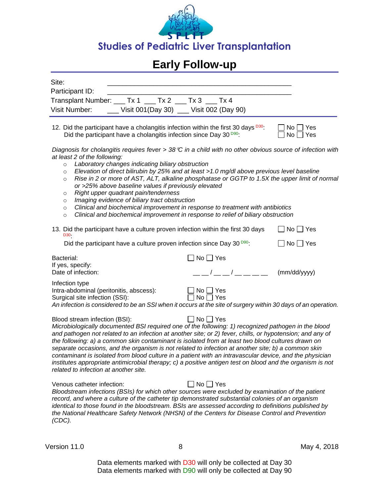

| Site:<br>Participant ID:<br>Transplant Number: ___ Tx 1 ___ Tx 2 ___ Tx 3 ___ Tx 4<br>__ Visit 001(Day 30) __ Visit 002 (Day 90)<br>Visit Number:                                                                                                                                                                                                                                                                                                                                                                                                                                                                                                                                                                                                                                                   |  |  |  |
|-----------------------------------------------------------------------------------------------------------------------------------------------------------------------------------------------------------------------------------------------------------------------------------------------------------------------------------------------------------------------------------------------------------------------------------------------------------------------------------------------------------------------------------------------------------------------------------------------------------------------------------------------------------------------------------------------------------------------------------------------------------------------------------------------------|--|--|--|
| 12. Did the participant have a cholangitis infection within the first 30 days <sup>D30</sup> :<br>$No$   $Yes$<br>Did the participant have a cholangitis infection since Day 30 D90:<br>$No \square Yes$                                                                                                                                                                                                                                                                                                                                                                                                                                                                                                                                                                                            |  |  |  |
| Diagnosis for cholangitis requires fever > 38 °C in a child with no other obvious source of infection with<br>at least 2 of the following:<br>Laboratory changes indicating biliary obstruction<br>$\circ$<br>Elevation of direct bilirubin by 25% and at least >1.0 mg/dl above previous level baseline<br>$\circ$<br>Rise in 2 or more of AST, ALT, alkaline phosphatase or GGTP to 1.5X the upper limit of normal<br>$\circ$<br>or >25% above baseline values if previously elevated<br>Right upper quadrant pain/tenderness<br>$\circ$<br>Imaging evidence of biliary tract obstruction<br>$\circ$<br>Clinical and biochemical improvement in response to treatment with antibiotics<br>$\circ$<br>Clinical and biochemical improvement in response to relief of biliary obstruction<br>$\circ$ |  |  |  |
| 13. Did the participant have a culture proven infection within the first 30 days<br>$\Box$ No $\Box$ Yes<br>D30-                                                                                                                                                                                                                                                                                                                                                                                                                                                                                                                                                                                                                                                                                    |  |  |  |
| Did the participant have a culture proven infection since Day 30 $D99$ :<br>$\Box$ No $\Box$ Yes<br>$\Box$ No $\Box$ Yes<br>Bacterial:<br>If yes, specify:<br>_ _/ _ _/ _ _ _ _<br>Date of infection:<br>(mm/dd/yyyy)                                                                                                                                                                                                                                                                                                                                                                                                                                                                                                                                                                               |  |  |  |
| Infection type<br>Intra-abdominal (peritonitis, abscess):<br>$No \bigcap Yes$<br>$\Box$ No $\Box$ Yes<br>Surgical site infection (SSI):<br>An infection is considered to be an SSI when it occurs at the site of surgery within 30 days of an operation.                                                                                                                                                                                                                                                                                                                                                                                                                                                                                                                                            |  |  |  |
| $\Box$ No $\Box$ Yes<br>Blood stream infection (BSI):<br>Microbiologically documented BSI required one of the following: 1) recognized pathogen in the blood<br>and pathogen not related to an infection at another site; or 2) fever, chills, or hypotension; and any of<br>the following: a) a common skin contaminant is isolated from at least two blood cultures drawn on<br>separate occasions, and the organism is not related to infection at another site; b) a common skin<br>contaminant is isolated from blood culture in a patient with an intravascular device, and the physician<br>institutes appropriate antimicrobial therapy; c) a positive antigen test on blood and the organism is not<br>related to infection at another site.                                               |  |  |  |
| $\Box$ No $\Box$ Yes<br>Venous catheter infection:<br>Bloodstream infections (BSIs) for which other sources were excluded by examination of the patient<br>record, and where a culture of the catheter tip demonstrated substantial colonies of an organism                                                                                                                                                                                                                                                                                                                                                                                                                                                                                                                                         |  |  |  |

*identical to those found in the bloodstream. BSIs are assessed according to definitions published by the National Healthcare Safety Network (NHSN) of the Centers for Disease Control and Prevention (CDC).*

Version 11.0 8 May 4, 2018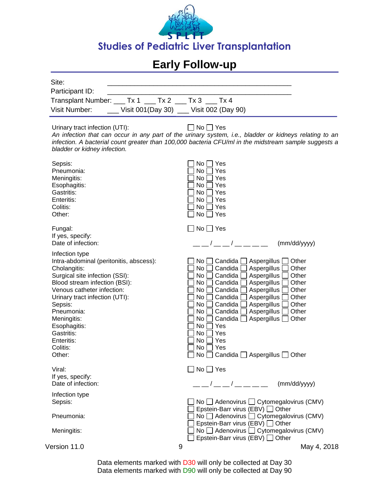

| Site:<br>Participant ID:<br>Transplant Number: ___ Tx 1 ___ Tx 2 ___ Tx 3 _ Tx 4<br>Visit Number:                                                                                                                                                                                                                      | Visit 001(Day 30) __ Visit 002 (Day 90)                                                                                                                                                                                                                                                                                                                                                                                                                                                         |
|------------------------------------------------------------------------------------------------------------------------------------------------------------------------------------------------------------------------------------------------------------------------------------------------------------------------|-------------------------------------------------------------------------------------------------------------------------------------------------------------------------------------------------------------------------------------------------------------------------------------------------------------------------------------------------------------------------------------------------------------------------------------------------------------------------------------------------|
| Urinary tract infection (UTI):<br>bladder or kidney infection.                                                                                                                                                                                                                                                         | No l<br>$\sqcap$ Yes<br>An infection that can occur in any part of the urinary system, i.e., bladder or kidneys relating to an<br>infection. A bacterial count greater than 100,000 bacteria CFU/ml in the midstream sample suggests a                                                                                                                                                                                                                                                          |
| Sepsis:<br>Pneumonia:<br>Meningitis:<br>Esophagitis:<br>Gastritis:<br>Enteritis:<br>Colitis:<br>Other:                                                                                                                                                                                                                 | No<br>Yes<br>No<br>Yes<br>No<br>Yes<br>No<br>Yes<br>Yes<br>No<br>No<br>Yes<br>No<br>Yes<br>No<br>Yes                                                                                                                                                                                                                                                                                                                                                                                            |
| Fungal:<br>If yes, specify:<br>Date of infection:                                                                                                                                                                                                                                                                      | $\sqcap$ No $\sqcap$ Yes<br>(mm/dd/yyyy)                                                                                                                                                                                                                                                                                                                                                                                                                                                        |
| Infection type<br>Intra-abdominal (peritonitis, abscess):<br>Cholangitis:<br>Surgical site infection (SSI):<br>Blood stream infection (BSI):<br>Venous catheter infection:<br>Urinary tract infection (UTI):<br>Sepsis:<br>Pneumonia:<br>Meningitis:<br>Esophagitis:<br>Gastritis:<br>Enteritis:<br>Colitis:<br>Other: | Candida<br>Aspergillus<br>No<br>Other<br>Aspergillus<br>No<br>Candida<br>Other<br>No<br>Candida<br>Aspergillus<br>Other<br>Aspergillus<br>Candida<br>Other<br>No<br>Candida<br>Aspergillus<br>Other<br>No<br>Candida<br>Aspergillus<br>Other<br>No<br>Aspergillus<br>Candida<br>Other<br>No<br>Aspergillus<br>Candida<br>Other<br>No<br>No<br>Candida  <br>Aspergillus<br>Other<br>No<br>Yes<br>No<br>Yes<br>No<br>Yes<br>No<br>Yes<br>$\Box$ No $\Box$ Candida $\Box$ Aspergillus $\Box$ Other |
| Viral:<br>If yes, specify:                                                                                                                                                                                                                                                                                             | $\square$ No $\square$ Yes                                                                                                                                                                                                                                                                                                                                                                                                                                                                      |
| Date of infection:                                                                                                                                                                                                                                                                                                     | __ _/ __ _/ __ __ __ _<br>(mm/dd/yyyy)                                                                                                                                                                                                                                                                                                                                                                                                                                                          |
| Infection type<br>Sepsis:<br>Pneumonia:                                                                                                                                                                                                                                                                                | No $\Box$ Adenovirus $\Box$ Cytomegalovirus (CMV)<br>Epstein-Barr virus (EBV) □ Other<br>No $\Box$ Adenovirus $\Box$ Cytomegalovirus (CMV)                                                                                                                                                                                                                                                                                                                                                      |
| Meningitis:                                                                                                                                                                                                                                                                                                            | Epstein-Barr virus (EBV) □ Other<br>No $\Box$ Adenovirus $\Box$ Cytomegalovirus (CMV)<br>Epstein-Barr virus (EBV) □ Other                                                                                                                                                                                                                                                                                                                                                                       |
| Version 11.0                                                                                                                                                                                                                                                                                                           | 9<br>May 4, 2018                                                                                                                                                                                                                                                                                                                                                                                                                                                                                |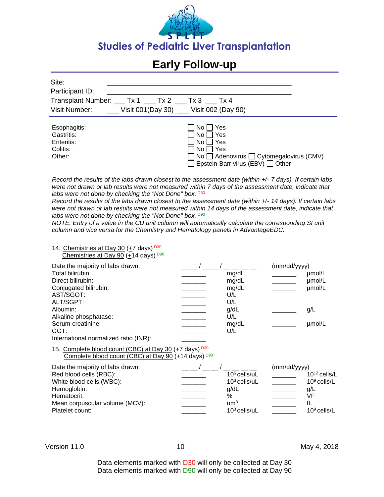

| Site:                                                          |  |
|----------------------------------------------------------------|--|
| Participant ID:                                                |  |
| Transplant Number: ___ Tx 1 ___ Tx 2 ___ Tx 3 ___ Tx 4         |  |
| Visit Number: ______ Visit 001(Day 30) ____ Visit 002 (Day 90) |  |
|                                                                |  |

| Esophagitis: | $N_O$ $\Box$<br>Yes                                      |
|--------------|----------------------------------------------------------|
| Gastritis:   | 'No∣∣Yes                                                 |
| Enteritis:   | ∣No ⊡ Yes                                                |
| Colitis:     | ∣No ⊟ Yes                                                |
| Other:       | $\Box$ No $\Box$ Adenovirus $\Box$ Cytomegalovirus (CMV) |
|              | □ Epstein-Barr virus (EBV) □ Other                       |

*Record the results of the labs drawn closest to the assessment date (within +/- 7 days). If certain labs were not drawn or lab results were not measured within 7 days of the assessment date, indicate that labs were not done by checking the "Not Done" box.* D30

*Record the results of the labs drawn closest to the assessment date (within +/- 14 days). If certain labs*  were not drawn or lab results were not measured within 14 days of the assessment date, indicate that labs were not done by checking the "Not Done" box. D90

*NOTE: Entry of a value in the CU unit column will automatically calculate the corresponding SI unit column and vice versa for the Chemistry and Hematology panels in AdvantageEDC.*

#### 14. Chemistries at Day 30 (+7 days) D30 Chemistries at Day 90 (+14 days)  $D90$

| Date the majority of labs drawn:                                                                              |       | (mm/dd/yyyy) |        |
|---------------------------------------------------------------------------------------------------------------|-------|--------------|--------|
| Total bilirubin:                                                                                              | mg/dL |              | µmol/L |
| Direct bilirubin:                                                                                             | mg/dL |              | µmol/L |
| Conjugated bilirubin:                                                                                         | mg/dL |              | umol/L |
| AST/SGOT:                                                                                                     | U/L   |              |        |
| ALT/SGPT:                                                                                                     | U/L   |              |        |
| Albumin:                                                                                                      | g/dL  |              | g/L    |
| Alkaline phosphatase:                                                                                         | U/L   |              |        |
| Serum creatinine:                                                                                             | mg/dL |              | umol/L |
| GGT:                                                                                                          | U/L   |              |        |
| International normalized ratio (INR):                                                                         |       |              |        |
| 15. Complete blood count (CBC) at Day 30 (+7 days) D30<br>Complete blood count (CBC) at Day 90 (+14 days) D90 |       |              |        |
| Date the maiority of labs drawn:                                                                              |       | (mm/dd/www)  |        |

| Date the majority of labs drawn. |                 | $\frac{1}{1}$ |                   |
|----------------------------------|-----------------|---------------|-------------------|
| Red blood cells (RBC):           | $106$ cells/uL  |               | $10^{12}$ cells/L |
| White blood cells (WBC):         | $103$ cells/uL  |               | $10^9$ cells/L    |
| Hemoglobin:                      | q/dL            |               | g/L               |
| Hematocrit:                      | %               |               | /F                |
| Mean corpuscular volume (MCV):   | um <sup>3</sup> |               |                   |
| Platelet count:                  | $103$ cells/uL  |               | $109$ cells/L     |
|                                  |                 |               |                   |

Version 11.0 10 10 May 4, 2018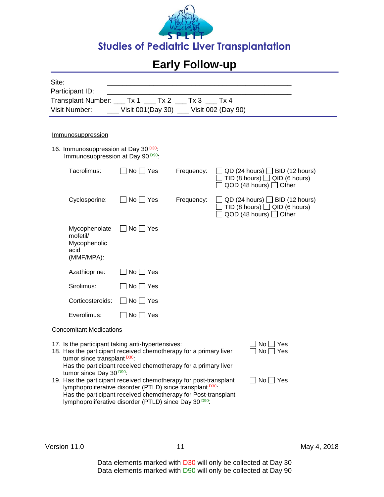

| Site:                                                                                                                                                                                                                                                                                                      |                                                                                                                                                                                                |            |                                                                                                            |  |  |
|------------------------------------------------------------------------------------------------------------------------------------------------------------------------------------------------------------------------------------------------------------------------------------------------------------|------------------------------------------------------------------------------------------------------------------------------------------------------------------------------------------------|------------|------------------------------------------------------------------------------------------------------------|--|--|
| Participant ID:                                                                                                                                                                                                                                                                                            |                                                                                                                                                                                                |            |                                                                                                            |  |  |
| Transplant Number: ___ Tx 1 ___ Tx 2 ___ Tx 3 ___ Tx 4                                                                                                                                                                                                                                                     |                                                                                                                                                                                                |            |                                                                                                            |  |  |
| <b>Visit Number:</b>                                                                                                                                                                                                                                                                                       | Visit 001(Day 30) __ Visit 002 (Day 90)                                                                                                                                                        |            |                                                                                                            |  |  |
|                                                                                                                                                                                                                                                                                                            |                                                                                                                                                                                                |            |                                                                                                            |  |  |
| Immunosuppression                                                                                                                                                                                                                                                                                          |                                                                                                                                                                                                |            |                                                                                                            |  |  |
| 16. Immunosuppression at Day 30 <sup>D30</sup> :<br>Immunosuppression at Day 90 <sup>D90</sup> :                                                                                                                                                                                                           |                                                                                                                                                                                                |            |                                                                                                            |  |  |
| Tacrolimus:                                                                                                                                                                                                                                                                                                | $\Box$ No $\Box$ Yes                                                                                                                                                                           | Frequency: | $QD$ (24 hours) $\Box$ BID (12 hours)<br>TID (8 hours) $\Box$ QID (6 hours)<br>QOD (48 hours) $\Box$ Other |  |  |
| Cyclosporine:                                                                                                                                                                                                                                                                                              | $\Box$ No $\Box$ Yes                                                                                                                                                                           | Frequency: | $QD$ (24 hours) $\Box$ BID (12 hours)<br>TID (8 hours) $\Box$ QID (6 hours)<br>QOD (48 hours) □ Other      |  |  |
| Mycophenolate<br>mofetil/<br>Mycophenolic<br>acid<br>(MMF/MPA):                                                                                                                                                                                                                                            | $\Box$ No $\Box$ Yes                                                                                                                                                                           |            |                                                                                                            |  |  |
| Azathioprine:                                                                                                                                                                                                                                                                                              | $\Box$ No $\Box$ Yes                                                                                                                                                                           |            |                                                                                                            |  |  |
| Sirolimus:                                                                                                                                                                                                                                                                                                 | $No \square Yes$                                                                                                                                                                               |            |                                                                                                            |  |  |
| Corticosteroids:                                                                                                                                                                                                                                                                                           | $\Box$ No $\Box$ Yes                                                                                                                                                                           |            |                                                                                                            |  |  |
| Everolimus:                                                                                                                                                                                                                                                                                                | No □ Yes                                                                                                                                                                                       |            |                                                                                                            |  |  |
| <b>Concomitant Medications</b>                                                                                                                                                                                                                                                                             |                                                                                                                                                                                                |            |                                                                                                            |  |  |
| 17. Is the participant taking anti-hypertensives:<br>No l<br>  Yes<br>18. Has the participant received chemotherapy for a primary liver<br>No <sub>1</sub><br>∣ Yes<br>tumor since transplant D30:<br>Has the participant received chemotherapy for a primary liver<br>tumor since Day 30 <sup>D90</sup> : |                                                                                                                                                                                                |            |                                                                                                            |  |  |
| 19. Has the participant received chemotherapy for post-transplant                                                                                                                                                                                                                                          | lymphoproliferative disorder (PTLD) since transplant D30<br>Has the participant received chemotherapy for Post-transplant<br>lymphoproliferative disorder (PTLD) since Day 30 <sup>D90</sup> : |            | $\Box$ No $\Box$ Yes                                                                                       |  |  |

Version 11.0 11 11 May 4, 2018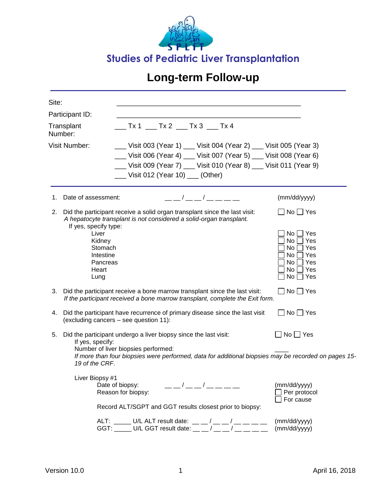

| Site: |                                                                                                                                                                |                                       |  |                                                                                                               |                                                                                                                                                                                                             |  |
|-------|----------------------------------------------------------------------------------------------------------------------------------------------------------------|---------------------------------------|--|---------------------------------------------------------------------------------------------------------------|-------------------------------------------------------------------------------------------------------------------------------------------------------------------------------------------------------------|--|
|       | Participant ID:                                                                                                                                                |                                       |  |                                                                                                               |                                                                                                                                                                                                             |  |
|       | Transplant<br>Number:                                                                                                                                          |                                       |  |                                                                                                               |                                                                                                                                                                                                             |  |
|       | <b>Visit Number:</b>                                                                                                                                           | ___ Visit 012 (Year 10) ___ (Other)   |  |                                                                                                               | __ Visit 003 (Year 1) __ Visit 004 (Year 2) __ Visit 005 (Year 3)<br>__ Visit 006 (Year 4) __ Visit 007 (Year 5) __ Visit 008 (Year 6)<br>__ Visit 009 (Year 7) __ Visit 010 (Year 8) __ Visit 011 (Year 9) |  |
| 1.    | Date of assessment:                                                                                                                                            |                                       |  | ___/___/____                                                                                                  | (mm/dd/yyyy)                                                                                                                                                                                                |  |
| 2.    | Did the participant receive a solid organ transplant since the last visit:<br>A hepatocyte transplant is not considered a solid-organ transplant.              |                                       |  |                                                                                                               | $\Box$ No $\Box$ Yes                                                                                                                                                                                        |  |
|       | If yes, specify type:<br>Liver<br>Kidney<br>Stomach<br>Intestine<br>Pancreas<br>Heart<br>Lung                                                                  |                                       |  |                                                                                                               | $No \Box Yes$<br>Yes<br>No [<br>$No \square Yes$<br>$No \prod Yes$<br>$No \Box Yes$<br>$No \Box Yes$<br>$No$   $Yes$                                                                                        |  |
|       | 3. Did the participant receive a bone marrow transplant since the last visit:<br>If the participant received a bone marrow transplant, complete the Exit form. |                                       |  |                                                                                                               | $\Box$ No $\Box$ Yes                                                                                                                                                                                        |  |
| 4.    | Did the participant have recurrence of primary disease since the last visit<br>(excluding cancers - see question 11):                                          |                                       |  |                                                                                                               | $\Box$ No $\Box$ Yes                                                                                                                                                                                        |  |
| 5.    | Did the participant undergo a liver biopsy since the last visit:<br>If yes, specify:<br>19 of the CRF.                                                         | Number of liver biopsies performed:   |  |                                                                                                               | $\Box$ No $\Box$ Yes<br>If more than four biopsies were performed, data for additional biopsies may be recorded on pages 15-                                                                                |  |
|       | Liver Biopsy #1                                                                                                                                                | Date of biopsy:<br>Reason for biopsy: |  | Record ALT/SGPT and GGT results closest prior to biopsy:                                                      | (mm/dd/yyyy)<br>Per protocol<br>For cause                                                                                                                                                                   |  |
|       |                                                                                                                                                                |                                       |  | ALT: _____ U/L ALT result date: __ _/ __ _/ __ __ _<br>GGT: _____ U/L GGT result date: __ _ / __ _ / __ _ _ _ | (mm/dd/yyyy)<br>(mm/dd/yyyy)                                                                                                                                                                                |  |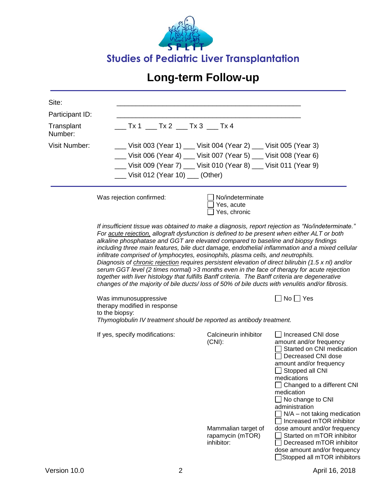

| Site:                                    |                                                                                                                                                                                                                                                                                                                                                                                                                                                                                                                                                                                                                                                                                                                                                                                                                                                                                              |                                                                   |                                                                                                                                                                                                                                                                                                              |  |  |  |
|------------------------------------------|----------------------------------------------------------------------------------------------------------------------------------------------------------------------------------------------------------------------------------------------------------------------------------------------------------------------------------------------------------------------------------------------------------------------------------------------------------------------------------------------------------------------------------------------------------------------------------------------------------------------------------------------------------------------------------------------------------------------------------------------------------------------------------------------------------------------------------------------------------------------------------------------|-------------------------------------------------------------------|--------------------------------------------------------------------------------------------------------------------------------------------------------------------------------------------------------------------------------------------------------------------------------------------------------------|--|--|--|
| Participant ID:<br>Transplant<br>Number: | ___ Tx 1 ___ Tx 2 ___ Tx 3 ___ Tx 4                                                                                                                                                                                                                                                                                                                                                                                                                                                                                                                                                                                                                                                                                                                                                                                                                                                          |                                                                   |                                                                                                                                                                                                                                                                                                              |  |  |  |
| <b>Visit Number:</b>                     |                                                                                                                                                                                                                                                                                                                                                                                                                                                                                                                                                                                                                                                                                                                                                                                                                                                                                              | __ Visit 003 (Year 1) __ Visit 004 (Year 2) __ Visit 005 (Year 3) |                                                                                                                                                                                                                                                                                                              |  |  |  |
|                                          |                                                                                                                                                                                                                                                                                                                                                                                                                                                                                                                                                                                                                                                                                                                                                                                                                                                                                              | __ Visit 006 (Year 4) __ Visit 007 (Year 5) __ Visit 008 (Year 6) |                                                                                                                                                                                                                                                                                                              |  |  |  |
|                                          |                                                                                                                                                                                                                                                                                                                                                                                                                                                                                                                                                                                                                                                                                                                                                                                                                                                                                              | __ Visit 009 (Year 7) __ Visit 010 (Year 8) __ Visit 011 (Year 9) |                                                                                                                                                                                                                                                                                                              |  |  |  |
|                                          | Visit 012 (Year 10) __ (Other)                                                                                                                                                                                                                                                                                                                                                                                                                                                                                                                                                                                                                                                                                                                                                                                                                                                               |                                                                   |                                                                                                                                                                                                                                                                                                              |  |  |  |
|                                          | Was rejection confirmed:                                                                                                                                                                                                                                                                                                                                                                                                                                                                                                                                                                                                                                                                                                                                                                                                                                                                     | No/indeterminate<br>Yes, acute<br>Yes, chronic                    |                                                                                                                                                                                                                                                                                                              |  |  |  |
|                                          | If insufficient tissue was obtained to make a diagnosis, report rejection as "No/indeterminate."<br>For acute rejection, allograft dysfunction is defined to be present when either ALT or both<br>alkaline phosphatase and GGT are elevated compared to baseline and biopsy findings<br>including three main features, bile duct damage, endothelial inflammation and a mixed cellular<br>infiltrate comprised of lymphocytes, eosinophils, plasma cells, and neutrophils.<br>Diagnosis of <i>chronic rejection</i> requires persistent elevation of direct bilirubin (1.5 x nl) and/or<br>serum GGT level (2 times normal) >3 months even in the face of therapy for acute rejection<br>together with liver histology that fulfills Banff criteria. The Banff criteria are degenerative<br>changes of the majority of bile ducts/loss of 50% of bile ducts with venulitis and/or fibrosis. |                                                                   |                                                                                                                                                                                                                                                                                                              |  |  |  |
|                                          | Was immunosuppressive<br>therapy modified in response<br>to the biopsy:                                                                                                                                                                                                                                                                                                                                                                                                                                                                                                                                                                                                                                                                                                                                                                                                                      |                                                                   | $\Box$ No $\Box$ Yes                                                                                                                                                                                                                                                                                         |  |  |  |
|                                          | Thymoglobulin IV treatment should be reported as antibody treatment.                                                                                                                                                                                                                                                                                                                                                                                                                                                                                                                                                                                                                                                                                                                                                                                                                         |                                                                   |                                                                                                                                                                                                                                                                                                              |  |  |  |
|                                          | If yes, specify modifications:                                                                                                                                                                                                                                                                                                                                                                                                                                                                                                                                                                                                                                                                                                                                                                                                                                                               | Calcineurin inhibitor<br>$(CNI)$ :                                | Increased CNI dose<br>amount and/or frequency<br>Started on CNI medication<br>Decreased CNI dose<br>amount and/or frequency<br>Stopped all CNI<br>medications<br>Changed to a different CNI<br>medication<br>No change to CNI<br>administration<br>$N/A$ – not taking medication<br>Increased mTOR inhibitor |  |  |  |
|                                          |                                                                                                                                                                                                                                                                                                                                                                                                                                                                                                                                                                                                                                                                                                                                                                                                                                                                                              | Mammalian target of<br>rapamycin (mTOR)<br>inhibitor:             | dose amount and/or frequency<br>Started on mTOR inhibitor<br>Decreased mTOR inhibitor<br>dose amount and/or frequency<br>Stopped all mTOR inhibitors                                                                                                                                                         |  |  |  |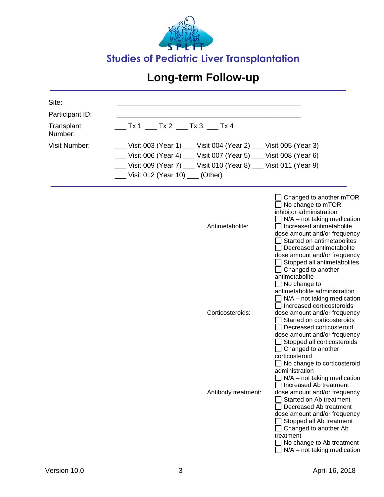

| Site:                 |                                                                   |                                                                                                                                                                                                                                                                                                                                                                    |
|-----------------------|-------------------------------------------------------------------|--------------------------------------------------------------------------------------------------------------------------------------------------------------------------------------------------------------------------------------------------------------------------------------------------------------------------------------------------------------------|
| Participant ID:       |                                                                   |                                                                                                                                                                                                                                                                                                                                                                    |
| Transplant<br>Number: | $Tx 1$ ___ Tx 2 ___ Tx 3 ___ Tx 4                                 |                                                                                                                                                                                                                                                                                                                                                                    |
| <b>Visit Number:</b>  | __ Visit 003 (Year 1) __ Visit 004 (Year 2) __ Visit 005 (Year 3) |                                                                                                                                                                                                                                                                                                                                                                    |
|                       | __ Visit 006 (Year 4) __ Visit 007 (Year 5) __ Visit 008 (Year 6) |                                                                                                                                                                                                                                                                                                                                                                    |
|                       | __ Visit 009 (Year 7) __ Visit 010 (Year 8) __ Visit 011 (Year 9) |                                                                                                                                                                                                                                                                                                                                                                    |
|                       | ___ Visit 012 (Year 10) ___ (Other)                               |                                                                                                                                                                                                                                                                                                                                                                    |
|                       | Antimetabolite:                                                   | Changed to another mTOR<br>No change to mTOR<br>inhibitor administration<br>$\Box$ N/A – not taking medication<br>Increased antimetabolite<br>dose amount and/or frequency<br>Started on antimetabolites<br>Decreased antimetabolite<br>dose amount and/or frequency<br>Stopped all antimetabolites<br>$\Box$ Changed to another                                   |
|                       | Corticosteroids:                                                  | antimetabolite<br>$\Box$ No change to<br>antimetabolite administration<br>$N/A$ – not taking medication<br>Increased corticosteroids<br>dose amount and/or frequency<br>Started on corticosteroids<br>Decreased corticosteroid<br>dose amount and/or frequency<br>Stopped all corticosteroids<br>Changed to another<br>corticosteroid                              |
|                       | Antibody treatment:                                               | No change to corticosteroid<br>administration<br>$\Box$ N/A – not taking medication<br>Increased Ab treatment<br>dose amount and/or frequency<br>Started on Ab treatment<br>Decreased Ab treatment<br>dose amount and/or frequency<br>Stopped all Ab treatment<br>Changed to another Ab<br>treatment<br>No change to Ab treatment<br>$N/A$ – not taking medication |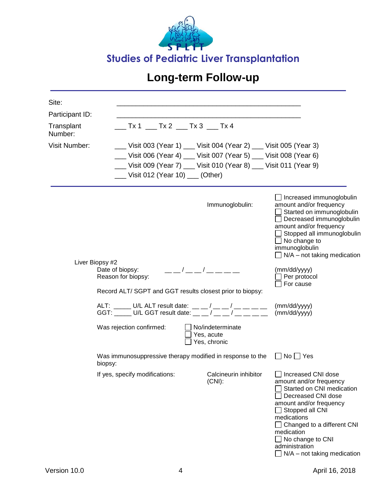

| Site:                 |                                                                                                                                                                                                                                                                                                                                                                                                                       |                                                                                                                                                                                                                                                                                                                                                                                                                                                                                        |                                                                                                                                                                                                                                                                                                  |
|-----------------------|-----------------------------------------------------------------------------------------------------------------------------------------------------------------------------------------------------------------------------------------------------------------------------------------------------------------------------------------------------------------------------------------------------------------------|----------------------------------------------------------------------------------------------------------------------------------------------------------------------------------------------------------------------------------------------------------------------------------------------------------------------------------------------------------------------------------------------------------------------------------------------------------------------------------------|--------------------------------------------------------------------------------------------------------------------------------------------------------------------------------------------------------------------------------------------------------------------------------------------------|
| Participant ID:       |                                                                                                                                                                                                                                                                                                                                                                                                                       |                                                                                                                                                                                                                                                                                                                                                                                                                                                                                        |                                                                                                                                                                                                                                                                                                  |
| Transplant<br>Number: |                                                                                                                                                                                                                                                                                                                                                                                                                       |                                                                                                                                                                                                                                                                                                                                                                                                                                                                                        |                                                                                                                                                                                                                                                                                                  |
| Visit Number:         |                                                                                                                                                                                                                                                                                                                                                                                                                       | __ Visit 003 (Year 1) ___ Visit 004 (Year 2) ___ Visit 005 (Year 3)                                                                                                                                                                                                                                                                                                                                                                                                                    |                                                                                                                                                                                                                                                                                                  |
|                       |                                                                                                                                                                                                                                                                                                                                                                                                                       | __ Visit 006 (Year 4) __ Visit 007 (Year 5) __ Visit 008 (Year 6)                                                                                                                                                                                                                                                                                                                                                                                                                      |                                                                                                                                                                                                                                                                                                  |
|                       |                                                                                                                                                                                                                                                                                                                                                                                                                       | __ Visit 009 (Year 7) __ Visit 010 (Year 8) __ Visit 011 (Year 9)                                                                                                                                                                                                                                                                                                                                                                                                                      |                                                                                                                                                                                                                                                                                                  |
|                       | $\frac{1}{\sqrt{1-\frac{1}{1-\frac{1}{1-\frac{1}{1-\frac{1}{1-\frac{1}{1-\frac{1}{1-\frac{1}{1-\frac{1}{1-\frac{1}{1-\frac{1}{1-\frac{1}{1-\frac{1}{1-\frac{1}{1-\frac{1}{1-\frac{1}{1-\frac{1}{1-\frac{1}{1-\frac{1}{1-\frac{1}{1-\frac{1}{1-\frac{1}{1-\frac{1}{1-\frac{1}{1-\frac{1}{1-\frac{1}{1-\frac{1}{1-\frac{1}{1-\frac{1}{1-\frac{1}{1-\frac{1}{1-\frac{1}{1-\frac{1}{1-\frac{1}{1-\frac{1}{1-\frac{1}{1-\$ |                                                                                                                                                                                                                                                                                                                                                                                                                                                                                        |                                                                                                                                                                                                                                                                                                  |
|                       | Liver Biopsy #2                                                                                                                                                                                                                                                                                                                                                                                                       | Immunoglobulin:                                                                                                                                                                                                                                                                                                                                                                                                                                                                        | <b>J</b> Increased immunoglobulin<br>amount and/or frequency<br>Started on immunoglobulin<br>Decreased immunoglobulin<br>amount and/or frequency<br>Stopped all immunoglobulin<br>$\Box$ No change to<br>immunoglobulin<br>$\Box$ N/A – not taking medication                                    |
|                       | Date of biopsy:<br>Reason for biopsy:<br>Record ALT/ SGPT and GGT results closest prior to biopsy:                                                                                                                                                                                                                                                                                                                    | $\frac{\alpha}{\alpha} = \frac{1}{\alpha} = \frac{1}{\alpha} = \frac{1}{\alpha} = \frac{1}{\alpha} = \frac{1}{\alpha} = \frac{1}{\alpha} = \frac{1}{\alpha} = \frac{1}{\alpha} = \frac{1}{\alpha} = \frac{1}{\alpha} = \frac{1}{\alpha} = \frac{1}{\alpha} = \frac{1}{\alpha} = \frac{1}{\alpha} = \frac{1}{\alpha} = \frac{1}{\alpha} = \frac{1}{\alpha} = \frac{1}{\alpha} = \frac{1}{\alpha} = \frac{1}{\alpha} = \frac{1}{\alpha} = \frac{1}{\alpha} = \frac{1}{\alpha} = \frac{1$ | (mm/dd/yyyy)<br>Per protocol<br>For cause                                                                                                                                                                                                                                                        |
|                       | ALT: _____ U/L ALT result date: __ _ / __ _ / __ _ _ _ _<br>GGT: _____ U/L GGT result date: _ _ _ / __ _ / __ _ _ _ _                                                                                                                                                                                                                                                                                                 |                                                                                                                                                                                                                                                                                                                                                                                                                                                                                        | (mm/dd/yyyy)<br>(mm/dd/yyyy)                                                                                                                                                                                                                                                                     |
|                       | Was rejection confirmed:                                                                                                                                                                                                                                                                                                                                                                                              | No/indeterminate<br>Yes, acute<br>Yes, chronic                                                                                                                                                                                                                                                                                                                                                                                                                                         |                                                                                                                                                                                                                                                                                                  |
|                       | Was immunosuppressive therapy modified in response to the<br>biopsy:                                                                                                                                                                                                                                                                                                                                                  |                                                                                                                                                                                                                                                                                                                                                                                                                                                                                        | $\Box$ No $\Box$ Yes                                                                                                                                                                                                                                                                             |
|                       | If yes, specify modifications:                                                                                                                                                                                                                                                                                                                                                                                        | Calcineurin inhibitor<br>$(CNI)$ :                                                                                                                                                                                                                                                                                                                                                                                                                                                     | □ Increased CNI dose<br>amount and/or frequency<br>Started on CNI medication<br>Decreased CNI dose<br>amount and/or frequency<br>Stopped all CNI<br>medications<br>$\Box$ Changed to a different CNI<br>medication<br>$\Box$ No change to CNI<br>administration<br>$N/A$ – not taking medication |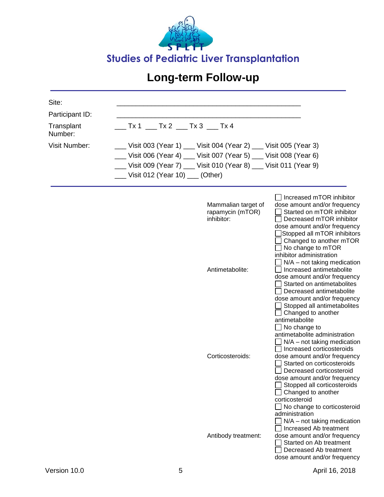

| Site:                 |                                                                          |                                                                                                                                                                                                                                                                                                                                                                                                                                                                                                         |  |  |  |
|-----------------------|--------------------------------------------------------------------------|---------------------------------------------------------------------------------------------------------------------------------------------------------------------------------------------------------------------------------------------------------------------------------------------------------------------------------------------------------------------------------------------------------------------------------------------------------------------------------------------------------|--|--|--|
| Participant ID:       |                                                                          |                                                                                                                                                                                                                                                                                                                                                                                                                                                                                                         |  |  |  |
| Transplant<br>Number: |                                                                          |                                                                                                                                                                                                                                                                                                                                                                                                                                                                                                         |  |  |  |
| <b>Visit Number:</b>  | __ Visit 003 (Year 1) __ Visit 004 (Year 2) __ Visit 005 (Year 3)        |                                                                                                                                                                                                                                                                                                                                                                                                                                                                                                         |  |  |  |
|                       | __ Visit 006 (Year 4) __ Visit 007 (Year 5) __ Visit 008 (Year 6)        |                                                                                                                                                                                                                                                                                                                                                                                                                                                                                                         |  |  |  |
|                       | __ Visit 009 (Year 7) __ Visit 010 (Year 8) __ Visit 011 (Year 9)        |                                                                                                                                                                                                                                                                                                                                                                                                                                                                                                         |  |  |  |
|                       | Uisit 012 (Year 10) ___ (Other)                                          |                                                                                                                                                                                                                                                                                                                                                                                                                                                                                                         |  |  |  |
|                       | Mammalian target of<br>rapamycin (mTOR)<br>inhibitor:<br>Antimetabolite: | $\Box$ Increased mTOR inhibitor<br>dose amount and/or frequency<br>Started on mTOR inhibitor<br>Decreased mTOR inhibitor<br>dose amount and/or frequency<br>Stopped all mTOR inhibitors<br>Changed to another mTOR<br>No change to mTOR<br>inhibitor administration<br>$N/A$ – not taking medication<br>Increased antimetabolite<br>dose amount and/or frequency<br>Started on antimetabolites                                                                                                          |  |  |  |
|                       | Corticosteroids:                                                         | Decreased antimetabolite<br>dose amount and/or frequency<br>Stopped all antimetabolites<br>Changed to another<br>antimetabolite<br>$\Box$ No change to<br>antimetabolite administration<br>$N/A$ – not taking medication<br>Increased corticosteroids<br>dose amount and/or frequency<br>Started on corticosteroids<br>Decreased corticosteroid<br>dose amount and/or frequency<br>Stopped all corticosteroids<br>Changed to another<br>corticosteroid<br>No change to corticosteroid<br>administration |  |  |  |
|                       | Antibody treatment:                                                      | $N/A$ – not taking medication<br>Increased Ab treatment<br>dose amount and/or frequency<br>Started on Ab treatment<br>Decreased Ab treatment<br>dose amount and/or frequency                                                                                                                                                                                                                                                                                                                            |  |  |  |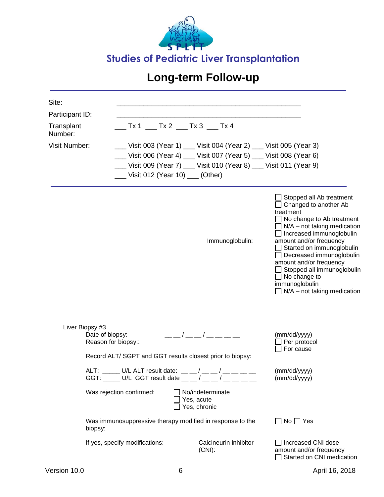

| Site:                 |                                                                                                      |                                                                                                                                                                                                            |                                                                                                                                                                                                                                                                                                                                                                                                                |
|-----------------------|------------------------------------------------------------------------------------------------------|------------------------------------------------------------------------------------------------------------------------------------------------------------------------------------------------------------|----------------------------------------------------------------------------------------------------------------------------------------------------------------------------------------------------------------------------------------------------------------------------------------------------------------------------------------------------------------------------------------------------------------|
| Participant ID:       |                                                                                                      |                                                                                                                                                                                                            |                                                                                                                                                                                                                                                                                                                                                                                                                |
| Transplant<br>Number: |                                                                                                      | $\_$ Tx 1 $\_$ Tx 2 $\_$ Tx 3 $\_$ Tx 4                                                                                                                                                                    |                                                                                                                                                                                                                                                                                                                                                                                                                |
| Visit Number:         | __ Visit 012 (Year 10) __ (Other)                                                                    | __Visit 003 (Year 1) ___Visit 004 (Year 2) ___Visit 005 (Year 3)<br>__ Visit 006 (Year 4) __ Visit 007 (Year 5) __ Visit 008 (Year 6)<br>__ Visit 009 (Year 7) __ Visit 010 (Year 8) __ Visit 011 (Year 9) |                                                                                                                                                                                                                                                                                                                                                                                                                |
|                       |                                                                                                      | Immunoglobulin:                                                                                                                                                                                            | Stopped all Ab treatment<br>Changed to another Ab<br>treatment<br>$\Box$ No change to Ab treatment<br>$\Box$ N/A – not taking medication<br>$\Box$ Increased immunoglobulin<br>amount and/or frequency<br>Started on immunoglobulin<br>Decreased immunoglobulin<br>amount and/or frequency<br>$\Box$ Stopped all immunoglobulin<br>$\Box$ No change to<br>immunoglobulin<br>$\Box$ N/A – not taking medication |
| Liver Biopsy #3       | Date of biopsy:<br>Reason for biopsy::<br>Record ALT/ SGPT and GGT results closest prior to biopsy:  | — — / — — / — — — —                                                                                                                                                                                        | (mm/dd/yyyy)<br>Per protocol<br>For cause                                                                                                                                                                                                                                                                                                                                                                      |
|                       | ALT: _____ U/L ALT result date: __ _/ __ _/ __ __<br>GGT: _____ U/L GGT result date $\_$ $\_$ / $\_$ |                                                                                                                                                                                                            | (mm/dd/yyyy)<br>(mm/dd/yyyy)                                                                                                                                                                                                                                                                                                                                                                                   |
|                       | Was rejection confirmed:                                                                             | No/indeterminate<br>Yes, acute<br>Yes, chronic                                                                                                                                                             |                                                                                                                                                                                                                                                                                                                                                                                                                |
|                       | Was immunosuppressive therapy modified in response to the<br>biopsy:                                 |                                                                                                                                                                                                            | $No \square Yes$                                                                                                                                                                                                                                                                                                                                                                                               |
|                       | If yes, specify modifications:                                                                       | Calcineurin inhibitor<br>$(CNI)$ :                                                                                                                                                                         | Increased CNI dose<br>amount and/or frequency                                                                                                                                                                                                                                                                                                                                                                  |

Started on CNI medication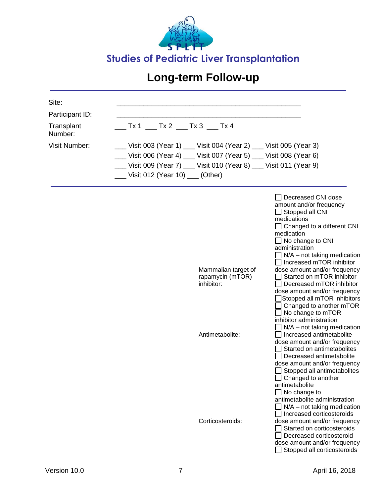

| Site:                 |                                                                   |                                                                                                                                                                                                                                                                                                                                                                                                                                                                                                                          |  |  |  |
|-----------------------|-------------------------------------------------------------------|--------------------------------------------------------------------------------------------------------------------------------------------------------------------------------------------------------------------------------------------------------------------------------------------------------------------------------------------------------------------------------------------------------------------------------------------------------------------------------------------------------------------------|--|--|--|
| Participant ID:       |                                                                   |                                                                                                                                                                                                                                                                                                                                                                                                                                                                                                                          |  |  |  |
| Transplant<br>Number: | $Tx 1$ ___ Tx 2 ___ Tx 3 ___ Tx 4                                 |                                                                                                                                                                                                                                                                                                                                                                                                                                                                                                                          |  |  |  |
| <b>Visit Number:</b>  | __ Visit 003 (Year 1) __ Visit 004 (Year 2) __ Visit 005 (Year 3) |                                                                                                                                                                                                                                                                                                                                                                                                                                                                                                                          |  |  |  |
|                       | __ Visit 006 (Year 4) __ Visit 007 (Year 5) __ Visit 008 (Year 6) |                                                                                                                                                                                                                                                                                                                                                                                                                                                                                                                          |  |  |  |
|                       | __ Visit 009 (Year 7) __ Visit 010 (Year 8) __ Visit 011 (Year 9) |                                                                                                                                                                                                                                                                                                                                                                                                                                                                                                                          |  |  |  |
|                       | ___ Visit 012 (Year 10) __ (Other)                                |                                                                                                                                                                                                                                                                                                                                                                                                                                                                                                                          |  |  |  |
|                       | Mammalian target of<br>rapamycin (mTOR)<br>inhibitor:             | Decreased CNI dose<br>amount and/or frequency<br>$\Box$ Stopped all CNI<br>medications<br>$\Box$ Changed to a different CNI<br>medication<br>$\Box$ No change to CNI<br>administration<br>$N/A$ – not taking medication<br>Increased mTOR inhibitor<br>dose amount and/or frequency<br>Started on mTOR inhibitor<br>Decreased mTOR inhibitor<br>dose amount and/or frequency<br>Stopped all mTOR inhibitors<br>Changed to another mTOR<br>No change to mTOR<br>inhibitor administration<br>$N/A$ – not taking medication |  |  |  |
|                       | Antimetabolite:<br>Corticosteroids:                               | Increased antimetabolite<br>dose amount and/or frequency<br>Started on antimetabolites<br>Decreased antimetabolite<br>dose amount and/or frequency<br>Stopped all antimetabolites<br>$\Box$ Changed to another<br>antimetabolite<br>$\Box$ No change to<br>antimetabolite administration<br>$N/A$ – not taking medication<br>Increased corticosteroids<br>dose amount and/or frequency<br>Started on corticosteroids<br>Decreased corticosteroid<br>dose amount and/or frequency<br>Stopped all corticosteroids          |  |  |  |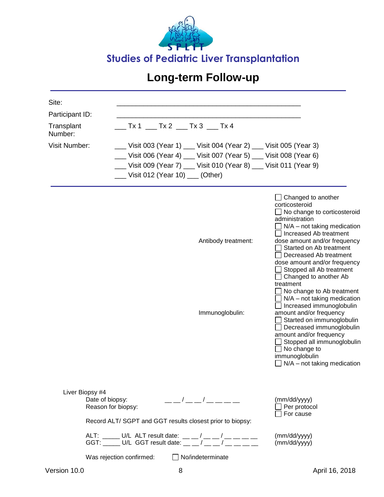![](_page_29_Picture_0.jpeg)

| Site:<br>Participant ID:<br>Transplant<br>Number:<br><b>Visit Number:</b> | _ Visit 003 (Year 1) __ Visit 004 (Year 2) __ Visit 005 (Year 3)<br>__ Visit 006 (Year 4) __ Visit 007 (Year 5) __ Visit 008 (Year 6)<br>__ Visit 009 (Year 7) __ Visit 010 (Year 8) __ Visit 011 (Year 9)<br>__ Visit 012 (Year 10) __ (Other) |                                                                                                                                                                                                                                                                                                                     |                                                                                                                                                                                                                                                                                                                                                                                                                                                                                                                                                                                                                                                                             |
|---------------------------------------------------------------------------|-------------------------------------------------------------------------------------------------------------------------------------------------------------------------------------------------------------------------------------------------|---------------------------------------------------------------------------------------------------------------------------------------------------------------------------------------------------------------------------------------------------------------------------------------------------------------------|-----------------------------------------------------------------------------------------------------------------------------------------------------------------------------------------------------------------------------------------------------------------------------------------------------------------------------------------------------------------------------------------------------------------------------------------------------------------------------------------------------------------------------------------------------------------------------------------------------------------------------------------------------------------------------|
|                                                                           |                                                                                                                                                                                                                                                 | Antibody treatment:<br>Immunoglobulin:                                                                                                                                                                                                                                                                              | $\Box$ Changed to another<br>corticosteroid<br>No change to corticosteroid<br>administration<br>$N/A$ – not taking medication<br>Increased Ab treatment<br>dose amount and/or frequency<br>Started on Ab treatment<br>Decreased Ab treatment<br>dose amount and/or frequency<br>Stopped all Ab treatment<br>$\Box$ Changed to another Ab<br>treatment<br>No change to Ab treatment<br>$N/A$ – not taking medication<br>Increased immunoglobulin<br>amount and/or frequency<br>Started on immunoglobulin<br>Decreased immunoglobulin<br>amount and/or frequency<br>Stopped all immunoglobulin<br>$\Box$ No change to<br>immunoglobulin<br>$\Box$ N/A – not taking medication |
| Liver Biopsy #4                                                           | Date of biopsy:<br>Reason for biopsy:<br>Record ALT/ SGPT and GGT results closest prior to biopsy:                                                                                                                                              | $\frac{1}{2}$ $\frac{1}{2}$ $\frac{1}{2}$ $\frac{1}{2}$ $\frac{1}{2}$ $\frac{1}{2}$ $\frac{1}{2}$ $\frac{1}{2}$ $\frac{1}{2}$ $\frac{1}{2}$ $\frac{1}{2}$ $\frac{1}{2}$ $\frac{1}{2}$ $\frac{1}{2}$ $\frac{1}{2}$ $\frac{1}{2}$ $\frac{1}{2}$ $\frac{1}{2}$ $\frac{1}{2}$ $\frac{1}{2}$ $\frac{1}{2}$ $\frac{1}{2}$ | (mm/dd/yyyy)<br>Per protocol<br>For cause                                                                                                                                                                                                                                                                                                                                                                                                                                                                                                                                                                                                                                   |
|                                                                           | ALT: _____ U/L ALT result date: __ _ / __ _ / __ _ _ _ _<br>GGT: _____ U/L GGT result date: _ _ _ / _ _ _/ __ _ _ _<br>Was rejection confirmed:                                                                                                 | $\Box$ No/indeterminate                                                                                                                                                                                                                                                                                             | (mm/dd/yyyy)<br>(mm/dd/yyyy)                                                                                                                                                                                                                                                                                                                                                                                                                                                                                                                                                                                                                                                |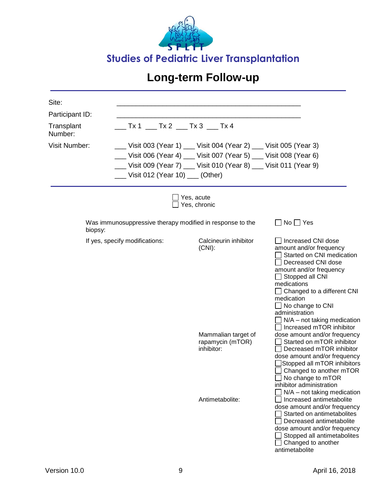![](_page_30_Picture_0.jpeg)

| Site:<br>Participant ID:<br>Transplant<br>Number:<br><b>Visit Number:</b> | ___ Tx 1 ___ Tx 2 ___ Tx 3 ___ Tx 4                       | __ Visit 003 (Year 1) __ Visit 004 (Year 2) __ Visit 005 (Year 3)<br>__ Visit 006 (Year 4) __ Visit 007 (Year 5) __ Visit 008 (Year 6)<br>__ Visit 009 (Year 7) __ Visit 010 (Year 8) __ Visit 011 (Year 9) |                                                                                                                                                                                                                                                                                                                     |
|---------------------------------------------------------------------------|-----------------------------------------------------------|-------------------------------------------------------------------------------------------------------------------------------------------------------------------------------------------------------------|---------------------------------------------------------------------------------------------------------------------------------------------------------------------------------------------------------------------------------------------------------------------------------------------------------------------|
|                                                                           | Uisit 012 (Year 10) ___ (Other)                           |                                                                                                                                                                                                             |                                                                                                                                                                                                                                                                                                                     |
|                                                                           |                                                           | Yes, acute<br>Yes, chronic                                                                                                                                                                                  |                                                                                                                                                                                                                                                                                                                     |
| biopsy:                                                                   | Was immunosuppressive therapy modified in response to the |                                                                                                                                                                                                             | $\Box$ No $\Box$ Yes                                                                                                                                                                                                                                                                                                |
|                                                                           | If yes, specify modifications:                            | Calcineurin inhibitor<br>$(CNI)$ :                                                                                                                                                                          | Increased CNI dose<br>amount and/or frequency<br>Started on CNI medication<br>Decreased CNI dose<br>amount and/or frequency<br>$\Box$ Stopped all CNI<br>medications<br>Changed to a different CNI<br>medication<br>No change to CNI<br>administration<br>$N/A$ – not taking medication<br>Increased mTOR inhibitor |
|                                                                           |                                                           | Mammalian target of<br>rapamycin (mTOR)<br>inhibitor:                                                                                                                                                       | dose amount and/or frequency<br>Started on mTOR inhibitor<br>Decreased mTOR inhibitor<br>dose amount and/or frequency<br>Stopped all mTOR inhibitors<br>Changed to another mTOR<br>No change to mTOR<br>inhibitor administration<br>$N/A$ – not taking medication                                                   |
|                                                                           |                                                           | Antimetabolite:                                                                                                                                                                                             | Increased antimetabolite<br>dose amount and/or frequency<br>Started on antimetabolites<br>Decreased antimetabolite<br>dose amount and/or frequency<br>Stopped all antimetabolites<br>Changed to another<br>antimetabolite                                                                                           |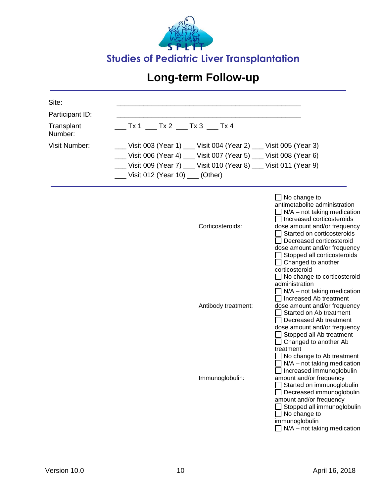![](_page_31_Picture_0.jpeg)

| Site:                 |                                                                   |                                                                                                                                                                                                                                                                                                                                                                                                                                                                                                                                                                                                                                                                                                                                                                                                                                                         |
|-----------------------|-------------------------------------------------------------------|---------------------------------------------------------------------------------------------------------------------------------------------------------------------------------------------------------------------------------------------------------------------------------------------------------------------------------------------------------------------------------------------------------------------------------------------------------------------------------------------------------------------------------------------------------------------------------------------------------------------------------------------------------------------------------------------------------------------------------------------------------------------------------------------------------------------------------------------------------|
| Participant ID:       |                                                                   |                                                                                                                                                                                                                                                                                                                                                                                                                                                                                                                                                                                                                                                                                                                                                                                                                                                         |
| Transplant<br>Number: | __ Tx 1 ___ Tx 2 ___ Tx 3 ___ Tx 4                                |                                                                                                                                                                                                                                                                                                                                                                                                                                                                                                                                                                                                                                                                                                                                                                                                                                                         |
| <b>Visit Number:</b>  | __ Visit 003 (Year 1) __ Visit 004 (Year 2) __ Visit 005 (Year 3) |                                                                                                                                                                                                                                                                                                                                                                                                                                                                                                                                                                                                                                                                                                                                                                                                                                                         |
|                       | __ Visit 006 (Year 4) __ Visit 007 (Year 5) __ Visit 008 (Year 6) |                                                                                                                                                                                                                                                                                                                                                                                                                                                                                                                                                                                                                                                                                                                                                                                                                                                         |
|                       | __ Visit 009 (Year 7) __ Visit 010 (Year 8) __ Visit 011 (Year 9) |                                                                                                                                                                                                                                                                                                                                                                                                                                                                                                                                                                                                                                                                                                                                                                                                                                                         |
|                       | __ Visit 012 (Year 10) __ (Other)                                 |                                                                                                                                                                                                                                                                                                                                                                                                                                                                                                                                                                                                                                                                                                                                                                                                                                                         |
|                       | Corticosteroids:<br>Antibody treatment:<br>Immunoglobulin:        | $\Box$ No change to<br>antimetabolite administration<br>$\Box$ N/A – not taking medication<br>□ Increased corticosteroids<br>dose amount and/or frequency<br>Started on corticosteroids<br>Decreased corticosteroid<br>dose amount and/or frequency<br>Stopped all corticosteroids<br>$\Box$ Changed to another<br>corticosteroid<br>$\Box$ No change to corticosteroid<br>administration<br>$\Box$ N/A – not taking medication<br>Increased Ab treatment<br>dose amount and/or frequency<br>Started on Ab treatment<br>Decreased Ab treatment<br>dose amount and/or frequency<br>Stopped all Ab treatment<br>Changed to another Ab<br>treatment<br>No change to Ab treatment<br>N/A - not taking medication<br>Increased immunoglobulin<br>amount and/or frequency<br>Started on immunoglobulin<br>Decreased immunoglobulin<br>amount and/or frequency |
|                       |                                                                   | Stopped all immunoglobulin<br>No change to<br>immunoglobulin<br>$\Box$ N/A – not taking medication                                                                                                                                                                                                                                                                                                                                                                                                                                                                                                                                                                                                                                                                                                                                                      |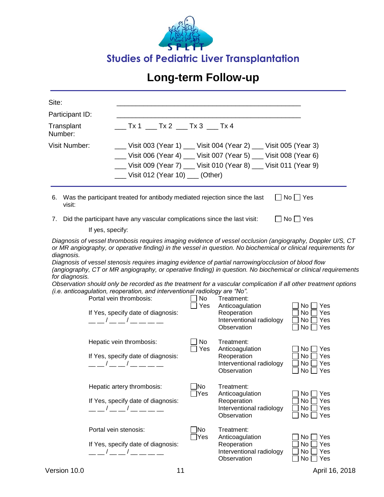![](_page_32_Picture_0.jpeg)

| Site:                        |                                                                                                                                                                                                                                                                                                                                                                                                                                                                                                                                                                                                                                                      |                      |                                                                                                       |                                                                            |
|------------------------------|------------------------------------------------------------------------------------------------------------------------------------------------------------------------------------------------------------------------------------------------------------------------------------------------------------------------------------------------------------------------------------------------------------------------------------------------------------------------------------------------------------------------------------------------------------------------------------------------------------------------------------------------------|----------------------|-------------------------------------------------------------------------------------------------------|----------------------------------------------------------------------------|
|                              |                                                                                                                                                                                                                                                                                                                                                                                                                                                                                                                                                                                                                                                      |                      |                                                                                                       |                                                                            |
| Participant ID:              | Tx 1 Tx 2 Tx 3 Tx 4                                                                                                                                                                                                                                                                                                                                                                                                                                                                                                                                                                                                                                  |                      |                                                                                                       |                                                                            |
| Transplant<br>Number:        |                                                                                                                                                                                                                                                                                                                                                                                                                                                                                                                                                                                                                                                      |                      |                                                                                                       |                                                                            |
| Visit Number:                |                                                                                                                                                                                                                                                                                                                                                                                                                                                                                                                                                                                                                                                      |                      | __ Visit 003 (Year 1) __ Visit 004 (Year 2) __ Visit 005 (Year 3)                                     |                                                                            |
|                              |                                                                                                                                                                                                                                                                                                                                                                                                                                                                                                                                                                                                                                                      |                      | __ Visit 006 (Year 4) __ Visit 007 (Year 5) __ Visit 008 (Year 6)                                     |                                                                            |
|                              |                                                                                                                                                                                                                                                                                                                                                                                                                                                                                                                                                                                                                                                      |                      | __ Visit 009 (Year 7) __ Visit 010 (Year 8) __ Visit 011 (Year 9)                                     |                                                                            |
|                              | ___ Visit 012 (Year 10) ___ (Other)                                                                                                                                                                                                                                                                                                                                                                                                                                                                                                                                                                                                                  |                      |                                                                                                       |                                                                            |
| 6.<br>visit:                 | Was the participant treated for antibody mediated rejection since the last                                                                                                                                                                                                                                                                                                                                                                                                                                                                                                                                                                           |                      |                                                                                                       | $\Box$ No $\Box$ Yes                                                       |
|                              | 7. Did the participant have any vascular complications since the last visit:                                                                                                                                                                                                                                                                                                                                                                                                                                                                                                                                                                         |                      |                                                                                                       | $\Box$ No $\Box$ Yes                                                       |
|                              | If yes, specify:<br>Diagnosis of vessel thrombosis requires imaging evidence of vessel occlusion (angiography, Doppler U/S, CT                                                                                                                                                                                                                                                                                                                                                                                                                                                                                                                       |                      |                                                                                                       |                                                                            |
| diagnosis.<br>for diagnosis. | or MR angiography, or operative finding) in the vessel in question. No biochemical or clinical requirements for<br>Diagnosis of vessel stenosis requires imaging evidence of partial narrowing/occlusion of blood flow<br>(angiography, CT or MR angiography, or operative finding) in question. No biochemical or clinical requirements<br>Observation should only be recorded as the treatment for a vascular complication if all other treatment options<br>(i.e. anticoagulation, reoperation, and interventional radiology are "No".<br>Portal vein thrombosis:<br>If Yes, specify date of diagnosis:<br>$\sqrt{2}$<br>Hepatic vein thrombosis: | No<br>Yes<br>No      | Treatment:<br>Anticoagulation<br>Reoperation<br>Interventional radiology<br>Observation<br>Treatment: | No <sub>1</sub><br>∣ Yes<br>Yes<br>No<br>No<br>Yes<br>No [<br>∐ Yes        |
|                              | If Yes, specify date of diagnosis:<br>$\sqrt{2}$                                                                                                                                                                                                                                                                                                                                                                                                                                                                                                                                                                                                     | Yes                  | Anticoagulation<br>Reoperation<br>Interventional radiology<br>Observation                             | No l<br>∐ Yes<br>No<br>Yes<br>No l<br>Yes<br>$\Box$ No $\Box$ Yes          |
|                              | Hepatic artery thrombosis:<br>If Yes, specify date of diagnosis:<br>$\begin{array}{ccc} \end{array}$ $\begin{array}{ccc} \end{array}$ $\begin{array}{ccc} \end{array}$ $\begin{array}{ccc} \end{array}$ $\begin{array}{ccc} \end{array}$ $\begin{array}{ccc} \end{array}$ $\begin{array}{ccc} \end{array}$ $\begin{array}{ccc} \end{array}$ $\begin{array}{ccc} \end{array}$ $\begin{array}{ccc} \end{array}$ $\begin{array}{ccc} \end{array}$ $\begin{array}{ccc} \end{array}$ $\begin{array}{ccc} \end{array}$ $\begin{array}{ccc} \end{array}$ $\begin{array}{ccc} \end{$                                                                         | ]No<br>]Yes          | Treatment:<br>Anticoagulation<br>Reoperation<br>Interventional radiology<br>Observation               | No <sub>1</sub><br>Yes<br>No<br>Yes<br>No<br>Yes<br>No <sub>1</sub><br>Yes |
|                              | Portal vein stenosis:<br>If Yes, specify date of diagnosis:<br>__ __ / __ __ / __ __ __ __                                                                                                                                                                                                                                                                                                                                                                                                                                                                                                                                                           | ]No<br>$\exists$ Yes | Treatment:<br>Anticoagulation<br>Reoperation<br>Interventional radiology<br>Observation               | No<br>Yes<br>No<br>Yes<br>No<br>Yes<br>No<br>Yes                           |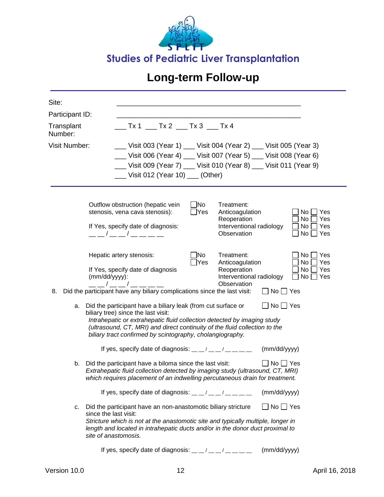![](_page_33_Picture_0.jpeg)

| Site:                                                                                     |                                                              |                                                                   |                                                                                                                           |                            |  |                                                                                                                                                                                                                                                                                                            |                      |                                                   |
|-------------------------------------------------------------------------------------------|--------------------------------------------------------------|-------------------------------------------------------------------|---------------------------------------------------------------------------------------------------------------------------|----------------------------|--|------------------------------------------------------------------------------------------------------------------------------------------------------------------------------------------------------------------------------------------------------------------------------------------------------------|----------------------|---------------------------------------------------|
| Participant ID:                                                                           |                                                              |                                                                   |                                                                                                                           |                            |  |                                                                                                                                                                                                                                                                                                            |                      |                                                   |
| $\sqrt{5}$ Tx 1 $\sqrt{5}$ Tx 2 $\sqrt{5}$ Tx 3 $\sqrt{5}$ Tx 4<br>Transplant<br>Number:  |                                                              |                                                                   |                                                                                                                           |                            |  |                                                                                                                                                                                                                                                                                                            |                      |                                                   |
| <b>Visit Number:</b><br>__ Visit 003 (Year 1) __ Visit 004 (Year 2) __ Visit 005 (Year 3) |                                                              |                                                                   |                                                                                                                           |                            |  |                                                                                                                                                                                                                                                                                                            |                      |                                                   |
|                                                                                           |                                                              | __ Visit 006 (Year 4) __ Visit 007 (Year 5) __ Visit 008 (Year 6) |                                                                                                                           |                            |  |                                                                                                                                                                                                                                                                                                            |                      |                                                   |
|                                                                                           |                                                              | __ Visit 009 (Year 7) __ Visit 010 (Year 8) __ Visit 011 (Year 9) |                                                                                                                           |                            |  |                                                                                                                                                                                                                                                                                                            |                      |                                                   |
|                                                                                           |                                                              |                                                                   | __ Visit 012 (Year 10) __ (Other)                                                                                         |                            |  |                                                                                                                                                                                                                                                                                                            |                      |                                                   |
|                                                                                           | stenosis, vena cava stenosis):                               | $\sqrt{2}$                                                        | Outflow obstruction (hepatic vein<br>If Yes, specify date of diagnosis:                                                   | $\Box$ No<br>$\exists$ Yes |  | Treatment:<br>Anticoagulation<br>Reoperation<br>Interventional radiology<br>Observation                                                                                                                                                                                                                    |                      | Yes<br>No.<br>No<br>Yes<br>Yes<br>No<br>No<br>Yes |
| 8.                                                                                        | Hepatic artery stenosis:<br>$(mm/dd/yyyy)$ :<br>___/___/____ |                                                                   | If Yes, specify date of diagnosis                                                                                         | ]No<br> Yes                |  | Treatment:<br>Anticoagulation<br>Reoperation<br>Interventional radiology<br>Observation<br>Did the participant have any biliary complications since the last visit:                                                                                                                                        | $\Box$ No $\Box$ Yes | No<br>Yes<br>No<br>Yes<br>No<br>Yes<br>No.<br>Yes |
| a.                                                                                        | biliary tree) since the last visit:                          |                                                                   | Did the participant have a biliary leak (from cut surface or<br>biliary tract confirmed by scintography, cholangiography. |                            |  | Intrahepatic or extrahepatic fluid collection detected by imaging study<br>(ultrasound, CT, MRI) and direct continuity of the fluid collection to the                                                                                                                                                      |                      |                                                   |
|                                                                                           |                                                              |                                                                   |                                                                                                                           |                            |  | If yes, specify date of diagnosis: $\frac{m}{m}$ $\frac{m}{m}$ $\frac{m}{m}$ $\frac{m}{m}$ $\frac{m}{m}$                                                                                                                                                                                                   | (mm/dd/yyyy)         |                                                   |
| b.                                                                                        | Did the participant have a biloma since the last visit:      |                                                                   |                                                                                                                           |                            |  | Extrahepatic fluid collection detected by imaging study (ultrasound, CT, MRI)<br>which requires placement of an indwelling percutaneous drain for treatment.                                                                                                                                               | No  Yes              |                                                   |
|                                                                                           |                                                              |                                                                   |                                                                                                                           |                            |  | If yes, specify date of diagnosis: $\frac{1}{2}$ $\frac{1}{2}$ $\frac{1}{2}$ $\frac{1}{2}$ $\frac{1}{2}$ $\frac{1}{2}$ $\frac{1}{2}$ $\frac{1}{2}$ $\frac{1}{2}$ $\frac{1}{2}$ $\frac{1}{2}$ $\frac{1}{2}$ $\frac{1}{2}$ $\frac{1}{2}$ $\frac{1}{2}$ $\frac{1}{2}$ $\frac{1}{2}$ $\frac{1}{2}$ $\frac{1}{$ | (mm/dd/yyyy)         |                                                   |
| c.                                                                                        | since the last visit:<br>site of anastomosis.                |                                                                   |                                                                                                                           |                            |  | Did the participant have an non-anastomotic biliary stricture<br>Stricture which is not at the anastomotic site and typically multiple, longer in<br>length and located in intrahepatic ducts and/or in the donor duct proximal to                                                                         | ∩No ∏ Yes            |                                                   |
|                                                                                           |                                                              |                                                                   |                                                                                                                           |                            |  | If yes, specify date of diagnosis: $\frac{m}{m}$ / $\frac{m}{m}$ / $\frac{m}{m}$ / $\frac{m}{m}$ / $\frac{m}{m}$                                                                                                                                                                                           | (mm/dd/yyyy)         |                                                   |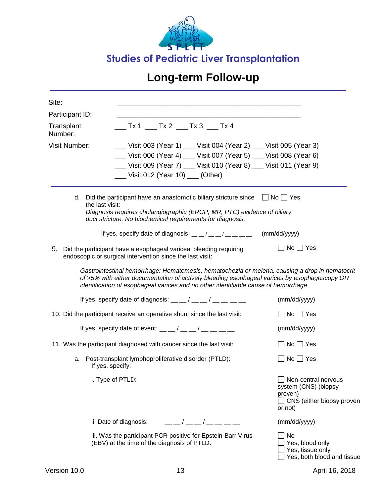![](_page_34_Picture_0.jpeg)

| Site:                 |                                                                                                                                                                                                                                                                                       |                                                                                                       |
|-----------------------|---------------------------------------------------------------------------------------------------------------------------------------------------------------------------------------------------------------------------------------------------------------------------------------|-------------------------------------------------------------------------------------------------------|
| Participant ID:       |                                                                                                                                                                                                                                                                                       |                                                                                                       |
| Transplant<br>Number: | $Tx1$ Tx 2 Tx 3 Tx 4                                                                                                                                                                                                                                                                  |                                                                                                       |
| <b>Visit Number:</b>  | __ Visit 003 (Year 1) __ Visit 004 (Year 2) __ Visit 005 (Year 3)                                                                                                                                                                                                                     |                                                                                                       |
|                       | __ Visit 006 (Year 4) __ Visit 007 (Year 5) __ Visit 008 (Year 6)                                                                                                                                                                                                                     |                                                                                                       |
|                       | __ Visit 009 (Year 7) __ Visit 010 (Year 8) __ Visit 011 (Year 9)                                                                                                                                                                                                                     |                                                                                                       |
|                       | ___ Visit 012 (Year 10) ___ (Other)                                                                                                                                                                                                                                                   |                                                                                                       |
| the last visit:       | d. Did the participant have an anastomotic biliary stricture since $\Box$ No $\Box$ Yes<br>Diagnosis requires cholangiographic (ERCP, MR, PTC) evidence of biliary<br>duct stricture. No biochemical requirements for diagnosis.                                                      |                                                                                                       |
|                       | If yes, specify date of diagnosis: $\frac{m}{m}$ / $\frac{m}{m}$ / $\frac{m}{m}$ / $\frac{m}{m}$ / $\frac{m}{m}$                                                                                                                                                                      | (mm/dd/yyyy)                                                                                          |
| 9.                    | Did the participant have a esophageal variceal bleeding requiring<br>endoscopic or surgical intervention since the last visit:                                                                                                                                                        | $\Box$ No $\Box$ Yes                                                                                  |
|                       | Gastrointestinal hemorrhage: Hematemesis, hematochezia or melena, causing a drop in hematocrit<br>of >5% with either documentation of actively bleeding esophageal varices by esophagoscopy OR<br>identification of esophageal varices and no other identifiable cause of hemorrhage. |                                                                                                       |
|                       | If yes, specify date of diagnosis: $\frac{1}{2}$ $\frac{1}{2}$ $\frac{1}{2}$ $\frac{1}{2}$ $\frac{1}{2}$ $\frac{1}{2}$ $\frac{1}{2}$ $\frac{1}{2}$ $\frac{1}{2}$                                                                                                                      | (mm/dd/yyyy)                                                                                          |
|                       | 10. Did the participant receive an operative shunt since the last visit:                                                                                                                                                                                                              | $\Box$ No $\Box$ Yes                                                                                  |
|                       | If yes, specify date of event: $\frac{1}{2}$ $\frac{1}{2}$ $\frac{1}{2}$ $\frac{1}{2}$ $\frac{1}{2}$ $\frac{1}{2}$ $\frac{1}{2}$ $\frac{1}{2}$ $\frac{1}{2}$                                                                                                                          | (mm/dd/yyyy)                                                                                          |
|                       | 11. Was the participant diagnosed with cancer since the last visit:                                                                                                                                                                                                                   | $\Box$ No $\Box$ Yes                                                                                  |
| a.                    | Post-transplant lymphoproliferative disorder (PTLD):<br>If yes, specify:                                                                                                                                                                                                              | $\Box$ No $\Box$ Yes                                                                                  |
|                       | i. Type of PTLD:                                                                                                                                                                                                                                                                      | Non-central nervous<br>system (CNS) (biopsy<br>proven)<br>$\Box$ CNS (either biopsy proven<br>or not) |
|                       | ii. Date of diagnosis:                                                                                                                                                                                                                                                                | (mm/dd/yyyy)                                                                                          |
|                       | iii. Was the participant PCR positive for Epstein-Barr Virus<br>(EBV) at the time of the diagnosis of PTLD:                                                                                                                                                                           | <b>No</b><br>Yes, blood only<br>Yes, tissue only<br>Yes, both blood and tissue                        |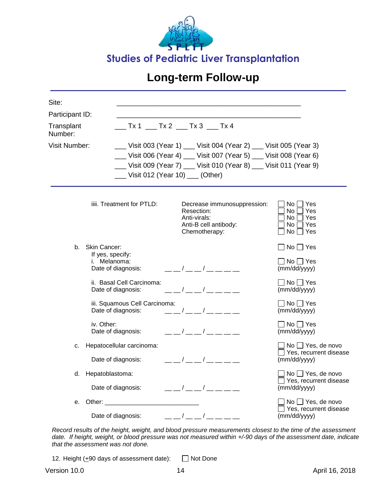![](_page_35_Picture_0.jpeg)

| Site:                                                       |                                                                               |                                                                                                                                                                                                                                                                                                                           |                                                                            |  |  |
|-------------------------------------------------------------|-------------------------------------------------------------------------------|---------------------------------------------------------------------------------------------------------------------------------------------------------------------------------------------------------------------------------------------------------------------------------------------------------------------------|----------------------------------------------------------------------------|--|--|
| Participant ID:                                             |                                                                               |                                                                                                                                                                                                                                                                                                                           |                                                                            |  |  |
| __ Tx 1 ___ Tx 2 ___ Tx 3 ___ Tx 4<br>Transplant<br>Number: |                                                                               |                                                                                                                                                                                                                                                                                                                           |                                                                            |  |  |
| <b>Visit Number:</b>                                        | __ Visit 012 (Year 10) __ (Other)                                             | __ Visit 003 (Year 1) ___ Visit 004 (Year 2) ___ Visit 005 (Year 3)<br>__ Visit 006 (Year 4) __ Visit 007 (Year 5) __ Visit 008 (Year 6)<br>__ Visit 009 (Year 7) __ Visit 010 (Year 8) __ Visit 011 (Year 9)                                                                                                             |                                                                            |  |  |
|                                                             | iiii. Treatment for PTLD:                                                     | Decrease immunosuppression:<br>Resection:<br>Anti-virals:<br>Anti-B cell antibody:<br>Chemotherapy:                                                                                                                                                                                                                       | Yes<br>No.<br>No.<br>Yes<br>Yes<br>No.<br>No.<br>Yes<br>No<br>$\sqcap$ Yes |  |  |
| b.                                                          | <b>Skin Cancer:</b><br>If yes, specify:<br>i. Melanoma:<br>Date of diagnosis: | $\frac{1}{2}$ $\frac{1}{2}$ $\frac{1}{2}$ $\frac{1}{2}$ $\frac{1}{2}$ $\frac{1}{2}$ $\frac{1}{2}$ $\frac{1}{2}$ $\frac{1}{2}$ $\frac{1}{2}$ $\frac{1}{2}$ $\frac{1}{2}$ $\frac{1}{2}$ $\frac{1}{2}$ $\frac{1}{2}$ $\frac{1}{2}$ $\frac{1}{2}$ $\frac{1}{2}$ $\frac{1}{2}$ $\frac{1}{2}$ $\frac{1}{2}$ $\frac{1}{2}$       | $\Box$ No $\Box$ Yes<br>$\Box$ No $\Box$ Yes<br>(mm/dd/yyyy)               |  |  |
|                                                             | ii. Basal Cell Carcinoma:<br>Date of diagnosis:                               | $\sqrt{1}$                                                                                                                                                                                                                                                                                                                | $\Box$ No $\Box$ Yes<br>(mm/dd/yyyy)                                       |  |  |
|                                                             | iii. Squamous Cell Carcinoma:<br>Date of diagnosis:                           | $\frac{1}{2}$ $\frac{1}{2}$ $\frac{1}{2}$ $\frac{1}{2}$ $\frac{1}{2}$ $\frac{1}{2}$ $\frac{1}{2}$ $\frac{1}{2}$ $\frac{1}{2}$ $\frac{1}{2}$ $\frac{1}{2}$ $\frac{1}{2}$ $\frac{1}{2}$ $\frac{1}{2}$ $\frac{1}{2}$ $\frac{1}{2}$ $\frac{1}{2}$ $\frac{1}{2}$ $\frac{1}{2}$ $\frac{1}{2}$ $\frac{1}{2}$ $\frac{1}{2}$       | $\square$ No $\square$ Yes<br>(mm/dd/yyyy)                                 |  |  |
|                                                             | iv. Other:<br>Date of diagnosis:                                              | $\frac{\frac{1}{2}}{2}$ $\frac{\frac{1}{2}}{2}$ $\frac{1}{2}$ $\frac{1}{2}$ $\frac{1}{2}$ $\frac{1}{2}$ $\frac{1}{2}$ $\frac{1}{2}$ $\frac{1}{2}$ $\frac{1}{2}$ $\frac{1}{2}$ $\frac{1}{2}$ $\frac{1}{2}$ $\frac{1}{2}$ $\frac{1}{2}$ $\frac{1}{2}$ $\frac{1}{2}$ $\frac{1}{2}$ $\frac{1}{2}$ $\frac{1}{2}$ $\frac{1}{2}$ | $\square$ No $\square$ Yes<br>(mm/dd/yyyy)                                 |  |  |
| с.                                                          | Hepatocellular carcinoma:                                                     |                                                                                                                                                                                                                                                                                                                           | $No \square$ Yes, de novo<br>Yes, recurrent disease                        |  |  |
|                                                             | Date of diagnosis:                                                            | — — / — — / — — — —                                                                                                                                                                                                                                                                                                       | (mm/dd/yyyy)                                                               |  |  |
| d.                                                          | Hepatoblastoma:<br>Date of diagnosis:                                         | ___/___/____                                                                                                                                                                                                                                                                                                              | $No \square$ Yes, de novo<br>□ Yes, recurrent disease<br>(mm/dd/yyyy)      |  |  |
| е.                                                          | Date of diagnosis:                                                            | __ _/ __ _/ __ __ __ __                                                                                                                                                                                                                                                                                                   | No □ Yes, de novo<br>Yes, recurrent disease<br>(mm/dd/yyyy)                |  |  |
|                                                             |                                                                               |                                                                                                                                                                                                                                                                                                                           |                                                                            |  |  |

*Record results of the height, weight, and blood pressure measurements closest to the time of the assessment date. If height, weight, or blood pressure was not measured within +/-90 days of the assessment date, indicate that the assessment was not done.*

12. Height  $(+90$  days of assessment date):  $\Box$  Not Done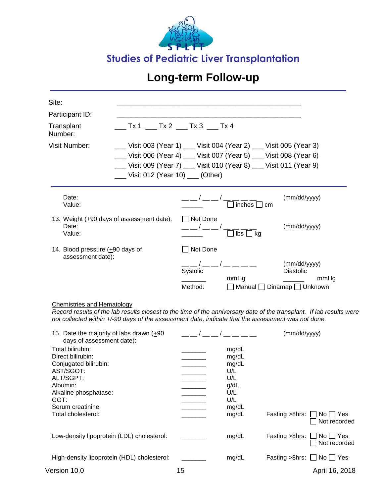![](_page_36_Picture_0.jpeg)

| Site:<br>Participant ID:<br>Transplant<br>Number:<br><b>Visit Number:</b>         | ___ Tx 1 ___ Tx 2 ___ Tx 3 ___ Tx 4<br>Uisit 012 (Year 10) $\quad$ (Other) |                                 | __ Visit 003 (Year 1) __ Visit 004 (Year 2) __ Visit 005 (Year 3)<br>__ Visit 006 (Year 4) __ Visit 007 (Year 5) __ Visit 008 (Year 6)<br>__ Visit 009 (Year 7) __ Visit 010 (Year 8) __ Visit 011 (Year 9) |                                          |
|-----------------------------------------------------------------------------------|----------------------------------------------------------------------------|---------------------------------|-------------------------------------------------------------------------------------------------------------------------------------------------------------------------------------------------------------|------------------------------------------|
| Date:<br>Value:<br>13. Weight $(+90$ days of assessment date):<br>Date:<br>Value: |                                                                            | □ Not Done                      | inches $\Box$ cm<br>$\Box$ lbs $\Box$ kg                                                                                                                                                                    | (mm/dd/yyyy)<br>(mm/dd/yyyy)             |
| 14. Blood pressure $(+90$ days of<br>assessment date):                            |                                                                            | Not Done<br>Systolic<br>Method: | mmHq<br>  Manual   Dinamap   Unknown                                                                                                                                                                        | (mm/dd/yyyy)<br><b>Diastolic</b><br>mmHg |

#### Chemistries and Hematology

*Record results of the lab results closest to the time of the anniversary date of the transplant. If lab results were not collected within +/-90 days of the assessment date, indicate that the assessment was not done.*

| 15. Date the majority of labs drawn $(+90)$<br>days of assessment date):                                                                                                         |    |                                                                               | (mm/dd/yyyy)                                             |
|----------------------------------------------------------------------------------------------------------------------------------------------------------------------------------|----|-------------------------------------------------------------------------------|----------------------------------------------------------|
| Total bilirubin:<br>Direct bilirubin:<br>Conjugated bilirubin:<br>AST/SGOT:<br>ALT/SGPT:<br>Albumin:<br>Alkaline phosphatase:<br>GGT:<br>Serum creatinine:<br>Total cholesterol: |    | mg/dL<br>mg/dL<br>mg/dL<br>U/L<br>U/L<br>g/dL<br>U/L<br>U/L<br>mg/dL<br>mg/dL | Fasting $>8$ hrs: $\Box$<br>No     Yes<br>Not recorded   |
| Low-density lipoprotein (LDL) cholesterol:                                                                                                                                       |    | mg/dL                                                                         | Fasting $>8$ hrs: $\Box$<br>$No$   $Yes$<br>Not recorded |
| High-density lipoprotein (HDL) cholesterol:                                                                                                                                      |    | mg/dL                                                                         | Fasting $>8$ hrs: $\Box$ No $\Box$ Yes                   |
| Version 10.0                                                                                                                                                                     | 15 |                                                                               | April 16, 2018                                           |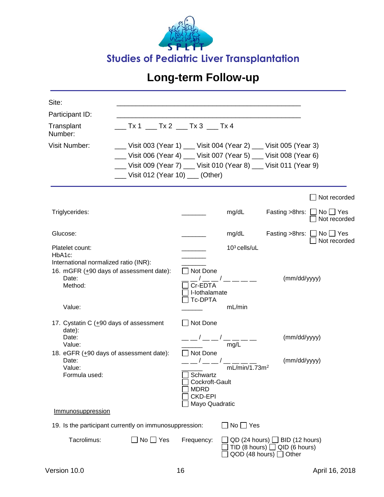![](_page_37_Picture_0.jpeg)

| Site:                                           |                                                                   |                               |                                                                                                                                                                                                                                                                                                                                                                      |                                                                             |                                                        |
|-------------------------------------------------|-------------------------------------------------------------------|-------------------------------|----------------------------------------------------------------------------------------------------------------------------------------------------------------------------------------------------------------------------------------------------------------------------------------------------------------------------------------------------------------------|-----------------------------------------------------------------------------|--------------------------------------------------------|
| Participant ID:                                 |                                                                   |                               |                                                                                                                                                                                                                                                                                                                                                                      |                                                                             |                                                        |
| Transplant<br>Number:                           |                                                                   |                               |                                                                                                                                                                                                                                                                                                                                                                      |                                                                             |                                                        |
| <b>Visit Number:</b>                            | __ Visit 003 (Year 1) __ Visit 004 (Year 2) __ Visit 005 (Year 3) |                               |                                                                                                                                                                                                                                                                                                                                                                      |                                                                             |                                                        |
|                                                 | __ Visit 006 (Year 4) __ Visit 007 (Year 5) __ Visit 008 (Year 6) |                               |                                                                                                                                                                                                                                                                                                                                                                      |                                                                             |                                                        |
|                                                 | __ Visit 009 (Year 7) __ Visit 010 (Year 8) __ Visit 011 (Year 9) |                               |                                                                                                                                                                                                                                                                                                                                                                      |                                                                             |                                                        |
|                                                 | Uisit 012 (Year 10) ___ (Other)                                   |                               |                                                                                                                                                                                                                                                                                                                                                                      |                                                                             |                                                        |
|                                                 |                                                                   |                               |                                                                                                                                                                                                                                                                                                                                                                      |                                                                             | Not recorded                                           |
| Triglycerides:                                  |                                                                   |                               | mg/dL                                                                                                                                                                                                                                                                                                                                                                |                                                                             | Fasting $>8$ hrs: $\Box$ No $\Box$ Yes<br>Not recorded |
| Glucose:                                        |                                                                   |                               | mg/dL                                                                                                                                                                                                                                                                                                                                                                |                                                                             | Fasting $>8$ hrs: $\Box$ No $\Box$ Yes                 |
| Platelet count:                                 |                                                                   |                               | $103$ cells/uL                                                                                                                                                                                                                                                                                                                                                       |                                                                             | Not recorded                                           |
| HbA1c:<br>International normalized ratio (INR): |                                                                   |                               |                                                                                                                                                                                                                                                                                                                                                                      |                                                                             |                                                        |
|                                                 | 16. mGFR (+90 days of assessment date):                           | Not Done                      |                                                                                                                                                                                                                                                                                                                                                                      |                                                                             |                                                        |
| Date:                                           |                                                                   |                               | $\frac{1}{\sqrt{2}}$ $\frac{1}{\sqrt{2}}$ $\frac{1}{\sqrt{2}}$ $\frac{1}{\sqrt{2}}$ $\frac{1}{\sqrt{2}}$ $\frac{1}{\sqrt{2}}$ $\frac{1}{\sqrt{2}}$ $\frac{1}{\sqrt{2}}$ $\frac{1}{\sqrt{2}}$ $\frac{1}{\sqrt{2}}$ $\frac{1}{\sqrt{2}}$ $\frac{1}{\sqrt{2}}$ $\frac{1}{\sqrt{2}}$ $\frac{1}{\sqrt{2}}$ $\frac{1}{\sqrt{2}}$ $\frac{1}{\sqrt{2}}$ $\frac{1}{\sqrt{2}}$ | (mm/dd/yyyy)                                                                |                                                        |
| Method:                                         |                                                                   | Cr-EDTA<br>I-lothalamate      |                                                                                                                                                                                                                                                                                                                                                                      |                                                                             |                                                        |
|                                                 |                                                                   | <b>Tc-DPTA</b>                |                                                                                                                                                                                                                                                                                                                                                                      |                                                                             |                                                        |
| Value:                                          |                                                                   |                               | mL/min                                                                                                                                                                                                                                                                                                                                                               |                                                                             |                                                        |
| 17. Cystatin C (+90 days of assessment          |                                                                   | $\Box$ Not Done               |                                                                                                                                                                                                                                                                                                                                                                      |                                                                             |                                                        |
| date):<br>Date:                                 |                                                                   | ___/___/____                  |                                                                                                                                                                                                                                                                                                                                                                      | (mm/dd/yyyy)                                                                |                                                        |
| Value:                                          |                                                                   |                               | mg/L                                                                                                                                                                                                                                                                                                                                                                 |                                                                             |                                                        |
|                                                 | 18. eGFR (+90 days of assessment date):                           | $\Box$ Not Done               |                                                                                                                                                                                                                                                                                                                                                                      |                                                                             |                                                        |
| Date:<br>Value:                                 |                                                                   |                               | mL/min/1.73m <sup>2</sup>                                                                                                                                                                                                                                                                                                                                            | (mm/dd/yyyy)                                                                |                                                        |
| Formula used:                                   |                                                                   | Schwartz                      |                                                                                                                                                                                                                                                                                                                                                                      |                                                                             |                                                        |
|                                                 |                                                                   | Cockroft-Gault<br><b>MDRD</b> |                                                                                                                                                                                                                                                                                                                                                                      |                                                                             |                                                        |
|                                                 |                                                                   | <b>CKD-EPI</b>                |                                                                                                                                                                                                                                                                                                                                                                      |                                                                             |                                                        |
| Immunosuppression                               |                                                                   | Mayo Quadratic                |                                                                                                                                                                                                                                                                                                                                                                      |                                                                             |                                                        |
|                                                 | 19. Is the participant currently on immunosuppression:            |                               | $No \square Yes$                                                                                                                                                                                                                                                                                                                                                     |                                                                             |                                                        |
|                                                 |                                                                   |                               |                                                                                                                                                                                                                                                                                                                                                                      |                                                                             |                                                        |
| Tacrolimus:                                     | $\Box$ No $\Box$ Yes                                              | Frequency:                    |                                                                                                                                                                                                                                                                                                                                                                      | $QD$ (24 hours) $\Box$ BID (12 hours)<br>TID (8 hours) $\Box$ QID (6 hours) |                                                        |
|                                                 |                                                                   |                               |                                                                                                                                                                                                                                                                                                                                                                      | QOD (48 hours) $\Box$ Other                                                 |                                                        |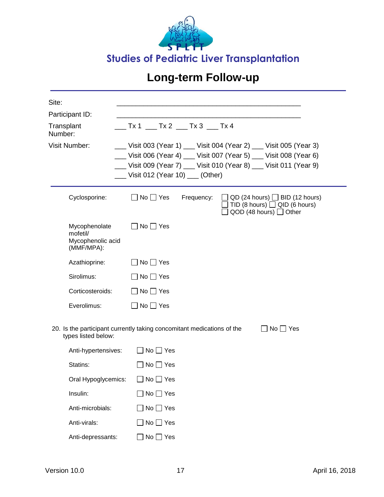![](_page_38_Picture_0.jpeg)

| Site:                                                        |                                                                                                                                                                                                                                                  |
|--------------------------------------------------------------|--------------------------------------------------------------------------------------------------------------------------------------------------------------------------------------------------------------------------------------------------|
| Participant ID:                                              |                                                                                                                                                                                                                                                  |
| Transplant<br>Number:                                        | $\sqrt{1 + 1}$ Tx 2 $\sqrt{1 + 1}$ Tx 3 $\sqrt{1 + 1}$ Tx 4                                                                                                                                                                                      |
| <b>Visit Number:</b>                                         | __ Visit 003 (Year 1) __ Visit 004 (Year 2) __ Visit 005 (Year 3)<br>__ Visit 006 (Year 4) __ Visit 007 (Year 5) __ Visit 008 (Year 6)<br>__ Visit 009 (Year 7) __ Visit 010 (Year 8) __ Visit 011 (Year 9)<br>__ Visit 012 (Year 10) __ (Other) |
| Cyclosporine:                                                | $\Box$ No $\Box$ Yes<br>Frequency:<br>$\Box$ QD (24 hours) $\Box$ BID (12 hours)<br>TID (8 hours) $\Box$ QID (6 hours)<br>QOD (48 hours) $\Box$ Other                                                                                            |
| Mycophenolate<br>mofetil/<br>Mycophenolic acid<br>(MMF/MPA): | $No \square Yes$                                                                                                                                                                                                                                 |
| Azathioprine:                                                | $\Box$ No $\Box$ Yes                                                                                                                                                                                                                             |
| Sirolimus:                                                   | $\Box$ No $\Box$ Yes                                                                                                                                                                                                                             |
| Corticosteroids:                                             | $\Box$ No $\Box$ Yes                                                                                                                                                                                                                             |
| Everolimus:                                                  | $\Box$ No $\Box$ Yes                                                                                                                                                                                                                             |
| types listed below:                                          | 20. Is the participant currently taking concomitant medications of the<br>$\Box$ No $\Box$ Yes                                                                                                                                                   |
| Anti-hypertensives:                                          | $\Box$ No $\Box$ Yes                                                                                                                                                                                                                             |
| Statins:                                                     | $\Box$ No $\Box$ Yes                                                                                                                                                                                                                             |
| Oral Hypoglycemics:                                          | $No \square Yes$                                                                                                                                                                                                                                 |
| Insulin:                                                     | $\exists$ No $\Box$ Yes                                                                                                                                                                                                                          |
| Anti-microbials:                                             | ]No □ Yes                                                                                                                                                                                                                                        |
| Anti-virals:                                                 | ]No □ Yes                                                                                                                                                                                                                                        |
| Anti-depressants:                                            | Yes<br>No $\square$                                                                                                                                                                                                                              |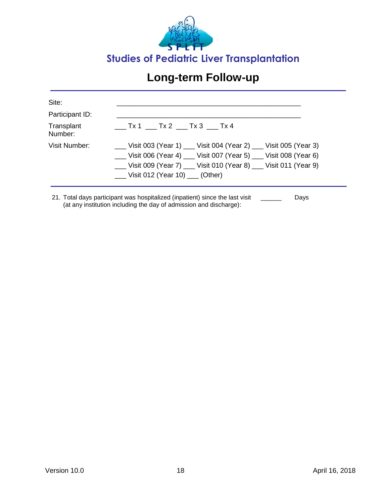![](_page_39_Picture_0.jpeg)

| Site:                 |                                                                                                                                                                                                                                                 |
|-----------------------|-------------------------------------------------------------------------------------------------------------------------------------------------------------------------------------------------------------------------------------------------|
| Participant ID:       |                                                                                                                                                                                                                                                 |
| Transplant<br>Number: | $\sqrt{1-x^2-1}$ Tx 2 $\sqrt{1-x^2-1}$ Tx 4                                                                                                                                                                                                     |
| Visit Number:         | Uisit 003 (Year 1) __ Visit 004 (Year 2) __ Visit 005 (Year 3)<br>__ Visit 006 (Year 4) __ Visit 007 (Year 5) __ Visit 008 (Year 6)<br>__ Visit 009 (Year 7) __ Visit 010 (Year 8) __ Visit 011 (Year 9)<br>Uisit 012 (Year 10) $\quad$ (Other) |

21. Total days participant was hospitalized (inpatient) since the last visit (at any institution including the day of admission and discharge): \_\_\_\_\_\_ Days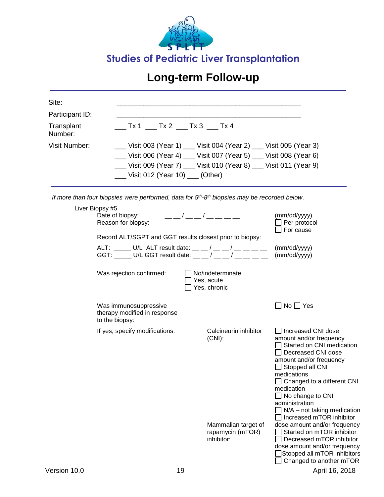![](_page_40_Picture_0.jpeg)

| Site:                 |                                                                                                                   |                                                           |                                                                                                                                                                                                                                                                                                                                                                   |  |  |  |
|-----------------------|-------------------------------------------------------------------------------------------------------------------|-----------------------------------------------------------|-------------------------------------------------------------------------------------------------------------------------------------------------------------------------------------------------------------------------------------------------------------------------------------------------------------------------------------------------------------------|--|--|--|
| Participant ID:       |                                                                                                                   |                                                           |                                                                                                                                                                                                                                                                                                                                                                   |  |  |  |
| Transplant<br>Number: |                                                                                                                   | $\sqrt{1-x^2+1}$ Tx 2 $\sqrt{1-x^2+1}$ Tx 4               |                                                                                                                                                                                                                                                                                                                                                                   |  |  |  |
| Visit Number:         | __ Visit 003 (Year 1) __ Visit 004 (Year 2) __ Visit 005 (Year 3)                                                 |                                                           |                                                                                                                                                                                                                                                                                                                                                                   |  |  |  |
|                       | __ Visit 006 (Year 4) __ Visit 007 (Year 5) __ Visit 008 (Year 6)                                                 |                                                           |                                                                                                                                                                                                                                                                                                                                                                   |  |  |  |
|                       | __ Visit 009 (Year 7) __ Visit 010 (Year 8) __ Visit 011 (Year 9)                                                 |                                                           |                                                                                                                                                                                                                                                                                                                                                                   |  |  |  |
|                       | ___ Visit 012 (Year 10) ___ (Other)                                                                               |                                                           |                                                                                                                                                                                                                                                                                                                                                                   |  |  |  |
|                       | If more than four biopsies were performed, data for $5th$ -8 <sup>th</sup> biopsies may be recorded below.        |                                                           |                                                                                                                                                                                                                                                                                                                                                                   |  |  |  |
|                       | Liver Biopsy #5                                                                                                   |                                                           |                                                                                                                                                                                                                                                                                                                                                                   |  |  |  |
|                       | Date of biopsy:<br>Reason for biopsy:                                                                             | ___/__/____                                               | (mm/dd/yyyy)<br>Per protocol<br>For cause                                                                                                                                                                                                                                                                                                                         |  |  |  |
|                       | Record ALT/SGPT and GGT results closest prior to biopsy:                                                          |                                                           |                                                                                                                                                                                                                                                                                                                                                                   |  |  |  |
|                       | ALT: _____ U/L ALT result date: __ _/ __ _/ __ __ / __ __<br>GGT: _____ U/L GGT result date: __ _ / __ _ / __ _ / |                                                           | (mm/dd/yyyy)<br>(mm/dd/yyyy)                                                                                                                                                                                                                                                                                                                                      |  |  |  |
|                       | Was rejection confirmed:                                                                                          | No/indeterminate<br>Yes, acute<br>Yes, chronic            |                                                                                                                                                                                                                                                                                                                                                                   |  |  |  |
|                       | Was immunosuppressive<br>therapy modified in response<br>to the biopsy:                                           |                                                           | $\Box$ No $\Box$ Yes                                                                                                                                                                                                                                                                                                                                              |  |  |  |
|                       | If yes, specify modifications:                                                                                    | Calcineurin inhibitor<br>$(CNI)$ :<br>Mammalian target of | □ Increased CNI dose<br>amount and/or frequency<br>Started on CNI medication<br>Decreased CNI dose<br>amount and/or frequency<br>$\Box$ Stopped all CNI<br>medications<br>Changed to a different CNI<br>medication<br>$\Box$ No change to CNI<br>administration<br>$\Box$ N/A – not taking medication<br>Increased mTOR inhibitor<br>dose amount and/or frequency |  |  |  |
|                       |                                                                                                                   | rapamycin (mTOR)<br>inhibitor:                            | Started on mTOR inhibitor<br>Decreased mTOR inhibitor<br>dose amount and/or frequency<br>Stopped all mTOR inhibitors<br>Changed to another mTOR                                                                                                                                                                                                                   |  |  |  |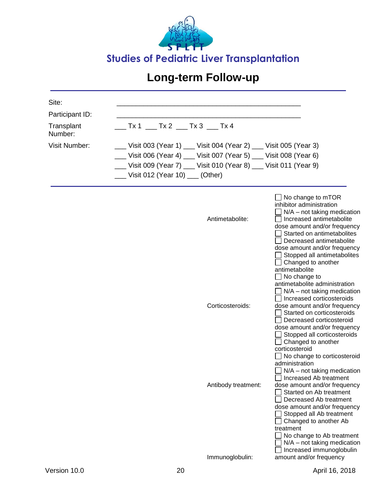![](_page_41_Picture_0.jpeg)

| Site:                 |                                                                   |                                                                                                                                                                                                                                                                                                                                                                                             |
|-----------------------|-------------------------------------------------------------------|---------------------------------------------------------------------------------------------------------------------------------------------------------------------------------------------------------------------------------------------------------------------------------------------------------------------------------------------------------------------------------------------|
| Participant ID:       |                                                                   |                                                                                                                                                                                                                                                                                                                                                                                             |
| Transplant<br>Number: |                                                                   |                                                                                                                                                                                                                                                                                                                                                                                             |
| <b>Visit Number:</b>  | __ Visit 003 (Year 1) __ Visit 004 (Year 2) __ Visit 005 (Year 3) |                                                                                                                                                                                                                                                                                                                                                                                             |
|                       | __ Visit 006 (Year 4) __ Visit 007 (Year 5) __ Visit 008 (Year 6) |                                                                                                                                                                                                                                                                                                                                                                                             |
|                       | __ Visit 009 (Year 7) __ Visit 010 (Year 8) __ Visit 011 (Year 9) |                                                                                                                                                                                                                                                                                                                                                                                             |
|                       | __ Visit 012 (Year 10) __ (Other)                                 |                                                                                                                                                                                                                                                                                                                                                                                             |
|                       | Antimetabolite:                                                   | No change to mTOR<br>inhibitor administration<br>N/A - not taking medication<br>Increased antimetabolite<br>dose amount and/or frequency<br>Started on antimetabolites<br>Decreased antimetabolite<br>dose amount and/or frequency<br>Stopped all antimetabolites<br>Changed to another<br>antimetabolite<br>No change to<br>antimetabolite administration<br>$N/A$ – not taking medication |
|                       | Corticosteroids:                                                  | Increased corticosteroids<br>dose amount and/or frequency<br>Started on corticosteroids<br>Decreased corticosteroid<br>dose amount and/or frequency<br>Stopped all corticosteroids<br>$\Box$ Changed to another<br>corticosteroid<br>No change to corticosteroid<br>administration<br>$N/A$ – not taking medication                                                                         |
|                       | Antibody treatment:                                               | □ Increased Ab treatment<br>dose amount and/or frequency<br>Started on Ab treatment<br>Decreased Ab treatment<br>dose amount and/or frequency<br>Stopped all Ab treatment<br>Changed to another Ab<br>treatment<br>No change to Ab treatment<br>$N/A$ – not taking medication<br>Increased immunoglobulin                                                                                   |
|                       | Immunoglobulin:                                                   | amount and/or frequency                                                                                                                                                                                                                                                                                                                                                                     |
| Version 10.0          | 20                                                                | April 16, 2018                                                                                                                                                                                                                                                                                                                                                                              |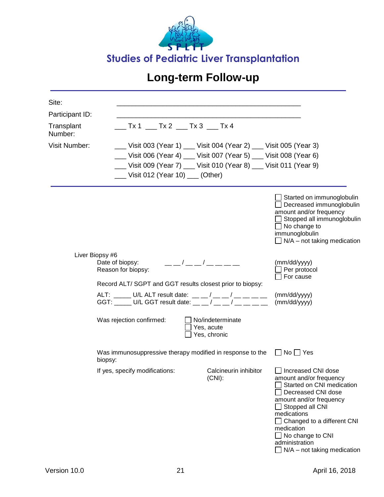![](_page_42_Picture_0.jpeg)

| Site:                         |                                                                                                                     |                                                |                                                                                                                                                                                                                                                                                                         |
|-------------------------------|---------------------------------------------------------------------------------------------------------------------|------------------------------------------------|---------------------------------------------------------------------------------------------------------------------------------------------------------------------------------------------------------------------------------------------------------------------------------------------------------|
| Participant ID:<br>Transplant | $\_$ Tx 1 $\_$ Tx 2 $\_$ Tx 3 $\_$ Tx 4                                                                             |                                                |                                                                                                                                                                                                                                                                                                         |
| Number:                       |                                                                                                                     |                                                |                                                                                                                                                                                                                                                                                                         |
| <b>Visit Number:</b>          | __ Visit 003 (Year 1) ___ Visit 004 (Year 2) ___ Visit 005 (Year 3)                                                 |                                                |                                                                                                                                                                                                                                                                                                         |
|                               | __ Visit 006 (Year 4) __ Visit 007 (Year 5) __ Visit 008 (Year 6)                                                   |                                                |                                                                                                                                                                                                                                                                                                         |
|                               | __ Visit 009 (Year 7) __ Visit 010 (Year 8) __ Visit 011 (Year 9)                                                   |                                                |                                                                                                                                                                                                                                                                                                         |
|                               | ___ Visit 012 (Year 10) ___ (Other)                                                                                 |                                                |                                                                                                                                                                                                                                                                                                         |
|                               |                                                                                                                     |                                                | Started on immunoglobulin<br>Decreased immunoglobulin<br>amount and/or frequency<br>Stopped all immunoglobulin<br>$\Box$ No change to<br>immunoglobulin<br>$\Box$ N/A – not taking medication                                                                                                           |
|                               | Liver Biopsy #6<br>Date of biopsy:<br>Reason for biopsy:                                                            | — — / — — / — — — — —                          | (mm/dd/yyyy)<br>Per protocol<br>For cause                                                                                                                                                                                                                                                               |
|                               | Record ALT/ SGPT and GGT results closest prior to biopsy:                                                           |                                                |                                                                                                                                                                                                                                                                                                         |
|                               | ALT: _____ U/L ALT result date: __ _ / __ _ / __ _ _ _<br>GGT: ______ U/L GGT result date: __ _ / __ _ / __ _ _ _ _ |                                                | (mm/dd/yyyy)<br>(mm/dd/yyyy)                                                                                                                                                                                                                                                                            |
|                               | Was rejection confirmed:                                                                                            | No/indeterminate<br>Yes, acute<br>Yes, chronic |                                                                                                                                                                                                                                                                                                         |
|                               | Was immunosuppressive therapy modified in response to the<br>biopsy:                                                |                                                | $\Box$ No $\Box$ Yes                                                                                                                                                                                                                                                                                    |
|                               | If yes, specify modifications:                                                                                      | Calcineurin inhibitor<br>$(CNI)$ :             | □ Increased CNI dose<br>amount and/or frequency<br>Started on CNI medication<br>Decreased CNI dose<br>amount and/or frequency<br>$\Box$ Stopped all CNI<br>medications<br>$\Box$ Changed to a different CNI<br>medication<br>$\Box$ No change to CNI<br>administration<br>$N/A$ – not taking medication |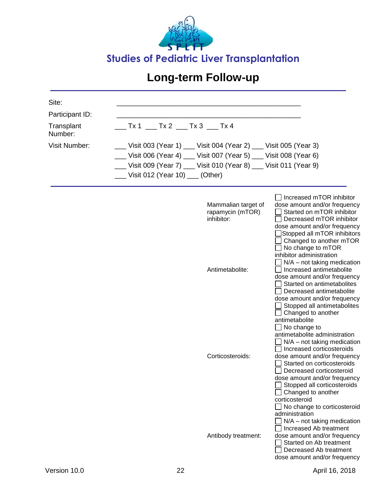![](_page_43_Picture_0.jpeg)

| Site:                 |                                                                   |                                                                                                                                                                                                                                                                                                                                                                      |
|-----------------------|-------------------------------------------------------------------|----------------------------------------------------------------------------------------------------------------------------------------------------------------------------------------------------------------------------------------------------------------------------------------------------------------------------------------------------------------------|
| Participant ID:       |                                                                   |                                                                                                                                                                                                                                                                                                                                                                      |
| Transplant<br>Number: | $Tx 1$ ___ Tx 2 ___ Tx 3 ___ Tx 4                                 |                                                                                                                                                                                                                                                                                                                                                                      |
| <b>Visit Number:</b>  | __ Visit 003 (Year 1) __ Visit 004 (Year 2) __ Visit 005 (Year 3) |                                                                                                                                                                                                                                                                                                                                                                      |
|                       | __ Visit 006 (Year 4) __ Visit 007 (Year 5) __ Visit 008 (Year 6) |                                                                                                                                                                                                                                                                                                                                                                      |
|                       | __ Visit 009 (Year 7) __ Visit 010 (Year 8) __ Visit 011 (Year 9) |                                                                                                                                                                                                                                                                                                                                                                      |
|                       | Uisit 012 (Year 10) ___ (Other)                                   |                                                                                                                                                                                                                                                                                                                                                                      |
|                       | Mammalian target of<br>rapamycin (mTOR)<br>inhibitor:             | $\Box$ Increased mTOR inhibitor<br>dose amount and/or frequency<br>Started on mTOR inhibitor<br>Decreased mTOR inhibitor<br>dose amount and/or frequency<br>Stopped all mTOR inhibitors<br>Changed to another mTOR<br>No change to mTOR<br>inhibitor administration<br>$N/A$ – not taking medication                                                                 |
|                       | Antimetabolite:                                                   | Increased antimetabolite<br>dose amount and/or frequency<br>Started on antimetabolites<br>Decreased antimetabolite<br>dose amount and/or frequency<br>Stopped all antimetabolites<br>Changed to another                                                                                                                                                              |
|                       | Corticosteroids:                                                  | antimetabolite<br>$\Box$ No change to<br>antimetabolite administration<br>$N/A$ – not taking medication<br>Increased corticosteroids<br>dose amount and/or frequency<br>Started on corticosteroids<br>Decreased corticosteroid<br>dose amount and/or frequency<br>Stopped all corticosteroids<br>Changed to another<br>corticosteroid<br>No change to corticosteroid |
|                       | Antibody treatment:                                               | administration<br>$N/A$ – not taking medication<br>Increased Ab treatment<br>dose amount and/or frequency<br>Started on Ab treatment<br>Decreased Ab treatment<br>dose amount and/or frequency                                                                                                                                                                       |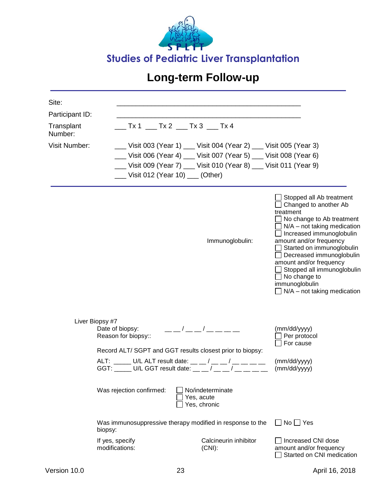![](_page_44_Picture_0.jpeg)

| Site:                 |                                                           |                                                                                                             |                                                                                                                                                                                                                                                                                                                                                                                                                              |
|-----------------------|-----------------------------------------------------------|-------------------------------------------------------------------------------------------------------------|------------------------------------------------------------------------------------------------------------------------------------------------------------------------------------------------------------------------------------------------------------------------------------------------------------------------------------------------------------------------------------------------------------------------------|
| Participant ID:       |                                                           |                                                                                                             |                                                                                                                                                                                                                                                                                                                                                                                                                              |
| Transplant<br>Number: |                                                           |                                                                                                             |                                                                                                                                                                                                                                                                                                                                                                                                                              |
| Visit Number:         |                                                           | __Visit 003 (Year 1) ___Visit 004 (Year 2) ___Visit 005 (Year 3)                                            |                                                                                                                                                                                                                                                                                                                                                                                                                              |
|                       |                                                           | _ Visit 006 (Year 4) _ Visit 007 (Year 5) _ Visit 008 (Year 6)                                              |                                                                                                                                                                                                                                                                                                                                                                                                                              |
|                       |                                                           | Uisit 009 (Year 7) __ Visit 010 (Year 8) __ Visit 011 (Year 9)                                              |                                                                                                                                                                                                                                                                                                                                                                                                                              |
|                       | __ Visit 012 (Year 10) __ (Other)                         |                                                                                                             |                                                                                                                                                                                                                                                                                                                                                                                                                              |
|                       |                                                           | Immunoglobulin:                                                                                             | Stopped all Ab treatment<br>$\Box$ Changed to another Ab<br>treatment<br>$\Box$ No change to Ab treatment<br>$\Box$ N/A – not taking medication<br>$\Box$ Increased immunoglobulin<br>amount and/or frequency<br>Started on immunoglobulin<br>$\Box$ Decreased immunoglobulin<br>amount and/or frequency<br>$\Box$ Stopped all immunoglobulin<br>$\Box$ No change to<br>immunoglobulin<br>$\Box$ N/A – not taking medication |
|                       | Liver Biopsy #7<br>Date of biopsy:<br>Reason for biopsy:: | ___/___/___                                                                                                 | (mm/dd/yyyy)<br>$\Box$ Per protocol<br>$\Box$ For cause                                                                                                                                                                                                                                                                                                                                                                      |
|                       |                                                           | Record ALT/ SGPT and GGT results closest prior to biopsy:                                                   |                                                                                                                                                                                                                                                                                                                                                                                                                              |
|                       |                                                           | ALT: _____ U/L ALT result date: __ _/ _ _ / __ _ / __ __<br>GGT: U/L GGT result date: _ _ / _ _ / _ _ _ _ _ | (mm/dd/yyyy)<br>(mm/dd/yyyy)                                                                                                                                                                                                                                                                                                                                                                                                 |
|                       | Was rejection confirmed:                                  | No/indeterminate<br>Yes, acute<br>Yes, chronic                                                              |                                                                                                                                                                                                                                                                                                                                                                                                                              |
|                       | biopsy:                                                   | Was immunosuppressive therapy modified in response to the                                                   | $\square$ No $\square$ Yes                                                                                                                                                                                                                                                                                                                                                                                                   |
|                       | If yes, specify<br>modifications:                         | Calcineurin inhibitor<br>$(CNI)$ :                                                                          | $\Box$ Increased CNI dose<br>amount and/or frequency<br>Started on CNI medication                                                                                                                                                                                                                                                                                                                                            |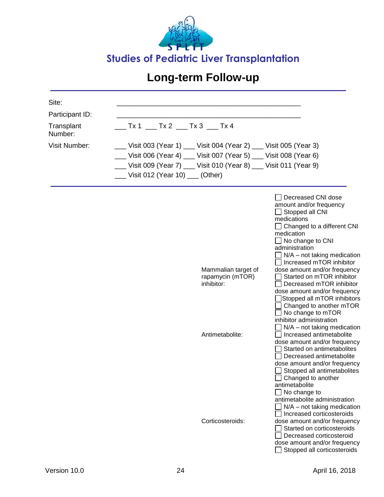![](_page_45_Picture_0.jpeg)

| Site:                 |                                                                          |                                                                                                                                                                                                                                                                                                                                                                                                                                                                                                                                                      |
|-----------------------|--------------------------------------------------------------------------|------------------------------------------------------------------------------------------------------------------------------------------------------------------------------------------------------------------------------------------------------------------------------------------------------------------------------------------------------------------------------------------------------------------------------------------------------------------------------------------------------------------------------------------------------|
| Participant ID:       |                                                                          |                                                                                                                                                                                                                                                                                                                                                                                                                                                                                                                                                      |
| Transplant<br>Number: | $Tx 1$ ___ Tx 2 ___ Tx 3 ___ Tx 4                                        |                                                                                                                                                                                                                                                                                                                                                                                                                                                                                                                                                      |
| <b>Visit Number:</b>  | __ Visit 003 (Year 1) __ Visit 004 (Year 2) __ Visit 005 (Year 3)        |                                                                                                                                                                                                                                                                                                                                                                                                                                                                                                                                                      |
|                       | __ Visit 006 (Year 4) __ Visit 007 (Year 5) __ Visit 008 (Year 6)        |                                                                                                                                                                                                                                                                                                                                                                                                                                                                                                                                                      |
|                       | __ Visit 009 (Year 7) __ Visit 010 (Year 8) __ Visit 011 (Year 9)        |                                                                                                                                                                                                                                                                                                                                                                                                                                                                                                                                                      |
|                       | ___ Visit 012 (Year 10) ___ (Other)                                      |                                                                                                                                                                                                                                                                                                                                                                                                                                                                                                                                                      |
|                       | Mammalian target of<br>rapamycin (mTOR)<br>inhibitor:<br>Antimetabolite: | Decreased CNI dose<br>amount and/or frequency<br>$\Box$ Stopped all CNI<br>medications<br>$\Box$ Changed to a different CNI<br>medication<br>$\Box$ No change to CNI<br>administration<br>$N/A$ – not taking medication<br>Increased mTOR inhibitor<br>dose amount and/or frequency<br>Started on mTOR inhibitor<br>Decreased mTOR inhibitor<br>dose amount and/or frequency<br>Stopped all mTOR inhibitors<br>Changed to another mTOR<br>No change to mTOR<br>inhibitor administration<br>$N/A$ – not taking medication<br>Increased antimetabolite |
|                       | Corticosteroids:                                                         | dose amount and/or frequency<br>Started on antimetabolites<br>Decreased antimetabolite<br>dose amount and/or frequency<br>Stopped all antimetabolites<br>$\Box$ Changed to another<br>antimetabolite<br>$\Box$ No change to<br>antimetabolite administration<br>$N/A$ – not taking medication<br>Increased corticosteroids<br>dose amount and/or frequency<br>Started on corticosteroids<br>Decreased corticosteroid<br>dose amount and/or frequency<br>Stopped all corticosteroids                                                                  |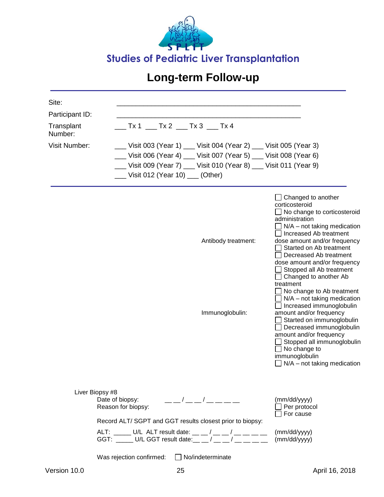![](_page_46_Picture_0.jpeg)

| Site:<br>Participant ID:<br>Transplant<br>Number:<br><b>Visit Number:</b> | $Tx 1$ __ Tx 2 __ Tx 3 __ Tx 4<br>__ Visit 003 (Year 1) __ Visit 004 (Year 2) __ Visit 005 (Year 3)<br>Uisit 006 (Year 4) __ Visit 007 (Year 5) __ Visit 008 (Year 6)<br>__ Visit 009 (Year 7) __ Visit 010 (Year 8) __ Visit 011 (Year 9)<br>___ Visit 012 (Year 10) ___ (Other) |                                                                                                                                                                                                                                                                                                                                                                                                                                                                                                                                                                                                                                                                                  |
|---------------------------------------------------------------------------|-----------------------------------------------------------------------------------------------------------------------------------------------------------------------------------------------------------------------------------------------------------------------------------|----------------------------------------------------------------------------------------------------------------------------------------------------------------------------------------------------------------------------------------------------------------------------------------------------------------------------------------------------------------------------------------------------------------------------------------------------------------------------------------------------------------------------------------------------------------------------------------------------------------------------------------------------------------------------------|
|                                                                           | Antibody treatment:<br>Immunoglobulin:                                                                                                                                                                                                                                            | Changed to another<br>corticosteroid<br>$\Box$ No change to corticosteroid<br>administration<br>$\Box$ N/A – not taking medication<br>Increased Ab treatment<br>dose amount and/or frequency<br>Started on Ab treatment<br>Decreased Ab treatment<br>dose amount and/or frequency<br>Stopped all Ab treatment<br>$\Box$ Changed to another Ab<br>treatment<br>No change to Ab treatment<br>$N/A$ – not taking medication<br>Increased immunoglobulin<br>amount and/or frequency<br>Started on immunoglobulin<br>Decreased immunoglobulin<br>amount and/or frequency<br>Stopped all immunoglobulin<br>$\Box$ No change to<br>immunoglobulin<br>$\Box$ N/A – not taking medication |
|                                                                           | Liver Biopsy #8<br>____/ __ __ / __ __ __ __<br>Date of biopsy:<br>Reason for biopsy:<br>Record ALT/ SGPT and GGT results closest prior to biopsy:                                                                                                                                | (mm/dd/yyyy)<br>Per protocol<br>For cause                                                                                                                                                                                                                                                                                                                                                                                                                                                                                                                                                                                                                                        |
|                                                                           | ALT: _____ U/L ALT result date: __ _ / __ _ / __ _ _ _ _<br>GGT: _____ U/L GGT result date: _ _ / _ _ _/ __ _ _ _                                                                                                                                                                 | (mm/dd/yyyy)<br>(mm/dd/yyyy)                                                                                                                                                                                                                                                                                                                                                                                                                                                                                                                                                                                                                                                     |

Was rejection confirmed:  $\Box$  No/indeterminate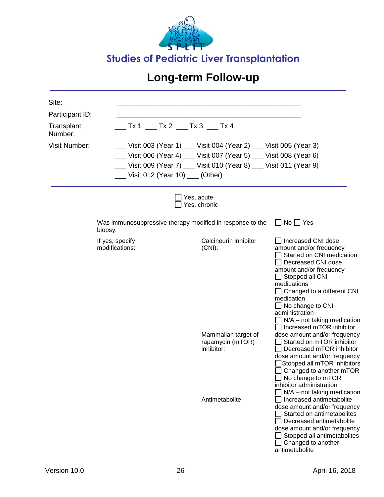![](_page_47_Picture_0.jpeg)

| Site:<br>Participant ID:<br>Transplant<br>Number:<br><b>Visit Number:</b> | $Tx 1$ ___ Tx 2 ___ Tx 3 ___ Tx 4<br>Visit 012 (Year 10) __ (Other)  | __ Visit 003 (Year 1) __ Visit 004 (Year 2) __ Visit 005 (Year 3)<br>__ Visit 006 (Year 4) __ Visit 007 (Year 5) __ Visit 008 (Year 6)<br>__ Visit 009 (Year 7) __ Visit 010 (Year 8) __ Visit 011 (Year 9) |                                                                                                                                                                                                                                                                                                              |
|---------------------------------------------------------------------------|----------------------------------------------------------------------|-------------------------------------------------------------------------------------------------------------------------------------------------------------------------------------------------------------|--------------------------------------------------------------------------------------------------------------------------------------------------------------------------------------------------------------------------------------------------------------------------------------------------------------|
|                                                                           |                                                                      | Yes, acute<br>Yes, chronic                                                                                                                                                                                  |                                                                                                                                                                                                                                                                                                              |
|                                                                           | Was immunosuppressive therapy modified in response to the<br>biopsy: |                                                                                                                                                                                                             | $\Box$ No $\Box$ Yes                                                                                                                                                                                                                                                                                         |
|                                                                           | If yes, specify<br>modifications:                                    | Calcineurin inhibitor<br>$(CNI)$ :                                                                                                                                                                          | Increased CNI dose<br>amount and/or frequency<br>Started on CNI medication<br>Decreased CNI dose<br>amount and/or frequency<br>Stopped all CNI<br>medications<br>Changed to a different CNI<br>medication<br>No change to CNI<br>administration<br>$N/A$ – not taking medication<br>Increased mTOR inhibitor |
|                                                                           |                                                                      | Mammalian target of<br>rapamycin (mTOR)<br>inhibitor:                                                                                                                                                       | dose amount and/or frequency<br>Started on mTOR inhibitor<br>Decreased mTOR inhibitor<br>dose amount and/or frequency<br>Stopped all mTOR inhibitors<br>Changed to another mTOR<br>No change to mTOR<br>inhibitor administration<br>$N/A$ – not taking medication                                            |
|                                                                           |                                                                      | Antimetabolite:                                                                                                                                                                                             | Increased antimetabolite<br>dose amount and/or frequency<br>Started on antimetabolites<br>Decreased antimetabolite<br>dose amount and/or frequency<br>Stopped all antimetabolites<br>Changed to another<br>antimetabolite                                                                                    |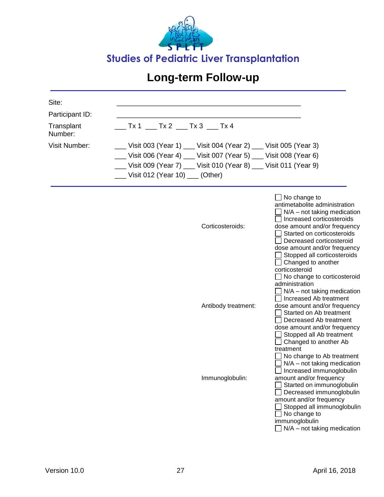![](_page_48_Picture_0.jpeg)

| Site:                 |                                                                   |                                                                                                                                                                                                                                                                                                                                                                                                                                                                                                                                                                                                                                                                                                                                                                                                                                                                                                                         |
|-----------------------|-------------------------------------------------------------------|-------------------------------------------------------------------------------------------------------------------------------------------------------------------------------------------------------------------------------------------------------------------------------------------------------------------------------------------------------------------------------------------------------------------------------------------------------------------------------------------------------------------------------------------------------------------------------------------------------------------------------------------------------------------------------------------------------------------------------------------------------------------------------------------------------------------------------------------------------------------------------------------------------------------------|
| Participant ID:       |                                                                   |                                                                                                                                                                                                                                                                                                                                                                                                                                                                                                                                                                                                                                                                                                                                                                                                                                                                                                                         |
| Transplant<br>Number: | __ Tx 1 ___ Tx 2 ___ Tx 3 ___ Tx 4                                |                                                                                                                                                                                                                                                                                                                                                                                                                                                                                                                                                                                                                                                                                                                                                                                                                                                                                                                         |
| <b>Visit Number:</b>  | __ Visit 003 (Year 1) __ Visit 004 (Year 2) __ Visit 005 (Year 3) |                                                                                                                                                                                                                                                                                                                                                                                                                                                                                                                                                                                                                                                                                                                                                                                                                                                                                                                         |
|                       | __ Visit 006 (Year 4) __ Visit 007 (Year 5) __ Visit 008 (Year 6) |                                                                                                                                                                                                                                                                                                                                                                                                                                                                                                                                                                                                                                                                                                                                                                                                                                                                                                                         |
|                       | __ Visit 009 (Year 7) __ Visit 010 (Year 8) __ Visit 011 (Year 9) |                                                                                                                                                                                                                                                                                                                                                                                                                                                                                                                                                                                                                                                                                                                                                                                                                                                                                                                         |
|                       | __ Visit 012 (Year 10) __ (Other)                                 |                                                                                                                                                                                                                                                                                                                                                                                                                                                                                                                                                                                                                                                                                                                                                                                                                                                                                                                         |
|                       | Corticosteroids:<br>Antibody treatment:<br>Immunoglobulin:        | $\Box$ No change to<br>antimetabolite administration<br>$\Box$ N/A – not taking medication<br>□ Increased corticosteroids<br>dose amount and/or frequency<br>Started on corticosteroids<br>Decreased corticosteroid<br>dose amount and/or frequency<br>Stopped all corticosteroids<br>$\Box$ Changed to another<br>corticosteroid<br>$\Box$ No change to corticosteroid<br>administration<br>$\Box$ N/A – not taking medication<br>Increased Ab treatment<br>dose amount and/or frequency<br>Started on Ab treatment<br>Decreased Ab treatment<br>dose amount and/or frequency<br>Stopped all Ab treatment<br>Changed to another Ab<br>treatment<br>No change to Ab treatment<br>N/A - not taking medication<br>Increased immunoglobulin<br>amount and/or frequency<br>Started on immunoglobulin<br>Decreased immunoglobulin<br>amount and/or frequency<br>Stopped all immunoglobulin<br>No change to<br>immunoglobulin |
|                       |                                                                   | $\Box$ N/A – not taking medication                                                                                                                                                                                                                                                                                                                                                                                                                                                                                                                                                                                                                                                                                                                                                                                                                                                                                      |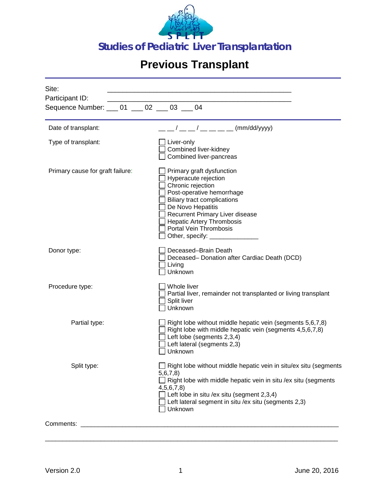![](_page_49_Picture_0.jpeg)

# **Previous Transplant**

| Site:<br>Participant ID:                     |  |                                       |                                                                                                                                                                                                                                                                                                             |
|----------------------------------------------|--|---------------------------------------|-------------------------------------------------------------------------------------------------------------------------------------------------------------------------------------------------------------------------------------------------------------------------------------------------------------|
| Sequence Number: ___ 01 ___ 02 ___ 03 ___ 04 |  |                                       |                                                                                                                                                                                                                                                                                                             |
| Date of transplant:                          |  |                                       | $1/$ __ __ / __ __ _ _ _ (mm/dd/yyyy)                                                                                                                                                                                                                                                                       |
| Type of transplant:                          |  | Liver-only                            | Combined liver-kidney<br>Combined liver-pancreas                                                                                                                                                                                                                                                            |
| Primary cause for graft failure:             |  |                                       | Primary graft dysfunction<br>Hyperacute rejection<br>Chronic rejection<br>Post-operative hemorrhage<br><b>Biliary tract complications</b><br>De Novo Hepatitis<br><b>Recurrent Primary Liver disease</b><br><b>Hepatic Artery Thrombosis</b><br>Portal Vein Thrombosis<br>Other, specify: _________________ |
| Donor type:                                  |  | Living<br>Unknown                     | Deceased-Brain Death<br>Deceased- Donation after Cardiac Death (DCD)                                                                                                                                                                                                                                        |
| Procedure type:                              |  | Whole liver<br>Split liver<br>Unknown | Partial liver, remainder not transplanted or living transplant                                                                                                                                                                                                                                              |
| Partial type:                                |  | Unknown                               | Right lobe without middle hepatic vein (segments 5,6,7,8)<br>Right lobe with middle hepatic vein (segments 4,5,6,7,8)<br>Left lobe (segments 2,3,4)<br>Left lateral (segments 2,3)                                                                                                                          |
| Split type:                                  |  | 5,6,7,8<br>4,5,6,7,8<br>Unknown       | Right lobe without middle hepatic vein in situ/ex situ (segments<br>Right lobe with middle hepatic vein in situ /ex situ (segments<br>Left lobe in situ /ex situ (segment 2,3,4)<br>Left lateral segment in situ /ex situ (segments 2,3)                                                                    |
| Comments:                                    |  |                                       |                                                                                                                                                                                                                                                                                                             |

\_\_\_\_\_\_\_\_\_\_\_\_\_\_\_\_\_\_\_\_\_\_\_\_\_\_\_\_\_\_\_\_\_\_\_\_\_\_\_\_\_\_\_\_\_\_\_\_\_\_\_\_\_\_\_\_\_\_\_\_\_\_\_\_\_\_\_\_\_\_\_\_\_\_\_\_\_\_\_\_\_\_\_\_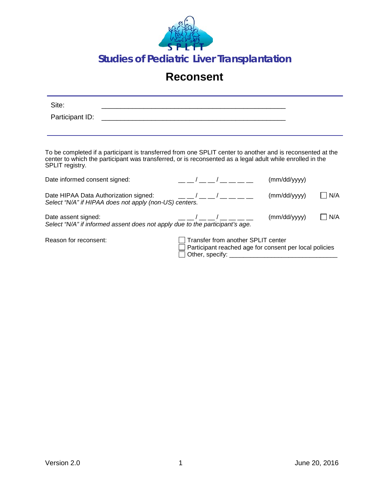![](_page_50_Picture_0.jpeg)

#### **Reconsent**

| Site:<br>Participant ID:      | <u> 1989 - Jan Samuel Samuel (d. 1989)</u>                                                                                                                                                                                                                                                                                                                                                                                                                                                            |                                    |                                                                                                                                                                                                                                                                                                                                                                                                               |     |
|-------------------------------|-------------------------------------------------------------------------------------------------------------------------------------------------------------------------------------------------------------------------------------------------------------------------------------------------------------------------------------------------------------------------------------------------------------------------------------------------------------------------------------------------------|------------------------------------|---------------------------------------------------------------------------------------------------------------------------------------------------------------------------------------------------------------------------------------------------------------------------------------------------------------------------------------------------------------------------------------------------------------|-----|
| SPLIT registry.               | To be completed if a participant is transferred from one SPLIT center to another and is reconsented at the<br>center to which the participant was transferred, or is reconsented as a legal adult while enrolled in the                                                                                                                                                                                                                                                                               |                                    |                                                                                                                                                                                                                                                                                                                                                                                                               |     |
| Date informed consent signed: |                                                                                                                                                                                                                                                                                                                                                                                                                                                                                                       |                                    | $\left(\frac{1}{2} \right)^{1}$ $\left(\frac{1}{2} \right)^{1}$ $\left(\frac{1}{2} \right)^{1}$ $\left(\frac{1}{2} \right)^{1}$ $\left(\frac{1}{2} \right)^{1}$ $\left(\frac{1}{2} \right)^{1}$ $\left(\frac{1}{2} \right)^{1}$ $\left(\frac{1}{2} \right)^{1}$ $\left(\frac{1}{2} \right)^{1}$ $\left(\frac{1}{2} \right)^{1}$ $\left(\frac{1}{2} \right)^{1}$ $\left(\frac{1}{2} \right)^{1}$ $\left(\frac$ |     |
|                               | Select "N/A" if HIPAA does not apply (non-US) centers.                                                                                                                                                                                                                                                                                                                                                                                                                                                |                                    |                                                                                                                                                                                                                                                                                                                                                                                                               | N/A |
| Date assent signed:           | $\frac{1}{1-\frac{1}{1-\frac{1}{1-\frac{1}{1-\frac{1}{1-\frac{1}{1-\frac{1}{1-\frac{1}{1-\frac{1}{1-\frac{1}{1-\frac{1}{1-\frac{1}{1-\frac{1}{1-\frac{1}{1-\frac{1}{1-\frac{1}{1-\frac{1}{1-\frac{1}{1-\frac{1}{1-\frac{1}{1-\frac{1}{1-\frac{1}{1-\frac{1}{1-\frac{1}{1-\frac{1}{1-\frac{1}{1-\frac{1}{1-\frac{1}{1-\frac{1}{1-\frac{1}{1-\frac{1}{1-\frac{1}{1-\frac{1}{1-\frac{1}{1-\frac{1}{1-\frac{1}{1-\frac{1$<br>Select "N/A" if informed assent does not apply due to the participant's age. |                                    |                                                                                                                                                                                                                                                                                                                                                                                                               | N/A |
| Reason for reconsent:         |                                                                                                                                                                                                                                                                                                                                                                                                                                                                                                       | Transfer from another SPLIT center | Participant reached age for consent per local policies                                                                                                                                                                                                                                                                                                                                                        |     |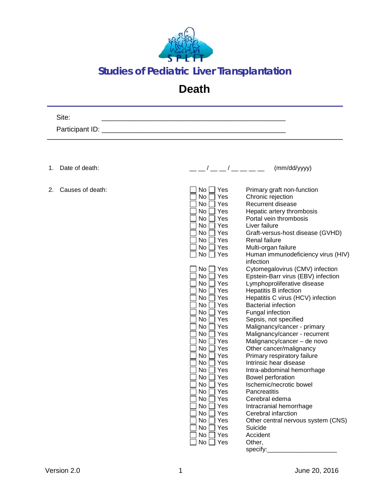![](_page_51_Picture_0.jpeg)

#### **Studies of Pediatric Liver Transplantation**

#### **Death**

| Site:                  |                                                                                                                                                                                                                                                                                                                                     |
|------------------------|-------------------------------------------------------------------------------------------------------------------------------------------------------------------------------------------------------------------------------------------------------------------------------------------------------------------------------------|
| Participant ID: _      | <u> 1980 - Jan Barbarat, martin a shekara 1980 - An tsa a tsara 1980 - An tsa a tsa a tsa a tsa a tsa a tsa a tsa</u>                                                                                                                                                                                                               |
|                        |                                                                                                                                                                                                                                                                                                                                     |
|                        |                                                                                                                                                                                                                                                                                                                                     |
| Date of death:<br>1.   | $\frac{1}{2}$ $\frac{1}{2}$ $\frac{1}{2}$ $\frac{1}{2}$ $\frac{1}{2}$ $\frac{1}{2}$ $\frac{1}{2}$ $\frac{1}{2}$ $\frac{1}{2}$ $\frac{1}{2}$ $\frac{1}{2}$ $\frac{1}{2}$ $\frac{1}{2}$ $\frac{1}{2}$ $\frac{1}{2}$ $\frac{1}{2}$ $\frac{1}{2}$ $\frac{1}{2}$ $\frac{1}{2}$ $\frac{1}{2}$ $\frac{1}{2}$ $\frac{1}{2}$<br>(mm/dd/yyyy) |
| Causes of death:<br>2. | No<br>Yes<br>Primary graft non-function                                                                                                                                                                                                                                                                                             |
|                        | No<br>Yes<br>Chronic rejection                                                                                                                                                                                                                                                                                                      |
|                        | Yes<br>Recurrent disease<br>No                                                                                                                                                                                                                                                                                                      |
|                        | Yes<br>Hepatic artery thrombosis<br>No                                                                                                                                                                                                                                                                                              |
|                        | No<br>Yes<br>Portal vein thrombosis                                                                                                                                                                                                                                                                                                 |
|                        | Yes<br>Liver failure<br>No                                                                                                                                                                                                                                                                                                          |
|                        | No<br>Yes<br>Graft-versus-host disease (GVHD)                                                                                                                                                                                                                                                                                       |
|                        | No<br>Yes<br><b>Renal failure</b>                                                                                                                                                                                                                                                                                                   |
|                        | Multi-organ failure<br>No<br>Yes                                                                                                                                                                                                                                                                                                    |
|                        | No<br>Human immunodeficiency virus (HIV)<br>∐ Yes<br>infection                                                                                                                                                                                                                                                                      |
|                        | No<br>Cytomegalovirus (CMV) infection<br>Yes                                                                                                                                                                                                                                                                                        |
|                        | No<br>Yes<br>Epstein-Barr virus (EBV) infection                                                                                                                                                                                                                                                                                     |
|                        | No<br>Yes<br>Lymphoproliferative disease                                                                                                                                                                                                                                                                                            |
|                        | Yes<br><b>Hepatitis B infection</b><br>No                                                                                                                                                                                                                                                                                           |
|                        | Yes<br>Hepatitis C virus (HCV) infection<br>No                                                                                                                                                                                                                                                                                      |
|                        | No<br>Yes<br><b>Bacterial infection</b>                                                                                                                                                                                                                                                                                             |
|                        | Yes<br>Fungal infection<br>No                                                                                                                                                                                                                                                                                                       |
|                        | Sepsis, not specified<br>No<br>Yes                                                                                                                                                                                                                                                                                                  |
|                        | Yes<br>Malignancy/cancer - primary<br>No                                                                                                                                                                                                                                                                                            |
|                        | Malignancy/cancer - recurrent<br>No<br>Yes                                                                                                                                                                                                                                                                                          |
|                        | Malignancy/cancer - de novo<br>No<br>Yes<br>No<br>Yes                                                                                                                                                                                                                                                                               |
|                        | Other cancer/malignancy<br>No<br>Yes<br>Primary respiratory failure                                                                                                                                                                                                                                                                 |
|                        | No<br>Yes<br>Intrinsic hear disease                                                                                                                                                                                                                                                                                                 |
|                        | No<br>Yes<br>Intra-abdominal hemorrhage                                                                                                                                                                                                                                                                                             |
|                        | No<br>Yes<br>Bowel perforation                                                                                                                                                                                                                                                                                                      |
|                        | No [<br>$\Box$ Yes<br>Ischemic/necrotic bowel                                                                                                                                                                                                                                                                                       |
|                        | No<br>Yes<br>Pancreatitis                                                                                                                                                                                                                                                                                                           |
|                        | No<br>Yes<br>Cerebral edema                                                                                                                                                                                                                                                                                                         |
|                        | No<br>Yes<br>Intracranial hemorrhage                                                                                                                                                                                                                                                                                                |
|                        | No<br>Yes<br>Cerebral infarction                                                                                                                                                                                                                                                                                                    |
|                        | Other central nervous system (CNS)<br>No<br>Yes                                                                                                                                                                                                                                                                                     |
|                        | No<br>Yes<br>Suicide                                                                                                                                                                                                                                                                                                                |
|                        | No<br>Yes<br>Accident                                                                                                                                                                                                                                                                                                               |
|                        | No<br>∏ Yes<br>Other,                                                                                                                                                                                                                                                                                                               |
|                        | specify:                                                                                                                                                                                                                                                                                                                            |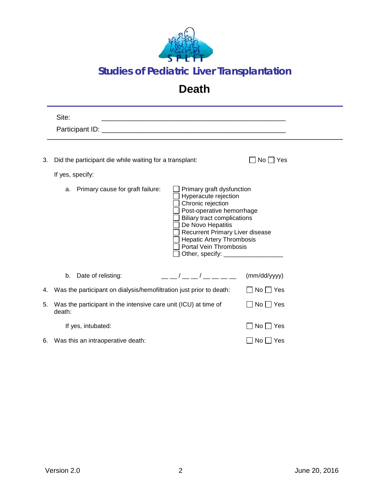![](_page_52_Picture_0.jpeg)

#### **Studies of Pediatric Liver Transplantation**

#### **Death**

|    | Site:                                                                       |                                                                                                                                                                                                                                                                                                                     |                      |
|----|-----------------------------------------------------------------------------|---------------------------------------------------------------------------------------------------------------------------------------------------------------------------------------------------------------------------------------------------------------------------------------------------------------------|----------------------|
| 3. | Did the participant die while waiting for a transplant:<br>If yes, specify: |                                                                                                                                                                                                                                                                                                                     | $No \Box Yes$        |
|    | Primary cause for graft failure:<br>a.                                      | Primary graft dysfunction<br>Hyperacute rejection<br>Chronic rejection<br>Post-operative hemorrhage<br><b>Biliary tract complications</b><br>De Novo Hepatitis<br>Recurrent Primary Liver disease<br><b>Hepatic Artery Thrombosis</b><br><b>Portal Vein Thrombosis</b><br>Other, specify: ______________________    |                      |
|    | Date of relisting:<br>b.                                                    | $\frac{1}{2}$ $\frac{1}{2}$ $\frac{1}{2}$ $\frac{1}{2}$ $\frac{1}{2}$ $\frac{1}{2}$ $\frac{1}{2}$ $\frac{1}{2}$ $\frac{1}{2}$ $\frac{1}{2}$ $\frac{1}{2}$ $\frac{1}{2}$ $\frac{1}{2}$ $\frac{1}{2}$ $\frac{1}{2}$ $\frac{1}{2}$ $\frac{1}{2}$ $\frac{1}{2}$ $\frac{1}{2}$ $\frac{1}{2}$ $\frac{1}{2}$ $\frac{1}{2}$ | (mm/dd/yyyy)         |
| 4. | Was the participant on dialysis/hemofiltration just prior to death:         |                                                                                                                                                                                                                                                                                                                     | $\Box$ No $\Box$ Yes |
| 5. | Was the participant in the intensive care unit (ICU) at time of<br>death:   |                                                                                                                                                                                                                                                                                                                     | $\Box$ No $\Box$ Yes |
|    | If yes, intubated:                                                          |                                                                                                                                                                                                                                                                                                                     | $No \Box Yes$        |
|    | 6. Was this an intraoperative death:                                        |                                                                                                                                                                                                                                                                                                                     | $No \Box Yes$        |